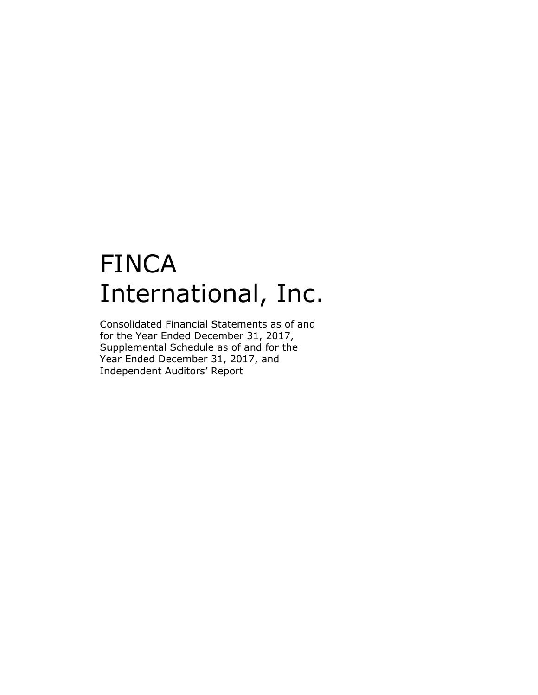# FINCA International, Inc.

Consolidated Financial Statements as of and for the Year Ended December 31, 2017, Supplemental Schedule as of and for the Year Ended December 31, 2017, and Independent Auditors' Report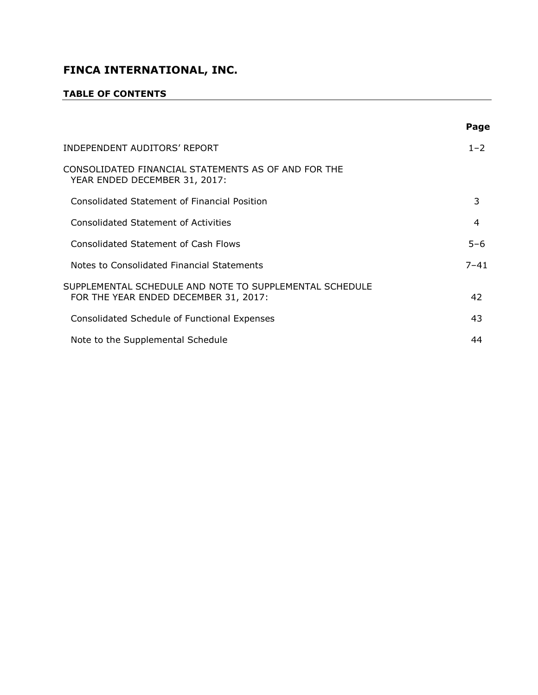# TABLE OF CONTENTS

|                                                                                                  | Page     |
|--------------------------------------------------------------------------------------------------|----------|
| INDEPENDENT AUDITORS' REPORT                                                                     | $1 - 2$  |
| CONSOLIDATED FINANCIAL STATEMENTS AS OF AND FOR THE<br>YEAR ENDED DECEMBER 31, 2017:             |          |
| Consolidated Statement of Financial Position                                                     | 3        |
| <b>Consolidated Statement of Activities</b>                                                      | 4        |
| Consolidated Statement of Cash Flows                                                             | $5 - 6$  |
| Notes to Consolidated Financial Statements                                                       | $7 - 41$ |
| SUPPLEMENTAL SCHEDULE AND NOTE TO SUPPLEMENTAL SCHEDULE<br>FOR THE YEAR ENDED DECEMBER 31, 2017: | 42       |
| Consolidated Schedule of Functional Expenses                                                     | 43       |
| Note to the Supplemental Schedule                                                                | 44       |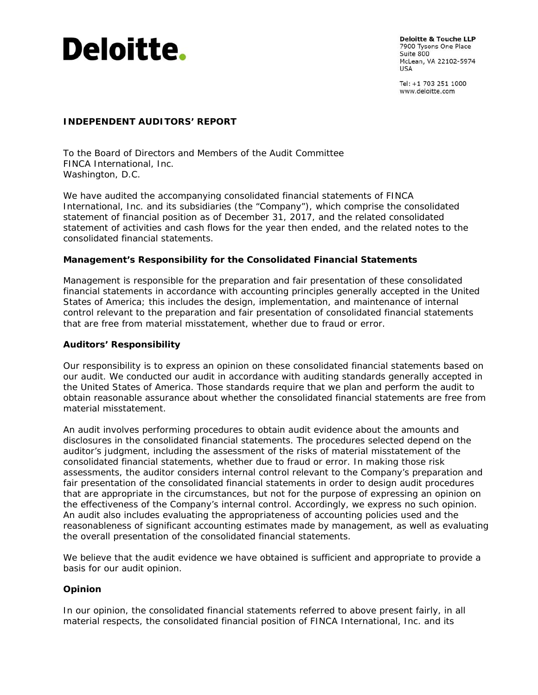

**Deloitte & Touche LLP** 7900 Tysons One Place Suite 800 McLean, VA 22102-5974 **USA** 

Tel: +1 703 251 1000 www.deloitte.com

#### **INDEPENDENT AUDITORS' REPORT**

To the Board of Directors and Members of the Audit Committee FINCA International, Inc. Washington, D.C.

We have audited the accompanying consolidated financial statements of FINCA International, Inc. and its subsidiaries (the "Company"), which comprise the consolidated statement of financial position as of December 31, 2017, and the related consolidated statement of activities and cash flows for the year then ended, and the related notes to the consolidated financial statements.

#### **Management's Responsibility for the Consolidated Financial Statements**

Management is responsible for the preparation and fair presentation of these consolidated financial statements in accordance with accounting principles generally accepted in the United States of America; this includes the design, implementation, and maintenance of internal control relevant to the preparation and fair presentation of consolidated financial statements that are free from material misstatement, whether due to fraud or error.

#### **Auditors' Responsibility**

Our responsibility is to express an opinion on these consolidated financial statements based on our audit. We conducted our audit in accordance with auditing standards generally accepted in the United States of America. Those standards require that we plan and perform the audit to obtain reasonable assurance about whether the consolidated financial statements are free from material misstatement.

An audit involves performing procedures to obtain audit evidence about the amounts and disclosures in the consolidated financial statements. The procedures selected depend on the auditor's judgment, including the assessment of the risks of material misstatement of the consolidated financial statements, whether due to fraud or error. In making those risk assessments, the auditor considers internal control relevant to the Company's preparation and fair presentation of the consolidated financial statements in order to design audit procedures that are appropriate in the circumstances, but not for the purpose of expressing an opinion on the effectiveness of the Company's internal control. Accordingly, we express no such opinion. An audit also includes evaluating the appropriateness of accounting policies used and the reasonableness of significant accounting estimates made by management, as well as evaluating the overall presentation of the consolidated financial statements.

We believe that the audit evidence we have obtained is sufficient and appropriate to provide a basis for our audit opinion.

#### **Opinion**

In our opinion, the consolidated financial statements referred to above present fairly, in all material respects, the consolidated financial position of FINCA International, Inc. and its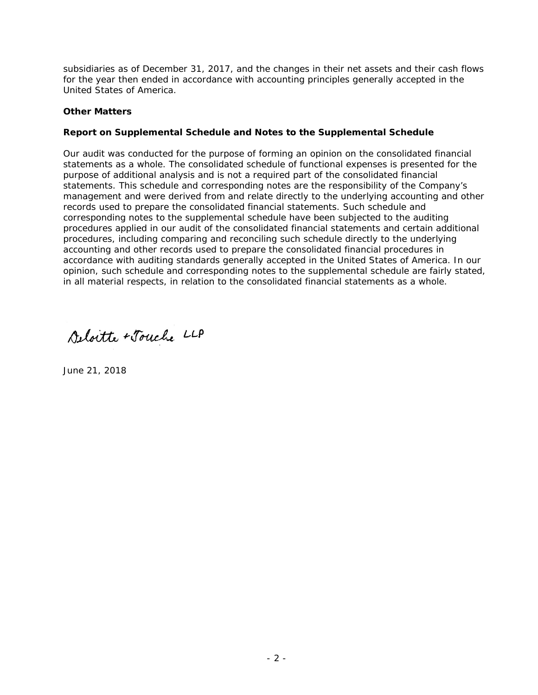subsidiaries as of December 31, 2017, and the changes in their net assets and their cash flows for the year then ended in accordance with accounting principles generally accepted in the United States of America.

#### **Other Matters**

#### **Report on Supplemental Schedule and Notes to the Supplemental Schedule**

Our audit was conducted for the purpose of forming an opinion on the consolidated financial statements as a whole. The consolidated schedule of functional expenses is presented for the purpose of additional analysis and is not a required part of the consolidated financial statements. This schedule and corresponding notes are the responsibility of the Company's management and were derived from and relate directly to the underlying accounting and other records used to prepare the consolidated financial statements. Such schedule and corresponding notes to the supplemental schedule have been subjected to the auditing procedures applied in our audit of the consolidated financial statements and certain additional procedures, including comparing and reconciling such schedule directly to the underlying accounting and other records used to prepare the consolidated financial procedures in accordance with auditing standards generally accepted in the United States of America. In our opinion, such schedule and corresponding notes to the supplemental schedule are fairly stated, in all material respects, in relation to the consolidated financial statements as a whole.

Deloitte + Touche LLP

June 21, 2018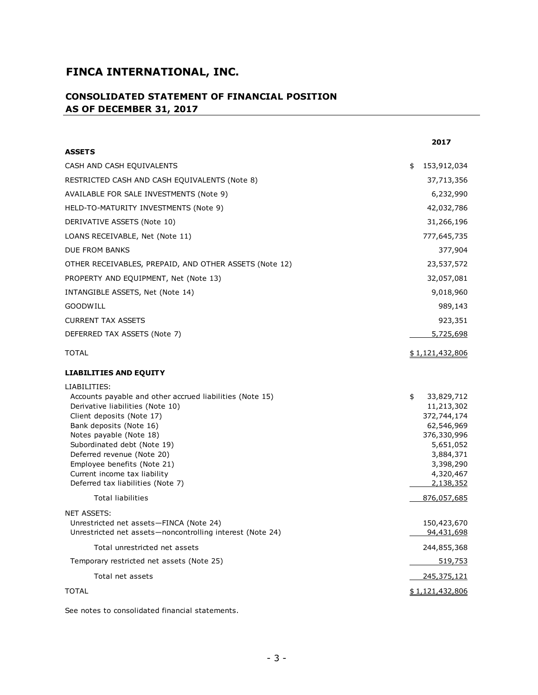# CONSOLIDATED STATEMENT OF FINANCIAL POSITION AS OF DECEMBER 31, 2017

| FINCA INTERNATIONAL, INC.<br><b>CONSOLIDATED STATEMENT OF FINANCIAL POSITION</b><br>AS OF DECEMBER 31, 2017<br>2017<br><b>ASSETS</b><br>CASH AND CASH EQUIVALENTS<br>\$<br>RESTRICTED CASH AND CASH EQUIVALENTS (Note 8)<br>AVAILABLE FOR SALE INVESTMENTS (Note 9)<br>HELD-TO-MATURITY INVESTMENTS (Note 9)<br>DERIVATIVE ASSETS (Note 10)<br>LOANS RECEIVABLE, Net (Note 11)<br>DUE FROM BANKS<br>OTHER RECEIVABLES, PREPAID, AND OTHER ASSETS (Note 12)<br>PROPERTY AND EQUIPMENT, Net (Note 13)<br>INTANGIBLE ASSETS, Net (Note 14)<br><b>GOODWILL</b><br><b>CURRENT TAX ASSETS</b><br>DEFERRED TAX ASSETS (Note 7)<br><b>TOTAL</b><br><b>LIABILITIES AND EQUITY</b><br>LIABILITIES:<br>Accounts payable and other accrued liabilities (Note 15)<br>\$<br>Derivative liabilities (Note 10)<br>Client deposits (Note 17)<br>Bank deposits (Note 16)<br>Notes payable (Note 18)<br>Subordinated debt (Note 19)<br>Deferred revenue (Note 20)<br>Employee benefits (Note 21)<br>Current income tax liability<br>Deferred tax liabilities (Note 7)<br><b>Total liabilities</b><br><b>NET ASSETS:</b><br>Unrestricted net assets-FINCA (Note 24)<br>Unrestricted net assets-noncontrolling interest (Note 24)<br>Total unrestricted net assets<br>Temporary restricted net assets (Note 25)<br>Total net assets<br><b>TOTAL</b> |                 |
|--------------------------------------------------------------------------------------------------------------------------------------------------------------------------------------------------------------------------------------------------------------------------------------------------------------------------------------------------------------------------------------------------------------------------------------------------------------------------------------------------------------------------------------------------------------------------------------------------------------------------------------------------------------------------------------------------------------------------------------------------------------------------------------------------------------------------------------------------------------------------------------------------------------------------------------------------------------------------------------------------------------------------------------------------------------------------------------------------------------------------------------------------------------------------------------------------------------------------------------------------------------------------------------------------------------------------------|-----------------|
|                                                                                                                                                                                                                                                                                                                                                                                                                                                                                                                                                                                                                                                                                                                                                                                                                                                                                                                                                                                                                                                                                                                                                                                                                                                                                                                                |                 |
| 153,912,034<br>37,713,356<br>6,232,990<br>42,032,786<br>31,266,196<br>777,645,735<br>377,904<br>23,537,572<br>32,057,081<br>9,018,960<br>989,143<br>923,351<br>5,725,698<br>\$1,121,432,806<br>33,829,712<br>11,213,302<br>372,744,174<br>62,546,969<br>376,330,996<br>5,651,052<br>3,884,371<br>3,398,290<br>4,320,467<br>2,138,352<br>876,057,685<br>150,423,670<br>94,431,698<br>244,855,368<br>519,753<br>245,375,121                                                                                                                                                                                                                                                                                                                                                                                                                                                                                                                                                                                                                                                                                                                                                                                                                                                                                                      |                 |
|                                                                                                                                                                                                                                                                                                                                                                                                                                                                                                                                                                                                                                                                                                                                                                                                                                                                                                                                                                                                                                                                                                                                                                                                                                                                                                                                |                 |
|                                                                                                                                                                                                                                                                                                                                                                                                                                                                                                                                                                                                                                                                                                                                                                                                                                                                                                                                                                                                                                                                                                                                                                                                                                                                                                                                |                 |
|                                                                                                                                                                                                                                                                                                                                                                                                                                                                                                                                                                                                                                                                                                                                                                                                                                                                                                                                                                                                                                                                                                                                                                                                                                                                                                                                |                 |
|                                                                                                                                                                                                                                                                                                                                                                                                                                                                                                                                                                                                                                                                                                                                                                                                                                                                                                                                                                                                                                                                                                                                                                                                                                                                                                                                |                 |
|                                                                                                                                                                                                                                                                                                                                                                                                                                                                                                                                                                                                                                                                                                                                                                                                                                                                                                                                                                                                                                                                                                                                                                                                                                                                                                                                |                 |
|                                                                                                                                                                                                                                                                                                                                                                                                                                                                                                                                                                                                                                                                                                                                                                                                                                                                                                                                                                                                                                                                                                                                                                                                                                                                                                                                |                 |
|                                                                                                                                                                                                                                                                                                                                                                                                                                                                                                                                                                                                                                                                                                                                                                                                                                                                                                                                                                                                                                                                                                                                                                                                                                                                                                                                |                 |
|                                                                                                                                                                                                                                                                                                                                                                                                                                                                                                                                                                                                                                                                                                                                                                                                                                                                                                                                                                                                                                                                                                                                                                                                                                                                                                                                |                 |
|                                                                                                                                                                                                                                                                                                                                                                                                                                                                                                                                                                                                                                                                                                                                                                                                                                                                                                                                                                                                                                                                                                                                                                                                                                                                                                                                |                 |
|                                                                                                                                                                                                                                                                                                                                                                                                                                                                                                                                                                                                                                                                                                                                                                                                                                                                                                                                                                                                                                                                                                                                                                                                                                                                                                                                |                 |
|                                                                                                                                                                                                                                                                                                                                                                                                                                                                                                                                                                                                                                                                                                                                                                                                                                                                                                                                                                                                                                                                                                                                                                                                                                                                                                                                |                 |
|                                                                                                                                                                                                                                                                                                                                                                                                                                                                                                                                                                                                                                                                                                                                                                                                                                                                                                                                                                                                                                                                                                                                                                                                                                                                                                                                |                 |
|                                                                                                                                                                                                                                                                                                                                                                                                                                                                                                                                                                                                                                                                                                                                                                                                                                                                                                                                                                                                                                                                                                                                                                                                                                                                                                                                |                 |
|                                                                                                                                                                                                                                                                                                                                                                                                                                                                                                                                                                                                                                                                                                                                                                                                                                                                                                                                                                                                                                                                                                                                                                                                                                                                                                                                |                 |
|                                                                                                                                                                                                                                                                                                                                                                                                                                                                                                                                                                                                                                                                                                                                                                                                                                                                                                                                                                                                                                                                                                                                                                                                                                                                                                                                |                 |
|                                                                                                                                                                                                                                                                                                                                                                                                                                                                                                                                                                                                                                                                                                                                                                                                                                                                                                                                                                                                                                                                                                                                                                                                                                                                                                                                |                 |
|                                                                                                                                                                                                                                                                                                                                                                                                                                                                                                                                                                                                                                                                                                                                                                                                                                                                                                                                                                                                                                                                                                                                                                                                                                                                                                                                |                 |
|                                                                                                                                                                                                                                                                                                                                                                                                                                                                                                                                                                                                                                                                                                                                                                                                                                                                                                                                                                                                                                                                                                                                                                                                                                                                                                                                |                 |
|                                                                                                                                                                                                                                                                                                                                                                                                                                                                                                                                                                                                                                                                                                                                                                                                                                                                                                                                                                                                                                                                                                                                                                                                                                                                                                                                |                 |
|                                                                                                                                                                                                                                                                                                                                                                                                                                                                                                                                                                                                                                                                                                                                                                                                                                                                                                                                                                                                                                                                                                                                                                                                                                                                                                                                |                 |
|                                                                                                                                                                                                                                                                                                                                                                                                                                                                                                                                                                                                                                                                                                                                                                                                                                                                                                                                                                                                                                                                                                                                                                                                                                                                                                                                |                 |
|                                                                                                                                                                                                                                                                                                                                                                                                                                                                                                                                                                                                                                                                                                                                                                                                                                                                                                                                                                                                                                                                                                                                                                                                                                                                                                                                |                 |
|                                                                                                                                                                                                                                                                                                                                                                                                                                                                                                                                                                                                                                                                                                                                                                                                                                                                                                                                                                                                                                                                                                                                                                                                                                                                                                                                |                 |
|                                                                                                                                                                                                                                                                                                                                                                                                                                                                                                                                                                                                                                                                                                                                                                                                                                                                                                                                                                                                                                                                                                                                                                                                                                                                                                                                |                 |
|                                                                                                                                                                                                                                                                                                                                                                                                                                                                                                                                                                                                                                                                                                                                                                                                                                                                                                                                                                                                                                                                                                                                                                                                                                                                                                                                |                 |
|                                                                                                                                                                                                                                                                                                                                                                                                                                                                                                                                                                                                                                                                                                                                                                                                                                                                                                                                                                                                                                                                                                                                                                                                                                                                                                                                |                 |
|                                                                                                                                                                                                                                                                                                                                                                                                                                                                                                                                                                                                                                                                                                                                                                                                                                                                                                                                                                                                                                                                                                                                                                                                                                                                                                                                |                 |
|                                                                                                                                                                                                                                                                                                                                                                                                                                                                                                                                                                                                                                                                                                                                                                                                                                                                                                                                                                                                                                                                                                                                                                                                                                                                                                                                |                 |
|                                                                                                                                                                                                                                                                                                                                                                                                                                                                                                                                                                                                                                                                                                                                                                                                                                                                                                                                                                                                                                                                                                                                                                                                                                                                                                                                |                 |
|                                                                                                                                                                                                                                                                                                                                                                                                                                                                                                                                                                                                                                                                                                                                                                                                                                                                                                                                                                                                                                                                                                                                                                                                                                                                                                                                |                 |
|                                                                                                                                                                                                                                                                                                                                                                                                                                                                                                                                                                                                                                                                                                                                                                                                                                                                                                                                                                                                                                                                                                                                                                                                                                                                                                                                |                 |
|                                                                                                                                                                                                                                                                                                                                                                                                                                                                                                                                                                                                                                                                                                                                                                                                                                                                                                                                                                                                                                                                                                                                                                                                                                                                                                                                |                 |
|                                                                                                                                                                                                                                                                                                                                                                                                                                                                                                                                                                                                                                                                                                                                                                                                                                                                                                                                                                                                                                                                                                                                                                                                                                                                                                                                | \$1,121,432,806 |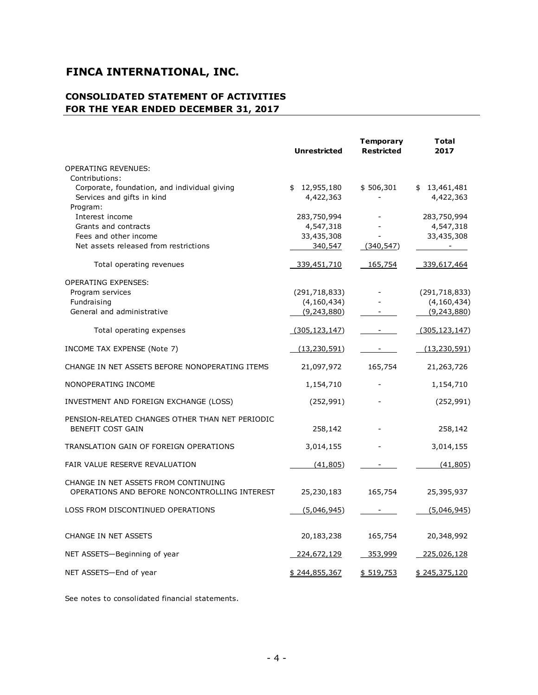# CONSOLIDATED STATEMENT OF ACTIVITIES FOR THE YEAR ENDED DECEMBER 31, 2017

| <b>CONSOLIDATED STATEMENT OF ACTIVITIES</b>                                           |                           |                                       |                           |
|---------------------------------------------------------------------------------------|---------------------------|---------------------------------------|---------------------------|
| FOR THE YEAR ENDED DECEMBER 31, 2017                                                  |                           |                                       |                           |
|                                                                                       | <b>Unrestricted</b>       | <b>Temporary</b><br><b>Restricted</b> | <b>Total</b><br>2017      |
| <b>OPERATING REVENUES:</b>                                                            |                           |                                       |                           |
| Contributions:                                                                        |                           |                                       |                           |
| Corporate, foundation, and individual giving<br>Services and gifts in kind            | \$12,955,180<br>4,422,363 | \$506,301                             | \$13,461,481<br>4,422,363 |
| Program:                                                                              |                           |                                       |                           |
| Interest income                                                                       | 283,750,994               |                                       | 283,750,994               |
| Grants and contracts<br>Fees and other income                                         | 4,547,318<br>33,435,308   | $\overline{\phantom{a}}$              | 4,547,318<br>33,435,308   |
| Net assets released from restrictions                                                 | 340,547                   | (340, 547)                            | $\sim$                    |
| Total operating revenues                                                              | 339,451,710               | 165,754                               | 339,617,464               |
| <b>OPERATING EXPENSES:</b>                                                            |                           |                                       |                           |
| Program services                                                                      | (291, 718, 833)           |                                       | (291, 718, 833)           |
| Fundraising                                                                           | (4, 160, 434)             |                                       | (4, 160, 434)             |
| General and administrative                                                            | (9,243,880)               |                                       | (9,243,880)               |
| Total operating expenses                                                              | (305, 123, 147)           | $\sim$                                | (305, 123, 147)           |
| INCOME TAX EXPENSE (Note 7)                                                           | (13, 230, 591)            | $\sim$                                | (13, 230, 591)            |
| CHANGE IN NET ASSETS BEFORE NONOPERATING ITEMS                                        | 21,097,972                | 165,754                               | 21,263,726                |
| NONOPERATING INCOME                                                                   | 1,154,710                 |                                       | 1,154,710                 |
| INVESTMENT AND FOREIGN EXCHANGE (LOSS)                                                | (252, 991)                |                                       | (252, 991)                |
| PENSION-RELATED CHANGES OTHER THAN NET PERIODIC<br>BENEFIT COST GAIN                  | 258,142                   |                                       | 258,142                   |
| TRANSLATION GAIN OF FOREIGN OPERATIONS                                                | 3,014,155                 |                                       | 3,014,155                 |
| FAIR VALUE RESERVE REVALUATION                                                        | (41, 805)                 |                                       | (41, 805)                 |
| CHANGE IN NET ASSETS FROM CONTINUING<br>OPERATIONS AND BEFORE NONCONTROLLING INTEREST | 25,230,183                | 165,754                               | 25,395,937                |
| LOSS FROM DISCONTINUED OPERATIONS                                                     | (5,046,945)               | $\sim$                                | (5,046,945)               |
| CHANGE IN NET ASSETS                                                                  |                           | 165,754                               |                           |
|                                                                                       | 20,183,238                |                                       | 20,348,992                |
| NET ASSETS-Beginning of year                                                          | 224,672,129               | 353,999                               | 225,026,128               |
| NET ASSETS-End of year                                                                | \$244,855,367             | \$519,753                             | \$245,375,120             |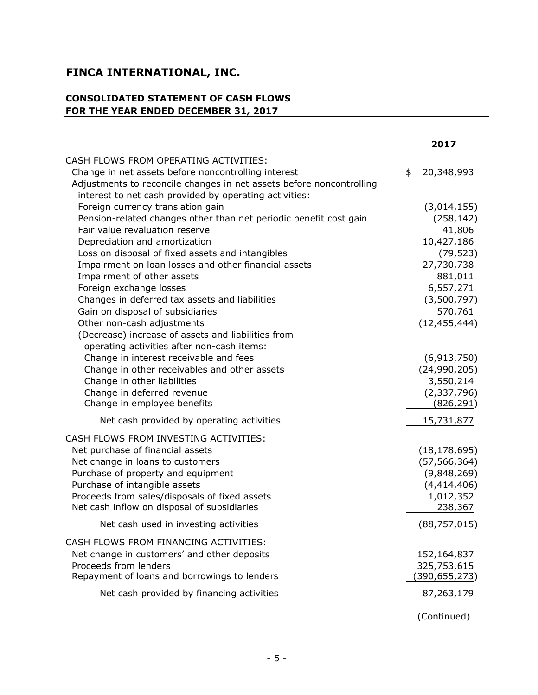# CONSOLIDATED STATEMENT OF CASH FLOWS FOR THE YEAR ENDED DECEMBER 31, 2017

| FINCA INTERNATIONAL, INC.                                            |                  |
|----------------------------------------------------------------------|------------------|
|                                                                      |                  |
| <b>CONSOLIDATED STATEMENT OF CASH FLOWS</b>                          |                  |
| FOR THE YEAR ENDED DECEMBER 31, 2017                                 |                  |
|                                                                      |                  |
|                                                                      |                  |
|                                                                      | 2017             |
| CASH FLOWS FROM OPERATING ACTIVITIES:                                |                  |
| Change in net assets before noncontrolling interest                  | 20,348,993<br>\$ |
| Adjustments to reconcile changes in net assets before noncontrolling |                  |
| interest to net cash provided by operating activities:               |                  |
|                                                                      |                  |
| Foreign currency translation gain                                    | (3,014,155)      |
| Pension-related changes other than net periodic benefit cost gain    | (258, 142)       |
| Fair value revaluation reserve                                       | 41,806           |
| Depreciation and amortization                                        | 10,427,186       |
| Loss on disposal of fixed assets and intangibles                     | (79, 523)        |
| Impairment on loan losses and other financial assets                 | 27,730,738       |
| Impairment of other assets                                           | 881,011          |
| Foreign exchange losses                                              | 6,557,271        |
| Changes in deferred tax assets and liabilities                       | (3,500,797)      |
| Gain on disposal of subsidiaries                                     | 570,761          |
| Other non-cash adjustments                                           | (12, 455, 444)   |
| (Decrease) increase of assets and liabilities from                   |                  |
| operating activities after non-cash items:                           |                  |
| Change in interest receivable and fees                               | (6,913,750)      |
|                                                                      |                  |
| Change in other receivables and other assets                         | (24,990,205)     |
| Change in other liabilities                                          | 3,550,214        |
| Change in deferred revenue                                           | (2,337,796)      |
| Change in employee benefits                                          | (826, 291)       |
| Net cash provided by operating activities                            | 15,731,877       |
| CASH FLOWS FROM INVESTING ACTIVITIES:                                |                  |
| Net purchase of financial assets                                     | (18, 178, 695)   |
| Net change in loans to customers                                     | (57, 566, 364)   |
| Purchase of property and equipment                                   | (9,848,269)      |
|                                                                      |                  |
| Purchase of intangible assets                                        | (4,414,406)      |
| Proceeds from sales/disposals of fixed assets                        | 1,012,352        |
| Net cash inflow on disposal of subsidiaries                          | 238,367          |
| Net cash used in investing activities                                | (88, 757, 015)   |
| CASH FLOWS FROM FINANCING ACTIVITIES:                                |                  |
| Net change in customers' and other deposits                          | 152,164,837      |
| Proceeds from lenders                                                | 325,753,615      |
| Repayment of loans and borrowings to lenders                         | (390,655,273)    |
| Net cash provided by financing activities                            | 87,263,179       |
|                                                                      |                  |
|                                                                      | (Continued)      |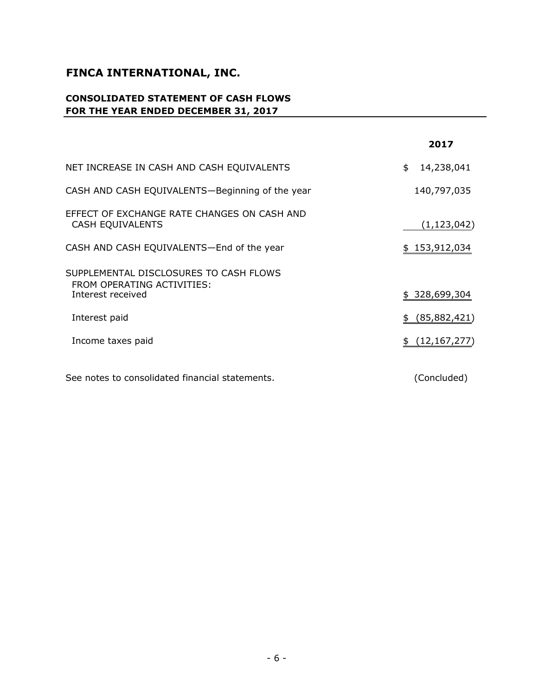# CONSOLIDATED STATEMENT OF CASH FLOWS FOR THE YEAR ENDED DECEMBER 31, 2017

| FINCA INTERNATIONAL, INC.                                                                 |                  |
|-------------------------------------------------------------------------------------------|------------------|
| <b>CONSOLIDATED STATEMENT OF CASH FLOWS</b><br>FOR THE YEAR ENDED DECEMBER 31, 2017       |                  |
|                                                                                           | 2017             |
| NET INCREASE IN CASH AND CASH EQUIVALENTS                                                 | 14,238,041<br>\$ |
| CASH AND CASH EQUIVALENTS-Beginning of the year                                           | 140,797,035      |
| EFFECT OF EXCHANGE RATE CHANGES ON CASH AND<br>CASH EQUIVALENTS                           | (1, 123, 042)    |
| CASH AND CASH EQUIVALENTS-End of the year                                                 | \$153,912,034    |
| SUPPLEMENTAL DISCLOSURES TO CASH FLOWS<br>FROM OPERATING ACTIVITIES:<br>Interest received | \$328,699,304    |
| Interest paid                                                                             | \$ (85,882,421)  |
| Income taxes paid                                                                         | \$ (12,167,277)  |
| See notes to consolidated financial statements.                                           | (Concluded)      |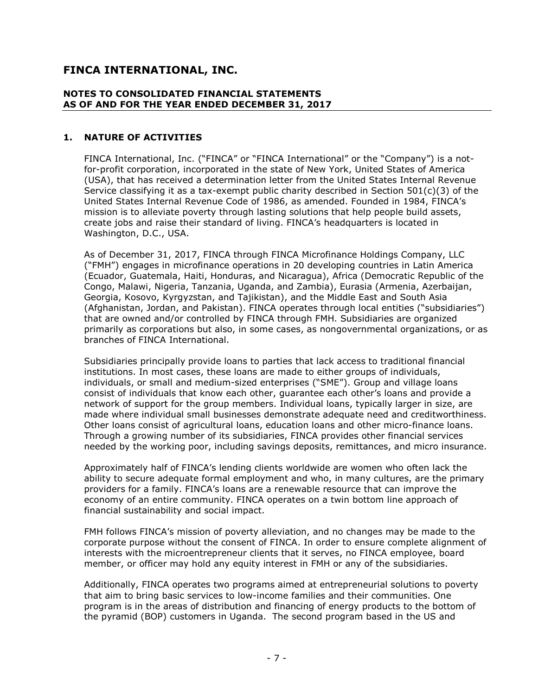#### NOTES TO CONSOLIDATED FINANCIAL STATEMENTS AS OF AND FOR THE YEAR ENDED DECEMBER 31, 2017

## 1. NATURE OF ACTIVITIES

FINCA International, Inc. ("FINCA" or "FINCA International" or the "Company") is a notfor-profit corporation, incorporated in the state of New York, United States of America (USA), that has received a determination letter from the United States Internal Revenue Service classifying it as a tax-exempt public charity described in Section  $501(c)(3)$  of the United States Internal Revenue Code of 1986, as amended. Founded in 1984, FINCA's mission is to alleviate poverty through lasting solutions that help people build assets, create jobs and raise their standard of living. FINCA's headquarters is located in Washington, D.C., USA.

As of December 31, 2017, FINCA through FINCA Microfinance Holdings Company, LLC ("FMH") engages in microfinance operations in 20 developing countries in Latin America (Ecuador, Guatemala, Haiti, Honduras, and Nicaragua), Africa (Democratic Republic of the Congo, Malawi, Nigeria, Tanzania, Uganda, and Zambia), Eurasia (Armenia, Azerbaijan, Georgia, Kosovo, Kyrgyzstan, and Tajikistan), and the Middle East and South Asia (Afghanistan, Jordan, and Pakistan). FINCA operates through local entities ("subsidiaries") that are owned and/or controlled by FINCA through FMH. Subsidiaries are organized primarily as corporations but also, in some cases, as nongovernmental organizations, or as branches of FINCA International.

Subsidiaries principally provide loans to parties that lack access to traditional financial institutions. In most cases, these loans are made to either groups of individuals, individuals, or small and medium-sized enterprises ("SME"). Group and village loans consist of individuals that know each other, guarantee each other's loans and provide a network of support for the group members. Individual loans, typically larger in size, are made where individual small businesses demonstrate adequate need and creditworthiness. Other loans consist of agricultural loans, education loans and other micro-finance loans. Through a growing number of its subsidiaries, FINCA provides other financial services needed by the working poor, including savings deposits, remittances, and micro insurance.

Approximately half of FINCA's lending clients worldwide are women who often lack the ability to secure adequate formal employment and who, in many cultures, are the primary providers for a family. FINCA's loans are a renewable resource that can improve the economy of an entire community. FINCA operates on a twin bottom line approach of financial sustainability and social impact.

FMH follows FINCA's mission of poverty alleviation, and no changes may be made to the corporate purpose without the consent of FINCA. In order to ensure complete alignment of interests with the microentrepreneur clients that it serves, no FINCA employee, board member, or officer may hold any equity interest in FMH or any of the subsidiaries.

Additionally, FINCA operates two programs aimed at entrepreneurial solutions to poverty that aim to bring basic services to low-income families and their communities. One program is in the areas of distribution and financing of energy products to the bottom of the pyramid (BOP) customers in Uganda. The second program based in the US and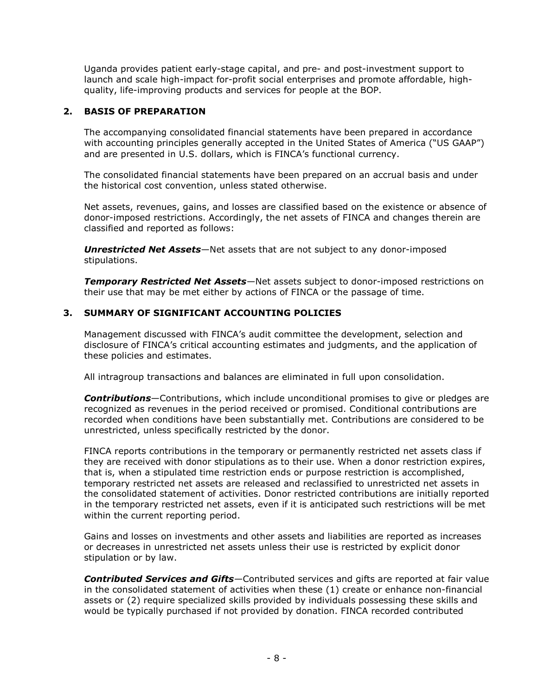Uganda provides patient early-stage capital, and pre- and post-investment support to launch and scale high-impact for-profit social enterprises and promote affordable, highquality, life-improving products and services for people at the BOP.

# 2. BASIS OF PREPARATION

The accompanying consolidated financial statements have been prepared in accordance with accounting principles generally accepted in the United States of America ("US GAAP") and are presented in U.S. dollars, which is FINCA's functional currency.

The consolidated financial statements have been prepared on an accrual basis and under the historical cost convention, unless stated otherwise.

Net assets, revenues, gains, and losses are classified based on the existence or absence of donor-imposed restrictions. Accordingly, the net assets of FINCA and changes therein are classified and reported as follows:

**Unrestricted Net Assets—Net assets that are not subject to any donor-imposed** stipulations.

**Temporary Restricted Net Assets**—Net assets subject to donor-imposed restrictions on their use that may be met either by actions of FINCA or the passage of time.

## 3. SUMMARY OF SIGNIFICANT ACCOUNTING POLICIES

Management discussed with FINCA's audit committee the development, selection and disclosure of FINCA's critical accounting estimates and judgments, and the application of these policies and estimates.

All intragroup transactions and balances are eliminated in full upon consolidation.

**Contributions**—Contributions, which include unconditional promises to give or pledges are recognized as revenues in the period received or promised. Conditional contributions are recorded when conditions have been substantially met. Contributions are considered to be unrestricted, unless specifically restricted by the donor.

FINCA reports contributions in the temporary or permanently restricted net assets class if they are received with donor stipulations as to their use. When a donor restriction expires, that is, when a stipulated time restriction ends or purpose restriction is accomplished, temporary restricted net assets are released and reclassified to unrestricted net assets in the consolidated statement of activities. Donor restricted contributions are initially reported in the temporary restricted net assets, even if it is anticipated such restrictions will be met within the current reporting period.

Gains and losses on investments and other assets and liabilities are reported as increases or decreases in unrestricted net assets unless their use is restricted by explicit donor stipulation or by law.

**Contributed Services and Gifts**—Contributed services and gifts are reported at fair value in the consolidated statement of activities when these (1) create or enhance non-financial assets or (2) require specialized skills provided by individuals possessing these skills and would be typically purchased if not provided by donation. FINCA recorded contributed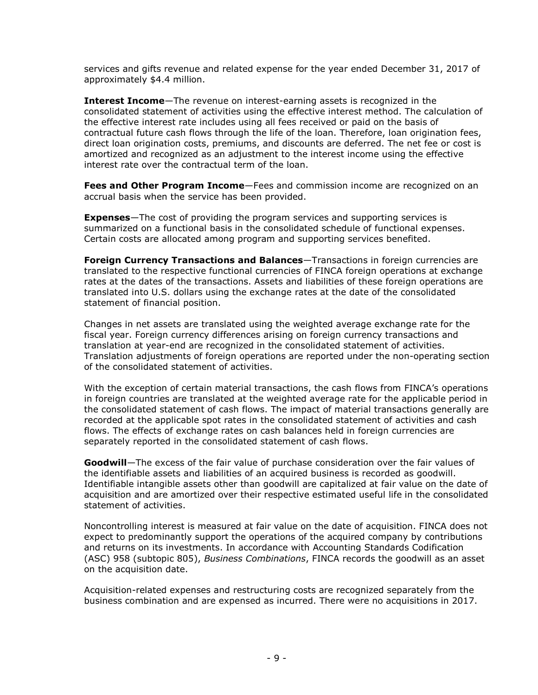services and gifts revenue and related expense for the year ended December 31, 2017 of approximately \$4.4 million.

Interest Income-The revenue on interest-earning assets is recognized in the consolidated statement of activities using the effective interest method. The calculation of the effective interest rate includes using all fees received or paid on the basis of contractual future cash flows through the life of the loan. Therefore, loan origination fees, direct loan origination costs, premiums, and discounts are deferred. The net fee or cost is amortized and recognized as an adjustment to the interest income using the effective interest rate over the contractual term of the loan.

Fees and Other Program Income–Fees and commission income are recognized on an accrual basis when the service has been provided.

**Expenses**—The cost of providing the program services and supporting services is summarized on a functional basis in the consolidated schedule of functional expenses. Certain costs are allocated among program and supporting services benefited.

Foreign Currency Transactions and Balances-Transactions in foreign currencies are translated to the respective functional currencies of FINCA foreign operations at exchange rates at the dates of the transactions. Assets and liabilities of these foreign operations are translated into U.S. dollars using the exchange rates at the date of the consolidated statement of financial position.

Changes in net assets are translated using the weighted average exchange rate for the fiscal year. Foreign currency differences arising on foreign currency transactions and translation at year-end are recognized in the consolidated statement of activities. Translation adjustments of foreign operations are reported under the non-operating section of the consolidated statement of activities.

With the exception of certain material transactions, the cash flows from FINCA's operations in foreign countries are translated at the weighted average rate for the applicable period in the consolidated statement of cash flows. The impact of material transactions generally are recorded at the applicable spot rates in the consolidated statement of activities and cash flows. The effects of exchange rates on cash balances held in foreign currencies are separately reported in the consolidated statement of cash flows.

Goodwill—The excess of the fair value of purchase consideration over the fair values of the identifiable assets and liabilities of an acquired business is recorded as goodwill. Identifiable intangible assets other than goodwill are capitalized at fair value on the date of acquisition and are amortized over their respective estimated useful life in the consolidated statement of activities.

Noncontrolling interest is measured at fair value on the date of acquisition. FINCA does not expect to predominantly support the operations of the acquired company by contributions and returns on its investments. In accordance with Accounting Standards Codification (ASC) 958 (subtopic 805), Business Combinations, FINCA records the goodwill as an asset on the acquisition date.

Acquisition-related expenses and restructuring costs are recognized separately from the business combination and are expensed as incurred. There were no acquisitions in 2017.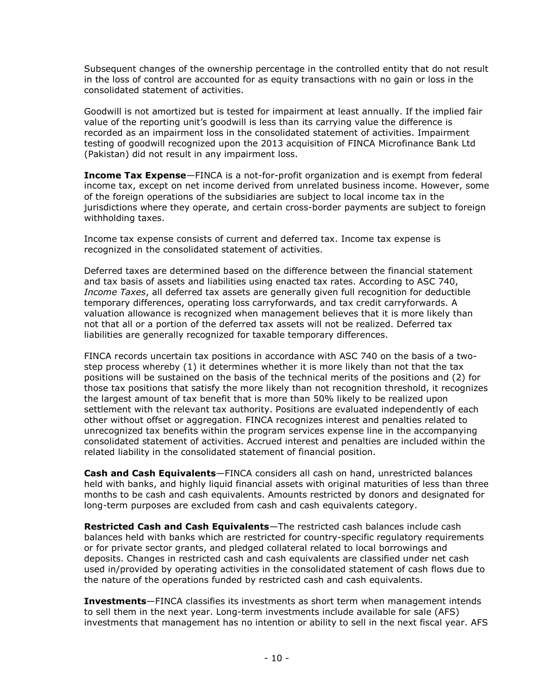Subsequent changes of the ownership percentage in the controlled entity that do not result in the loss of control are accounted for as equity transactions with no gain or loss in the consolidated statement of activities.

Goodwill is not amortized but is tested for impairment at least annually. If the implied fair value of the reporting unit's goodwill is less than its carrying value the difference is recorded as an impairment loss in the consolidated statement of activities. Impairment testing of goodwill recognized upon the 2013 acquisition of FINCA Microfinance Bank Ltd (Pakistan) did not result in any impairment loss.

**Income Tax Expense**—FINCA is a not-for-profit organization and is exempt from federal income tax, except on net income derived from unrelated business income. However, some of the foreign operations of the subsidiaries are subject to local income tax in the jurisdictions where they operate, and certain cross-border payments are subject to foreign withholding taxes.

Income tax expense consists of current and deferred tax. Income tax expense is recognized in the consolidated statement of activities.

Deferred taxes are determined based on the difference between the financial statement and tax basis of assets and liabilities using enacted tax rates. According to ASC 740, Income Taxes, all deferred tax assets are generally given full recognition for deductible temporary differences, operating loss carryforwards, and tax credit carryforwards. A valuation allowance is recognized when management believes that it is more likely than not that all or a portion of the deferred tax assets will not be realized. Deferred tax liabilities are generally recognized for taxable temporary differences.

FINCA records uncertain tax positions in accordance with ASC 740 on the basis of a twostep process whereby (1) it determines whether it is more likely than not that the tax positions will be sustained on the basis of the technical merits of the positions and (2) for those tax positions that satisfy the more likely than not recognition threshold, it recognizes the largest amount of tax benefit that is more than 50% likely to be realized upon settlement with the relevant tax authority. Positions are evaluated independently of each other without offset or aggregation. FINCA recognizes interest and penalties related to unrecognized tax benefits within the program services expense line in the accompanying consolidated statement of activities. Accrued interest and penalties are included within the related liability in the consolidated statement of financial position.

Cash and Cash Equivalents-FINCA considers all cash on hand, unrestricted balances held with banks, and highly liquid financial assets with original maturities of less than three months to be cash and cash equivalents. Amounts restricted by donors and designated for long-term purposes are excluded from cash and cash equivalents category.

Restricted Cash and Cash Equivalents-The restricted cash balances include cash balances held with banks which are restricted for country-specific regulatory requirements or for private sector grants, and pledged collateral related to local borrowings and deposits. Changes in restricted cash and cash equivalents are classified under net cash used in/provided by operating activities in the consolidated statement of cash flows due to the nature of the operations funded by restricted cash and cash equivalents.

**Investments**—FINCA classifies its investments as short term when management intends to sell them in the next year. Long-term investments include available for sale (AFS) investments that management has no intention or ability to sell in the next fiscal year. AFS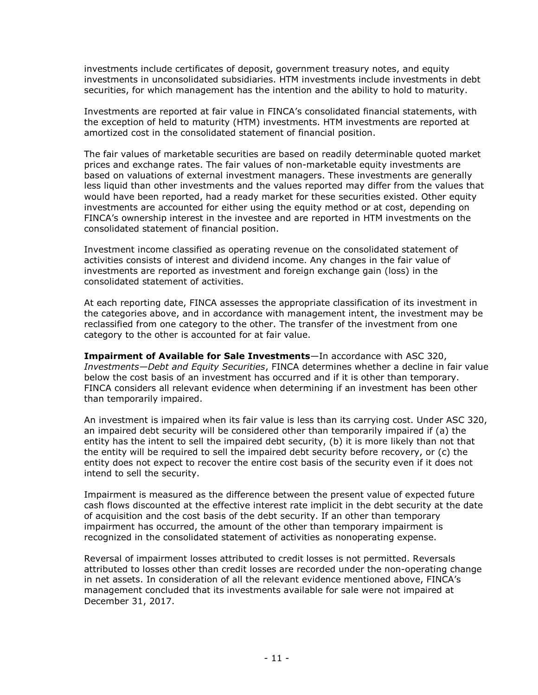investments include certificates of deposit, government treasury notes, and equity investments in unconsolidated subsidiaries. HTM investments include investments in debt securities, for which management has the intention and the ability to hold to maturity.

Investments are reported at fair value in FINCA's consolidated financial statements, with the exception of held to maturity (HTM) investments. HTM investments are reported at amortized cost in the consolidated statement of financial position.

The fair values of marketable securities are based on readily determinable quoted market prices and exchange rates. The fair values of non-marketable equity investments are based on valuations of external investment managers. These investments are generally less liquid than other investments and the values reported may differ from the values that would have been reported, had a ready market for these securities existed. Other equity investments are accounted for either using the equity method or at cost, depending on FINCA's ownership interest in the investee and are reported in HTM investments on the consolidated statement of financial position.

Investment income classified as operating revenue on the consolidated statement of activities consists of interest and dividend income. Any changes in the fair value of investments are reported as investment and foreign exchange gain (loss) in the consolidated statement of activities.

At each reporting date, FINCA assesses the appropriate classification of its investment in the categories above, and in accordance with management intent, the investment may be reclassified from one category to the other. The transfer of the investment from one category to the other is accounted for at fair value.

Impairment of Available for Sale Investments—In accordance with ASC 320, Investments—Debt and Equity Securities, FINCA determines whether a decline in fair value below the cost basis of an investment has occurred and if it is other than temporary. FINCA considers all relevant evidence when determining if an investment has been other than temporarily impaired.

An investment is impaired when its fair value is less than its carrying cost. Under ASC 320, an impaired debt security will be considered other than temporarily impaired if (a) the entity has the intent to sell the impaired debt security, (b) it is more likely than not that the entity will be required to sell the impaired debt security before recovery, or (c) the entity does not expect to recover the entire cost basis of the security even if it does not intend to sell the security.

Impairment is measured as the difference between the present value of expected future cash flows discounted at the effective interest rate implicit in the debt security at the date of acquisition and the cost basis of the debt security. If an other than temporary impairment has occurred, the amount of the other than temporary impairment is recognized in the consolidated statement of activities as nonoperating expense.

Reversal of impairment losses attributed to credit losses is not permitted. Reversals attributed to losses other than credit losses are recorded under the non-operating change in net assets. In consideration of all the relevant evidence mentioned above, FINCA's management concluded that its investments available for sale were not impaired at December 31, 2017.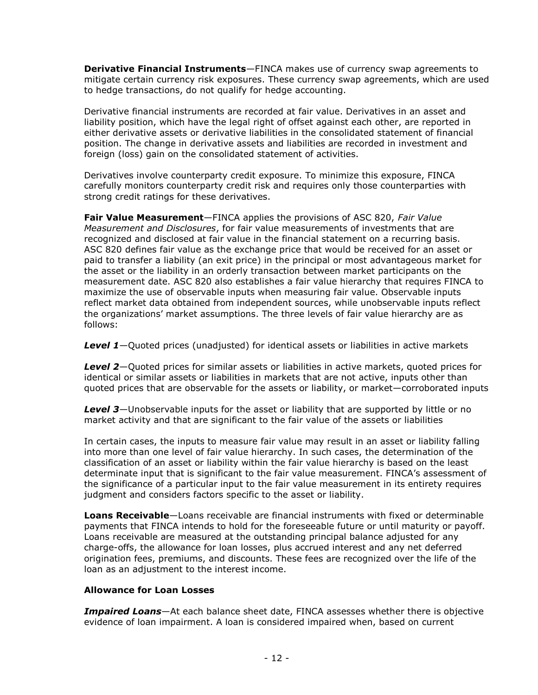**Derivative Financial Instruments**—FINCA makes use of currency swap agreements to mitigate certain currency risk exposures. These currency swap agreements, which are used to hedge transactions, do not qualify for hedge accounting.

Derivative financial instruments are recorded at fair value. Derivatives in an asset and liability position, which have the legal right of offset against each other, are reported in either derivative assets or derivative liabilities in the consolidated statement of financial position. The change in derivative assets and liabilities are recorded in investment and foreign (loss) gain on the consolidated statement of activities.

Derivatives involve counterparty credit exposure. To minimize this exposure, FINCA carefully monitors counterparty credit risk and requires only those counterparties with strong credit ratings for these derivatives.

Fair Value Measurement–FINCA applies the provisions of ASC 820, Fair Value Measurement and Disclosures, for fair value measurements of investments that are recognized and disclosed at fair value in the financial statement on a recurring basis. ASC 820 defines fair value as the exchange price that would be received for an asset or paid to transfer a liability (an exit price) in the principal or most advantageous market for the asset or the liability in an orderly transaction between market participants on the measurement date. ASC 820 also establishes a fair value hierarchy that requires FINCA to maximize the use of observable inputs when measuring fair value. Observable inputs reflect market data obtained from independent sources, while unobservable inputs reflect the organizations' market assumptions. The three levels of fair value hierarchy are as follows:

**Level 1**—Quoted prices (unadjusted) for identical assets or liabilities in active markets

Level 2-Quoted prices for similar assets or liabilities in active markets, quoted prices for identical or similar assets or liabilities in markets that are not active, inputs other than quoted prices that are observable for the assets or liability, or market—corroborated inputs

**Level 3**—Unobservable inputs for the asset or liability that are supported by little or no market activity and that are significant to the fair value of the assets or liabilities

In certain cases, the inputs to measure fair value may result in an asset or liability falling into more than one level of fair value hierarchy. In such cases, the determination of the classification of an asset or liability within the fair value hierarchy is based on the least determinate input that is significant to the fair value measurement. FINCA's assessment of the significance of a particular input to the fair value measurement in its entirety requires judgment and considers factors specific to the asset or liability.

Loans Receivable-Loans receivable are financial instruments with fixed or determinable payments that FINCA intends to hold for the foreseeable future or until maturity or payoff. Loans receivable are measured at the outstanding principal balance adjusted for any charge-offs, the allowance for loan losses, plus accrued interest and any net deferred origination fees, premiums, and discounts. These fees are recognized over the life of the loan as an adjustment to the interest income.

#### Allowance for Loan Losses

Impaired Loans—At each balance sheet date, FINCA assesses whether there is objective evidence of loan impairment. A loan is considered impaired when, based on current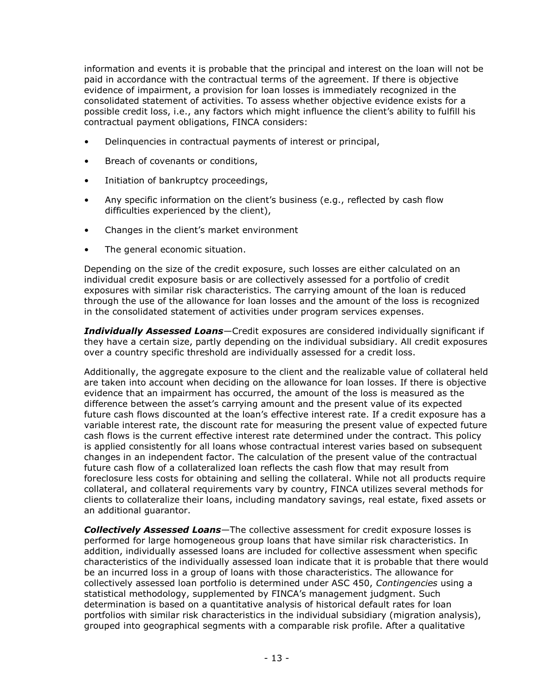information and events it is probable that the principal and interest on the loan will not be paid in accordance with the contractual terms of the agreement. If there is objective evidence of impairment, a provision for loan losses is immediately recognized in the consolidated statement of activities. To assess whether objective evidence exists for a possible credit loss, i.e., any factors which might influence the client's ability to fulfill his contractual payment obligations, FINCA considers:

- Delinquencies in contractual payments of interest or principal,
- Breach of covenants or conditions,
- Initiation of bankruptcy proceedings,
- Any specific information on the client's business (e.g., reflected by cash flow difficulties experienced by the client),
- Changes in the client's market environment
- The general economic situation.

Depending on the size of the credit exposure, such losses are either calculated on an individual credit exposure basis or are collectively assessed for a portfolio of credit exposures with similar risk characteristics. The carrying amount of the loan is reduced through the use of the allowance for loan losses and the amount of the loss is recognized in the consolidated statement of activities under program services expenses.

**Individually Assessed Loans**—Credit exposures are considered individually significant if they have a certain size, partly depending on the individual subsidiary. All credit exposures over a country specific threshold are individually assessed for a credit loss.

Additionally, the aggregate exposure to the client and the realizable value of collateral held are taken into account when deciding on the allowance for loan losses. If there is objective evidence that an impairment has occurred, the amount of the loss is measured as the difference between the asset's carrying amount and the present value of its expected future cash flows discounted at the loan's effective interest rate. If a credit exposure has a variable interest rate, the discount rate for measuring the present value of expected future cash flows is the current effective interest rate determined under the contract. This policy is applied consistently for all loans whose contractual interest varies based on subsequent changes in an independent factor. The calculation of the present value of the contractual future cash flow of a collateralized loan reflects the cash flow that may result from foreclosure less costs for obtaining and selling the collateral. While not all products require collateral, and collateral requirements vary by country, FINCA utilizes several methods for clients to collateralize their loans, including mandatory savings, real estate, fixed assets or an additional guarantor.

Collectively Assessed Loans-The collective assessment for credit exposure losses is performed for large homogeneous group loans that have similar risk characteristics. In addition, individually assessed loans are included for collective assessment when specific characteristics of the individually assessed loan indicate that it is probable that there would be an incurred loss in a group of loans with those characteristics. The allowance for collectively assessed loan portfolio is determined under ASC 450, Contingencies using a statistical methodology, supplemented by FINCA's management judgment. Such determination is based on a quantitative analysis of historical default rates for loan portfolios with similar risk characteristics in the individual subsidiary (migration analysis), grouped into geographical segments with a comparable risk profile. After a qualitative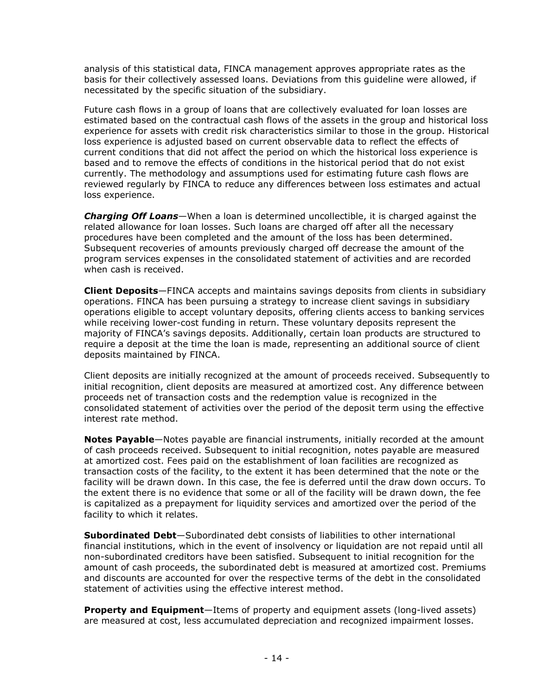analysis of this statistical data, FINCA management approves appropriate rates as the basis for their collectively assessed loans. Deviations from this guideline were allowed, if necessitated by the specific situation of the subsidiary.

Future cash flows in a group of loans that are collectively evaluated for loan losses are estimated based on the contractual cash flows of the assets in the group and historical loss experience for assets with credit risk characteristics similar to those in the group. Historical loss experience is adjusted based on current observable data to reflect the effects of current conditions that did not affect the period on which the historical loss experience is based and to remove the effects of conditions in the historical period that do not exist currently. The methodology and assumptions used for estimating future cash flows are reviewed regularly by FINCA to reduce any differences between loss estimates and actual loss experience.

**Charging Off Loans**—When a loan is determined uncollectible, it is charged against the related allowance for loan losses. Such loans are charged off after all the necessary procedures have been completed and the amount of the loss has been determined. Subsequent recoveries of amounts previously charged off decrease the amount of the program services expenses in the consolidated statement of activities and are recorded when cash is received.

**Client Deposits**—FINCA accepts and maintains savings deposits from clients in subsidiary operations. FINCA has been pursuing a strategy to increase client savings in subsidiary operations eligible to accept voluntary deposits, offering clients access to banking services while receiving lower-cost funding in return. These voluntary deposits represent the majority of FINCA's savings deposits. Additionally, certain loan products are structured to require a deposit at the time the loan is made, representing an additional source of client deposits maintained by FINCA.

Client deposits are initially recognized at the amount of proceeds received. Subsequently to initial recognition, client deposits are measured at amortized cost. Any difference between proceeds net of transaction costs and the redemption value is recognized in the consolidated statement of activities over the period of the deposit term using the effective interest rate method.

Notes Payable–Notes payable are financial instruments, initially recorded at the amount of cash proceeds received. Subsequent to initial recognition, notes payable are measured at amortized cost. Fees paid on the establishment of loan facilities are recognized as transaction costs of the facility, to the extent it has been determined that the note or the facility will be drawn down. In this case, the fee is deferred until the draw down occurs. To the extent there is no evidence that some or all of the facility will be drawn down, the fee is capitalized as a prepayment for liquidity services and amortized over the period of the facility to which it relates.

Subordinated Debt-Subordinated debt consists of liabilities to other international financial institutions, which in the event of insolvency or liquidation are not repaid until all non-subordinated creditors have been satisfied. Subsequent to initial recognition for the amount of cash proceeds, the subordinated debt is measured at amortized cost. Premiums and discounts are accounted for over the respective terms of the debt in the consolidated statement of activities using the effective interest method.

**Property and Equipment**—Items of property and equipment assets (long-lived assets) are measured at cost, less accumulated depreciation and recognized impairment losses.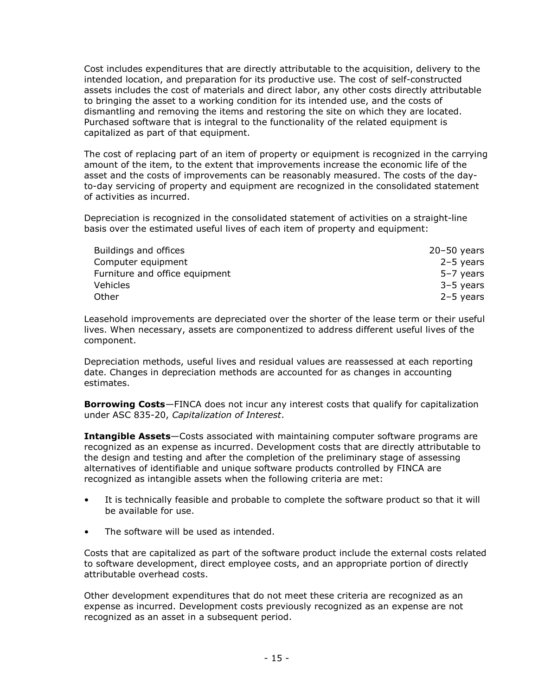Cost includes expenditures that are directly attributable to the acquisition, delivery to the intended location, and preparation for its productive use. The cost of self-constructed assets includes the cost of materials and direct labor, any other costs directly attributable to bringing the asset to a working condition for its intended use, and the costs of dismantling and removing the items and restoring the site on which they are located. Purchased software that is integral to the functionality of the related equipment is capitalized as part of that equipment. st includes expenditures that are directly attributable to the acquisition, delivery to the sets includes the cost of materials and direct labor, any other costs directly attributable bringing the asset to a working condit st includes expenditures that are directly attributable to the acquisition, delivery to the<br>rended location, and preparation for its productive use. The cost of self-constructed<br>beriended location, and preparation for its by includes expenditures that are directly attributable to the acquisition, delivery to the enterded location, and preparation for its productive use. The cost of self-constructed ests includes the cost of materials and di st includes expenditures that are directly attributable to the acquisition, delivery to the<br>ended location, and preparation for its productive use. The cost of self-constructed<br>bringing the acset of materials and direct la ist includes expenditures that are directly attributable to the acquisition, delivery to the<br>ended location, and preparation for its productive use. The cost of self-constructed<br>enests includes the cost of materials and di

The cost of replacing part of an item of property or equipment is recognized in the carrying amount of the item, to the extent that improvements increase the economic life of the asset and the costs of improvements can be reasonably measured. The costs of the dayto-day servicing of property and equipment are recognized in the consolidated statement of activities as incurred.

Depreciation is recognized in the consolidated statement of activities on a straight-line basis over the estimated useful lives of each item of property and equipment:

| Buildings and offices          | $20 - 50$ years |
|--------------------------------|-----------------|
| Computer equipment             | $2-5$ years     |
| Furniture and office equipment | 5-7 years       |
| Vehicles                       | 3-5 years       |
| Other                          | $2-5$ years     |

Leasehold improvements are depreciated over the shorter of the lease term or their useful lives. When necessary, assets are componentized to address different useful lives of the component.

Depreciation methods, useful lives and residual values are reassessed at each reporting date. Changes in depreciation methods are accounted for as changes in accounting estimates.

**Borrowing Costs**—FINCA does not incur any interest costs that qualify for capitalization under ASC 835-20, Capitalization of Interest.

**Intangible Assets**—Costs associated with maintaining computer software programs are recognized as an expense as incurred. Development costs that are directly attributable to the design and testing and after the completion of the preliminary stage of assessing alternatives of identifiable and unique software products controlled by FINCA are recognized as intangible assets when the following criteria are met:

- It is technically feasible and probable to complete the software product so that it will be available for use.
- The software will be used as intended.

Costs that are capitalized as part of the software product include the external costs related to software development, direct employee costs, and an appropriate portion of directly attributable overhead costs.

Other development expenditures that do not meet these criteria are recognized as an expense as incurred. Development costs previously recognized as an expense are not recognized as an asset in a subsequent period.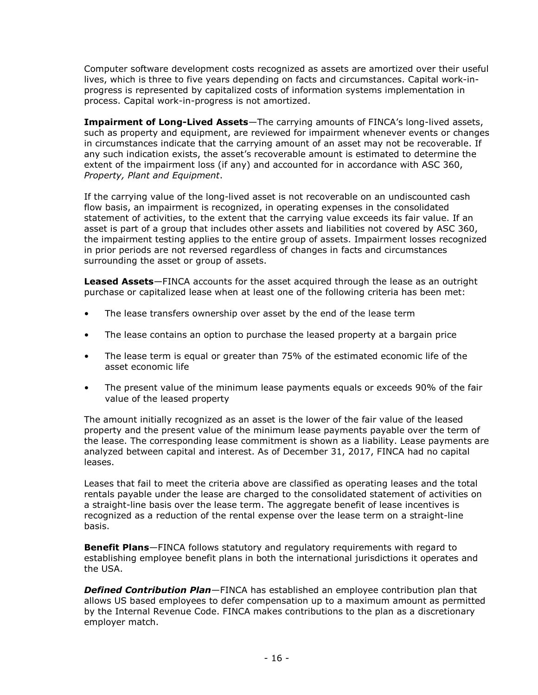Computer software development costs recognized as assets are amortized over their useful lives, which is three to five years depending on facts and circumstances. Capital work-inprogress is represented by capitalized costs of information systems implementation in process. Capital work-in-progress is not amortized.

**Impairment of Long-Lived Assets**—The carrying amounts of FINCA's long-lived assets, such as property and equipment, are reviewed for impairment whenever events or changes in circumstances indicate that the carrying amount of an asset may not be recoverable. If any such indication exists, the asset's recoverable amount is estimated to determine the extent of the impairment loss (if any) and accounted for in accordance with ASC 360, Property, Plant and Equipment.

If the carrying value of the long-lived asset is not recoverable on an undiscounted cash flow basis, an impairment is recognized, in operating expenses in the consolidated statement of activities, to the extent that the carrying value exceeds its fair value. If an asset is part of a group that includes other assets and liabilities not covered by ASC 360, the impairment testing applies to the entire group of assets. Impairment losses recognized in prior periods are not reversed regardless of changes in facts and circumstances surrounding the asset or group of assets.

Leased Assets-FINCA accounts for the asset acquired through the lease as an outright purchase or capitalized lease when at least one of the following criteria has been met:

- The lease transfers ownership over asset by the end of the lease term
- The lease contains an option to purchase the leased property at a bargain price
- The lease term is equal or greater than 75% of the estimated economic life of the asset economic life
- The present value of the minimum lease payments equals or exceeds 90% of the fair value of the leased property

The amount initially recognized as an asset is the lower of the fair value of the leased property and the present value of the minimum lease payments payable over the term of the lease. The corresponding lease commitment is shown as a liability. Lease payments are analyzed between capital and interest. As of December 31, 2017, FINCA had no capital leases.

Leases that fail to meet the criteria above are classified as operating leases and the total rentals payable under the lease are charged to the consolidated statement of activities on a straight-line basis over the lease term. The aggregate benefit of lease incentives is recognized as a reduction of the rental expense over the lease term on a straight-line basis.

**Benefit Plans**—FINCA follows statutory and regulatory requirements with regard to establishing employee benefit plans in both the international jurisdictions it operates and the USA.

**Defined Contribution Plan**—FINCA has established an employee contribution plan that allows US based employees to defer compensation up to a maximum amount as permitted by the Internal Revenue Code. FINCA makes contributions to the plan as a discretionary employer match.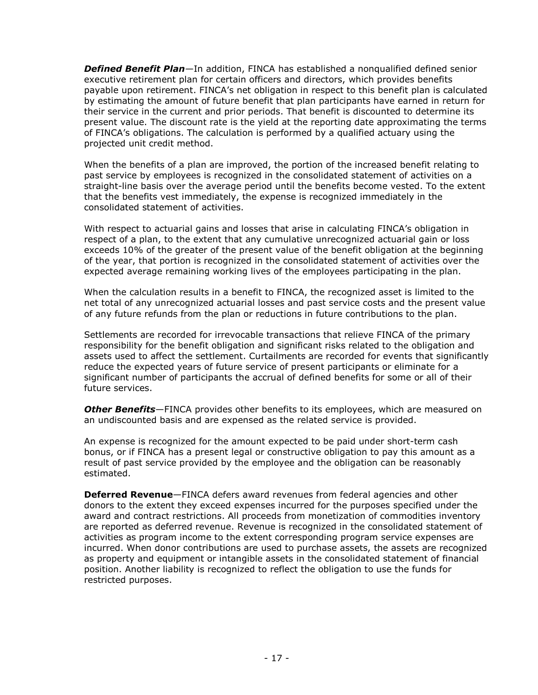**Defined Benefit Plan**—In addition, FINCA has established a nonqualified defined senior executive retirement plan for certain officers and directors, which provides benefits payable upon retirement. FINCA's net obligation in respect to this benefit plan is calculated by estimating the amount of future benefit that plan participants have earned in return for their service in the current and prior periods. That benefit is discounted to determine its present value. The discount rate is the yield at the reporting date approximating the terms of FINCA's obligations. The calculation is performed by a qualified actuary using the projected unit credit method.

When the benefits of a plan are improved, the portion of the increased benefit relating to past service by employees is recognized in the consolidated statement of activities on a straight-line basis over the average period until the benefits become vested. To the extent that the benefits vest immediately, the expense is recognized immediately in the consolidated statement of activities.

With respect to actuarial gains and losses that arise in calculating FINCA's obligation in respect of a plan, to the extent that any cumulative unrecognized actuarial gain or loss exceeds 10% of the greater of the present value of the benefit obligation at the beginning of the year, that portion is recognized in the consolidated statement of activities over the expected average remaining working lives of the employees participating in the plan.

When the calculation results in a benefit to FINCA, the recognized asset is limited to the net total of any unrecognized actuarial losses and past service costs and the present value of any future refunds from the plan or reductions in future contributions to the plan.

Settlements are recorded for irrevocable transactions that relieve FINCA of the primary responsibility for the benefit obligation and significant risks related to the obligation and assets used to affect the settlement. Curtailments are recorded for events that significantly reduce the expected years of future service of present participants or eliminate for a significant number of participants the accrual of defined benefits for some or all of their future services.

Other Benefits-FINCA provides other benefits to its employees, which are measured on an undiscounted basis and are expensed as the related service is provided.

An expense is recognized for the amount expected to be paid under short-term cash bonus, or if FINCA has a present legal or constructive obligation to pay this amount as a result of past service provided by the employee and the obligation can be reasonably estimated.

**Deferred Revenue**—FINCA defers award revenues from federal agencies and other donors to the extent they exceed expenses incurred for the purposes specified under the award and contract restrictions. All proceeds from monetization of commodities inventory are reported as deferred revenue. Revenue is recognized in the consolidated statement of activities as program income to the extent corresponding program service expenses are incurred. When donor contributions are used to purchase assets, the assets are recognized as property and equipment or intangible assets in the consolidated statement of financial position. Another liability is recognized to reflect the obligation to use the funds for restricted purposes.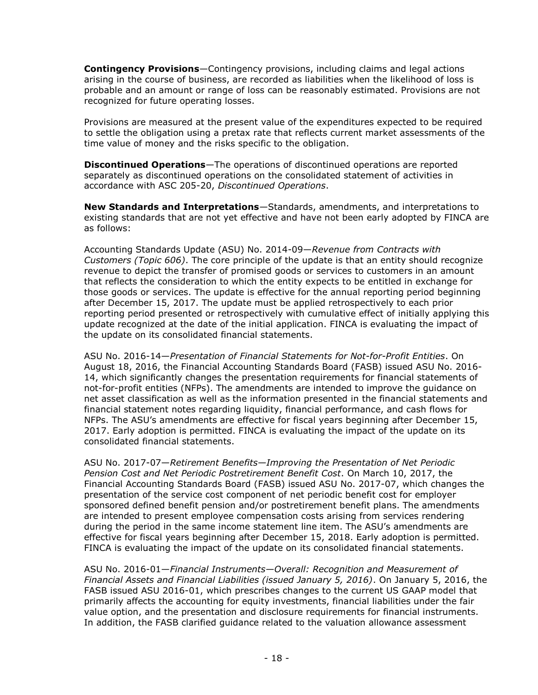**Contingency Provisions**—Contingency provisions, including claims and legal actions arising in the course of business, are recorded as liabilities when the likelihood of loss is probable and an amount or range of loss can be reasonably estimated. Provisions are not recognized for future operating losses.

Provisions are measured at the present value of the expenditures expected to be required to settle the obligation using a pretax rate that reflects current market assessments of the time value of money and the risks specific to the obligation.

**Discontinued Operations**—The operations of discontinued operations are reported separately as discontinued operations on the consolidated statement of activities in accordance with ASC 205-20, Discontinued Operations.

New Standards and Interpretations—Standards, amendments, and interpretations to existing standards that are not yet effective and have not been early adopted by FINCA are as follows:

Accounting Standards Update (ASU) No. 2014-09—Revenue from Contracts with Customers (Topic 606). The core principle of the update is that an entity should recognize revenue to depict the transfer of promised goods or services to customers in an amount that reflects the consideration to which the entity expects to be entitled in exchange for those goods or services. The update is effective for the annual reporting period beginning after December 15, 2017. The update must be applied retrospectively to each prior reporting period presented or retrospectively with cumulative effect of initially applying this update recognized at the date of the initial application. FINCA is evaluating the impact of the update on its consolidated financial statements.

ASU No. 2016-14—Presentation of Financial Statements for Not-for-Profit Entities. On August 18, 2016, the Financial Accounting Standards Board (FASB) issued ASU No. 2016- 14, which significantly changes the presentation requirements for financial statements of not-for-profit entities (NFPs). The amendments are intended to improve the guidance on net asset classification as well as the information presented in the financial statements and financial statement notes regarding liquidity, financial performance, and cash flows for NFPs. The ASU's amendments are effective for fiscal years beginning after December 15, 2017. Early adoption is permitted. FINCA is evaluating the impact of the update on its consolidated financial statements.

ASU No. 2017-07—Retirement Benefits—Improving the Presentation of Net Periodic Pension Cost and Net Periodic Postretirement Benefit Cost. On March 10, 2017, the Financial Accounting Standards Board (FASB) issued ASU No. 2017-07, which changes the presentation of the service cost component of net periodic benefit cost for employer sponsored defined benefit pension and/or postretirement benefit plans. The amendments are intended to present employee compensation costs arising from services rendering during the period in the same income statement line item. The ASU's amendments are effective for fiscal years beginning after December 15, 2018. Early adoption is permitted. FINCA is evaluating the impact of the update on its consolidated financial statements.

ASU No. 2016-01—Financial Instruments—Overall: Recognition and Measurement of Financial Assets and Financial Liabilities (issued January 5, 2016). On January 5, 2016, the FASB issued ASU 2016-01, which prescribes changes to the current US GAAP model that primarily affects the accounting for equity investments, financial liabilities under the fair value option, and the presentation and disclosure requirements for financial instruments. In addition, the FASB clarified guidance related to the valuation allowance assessment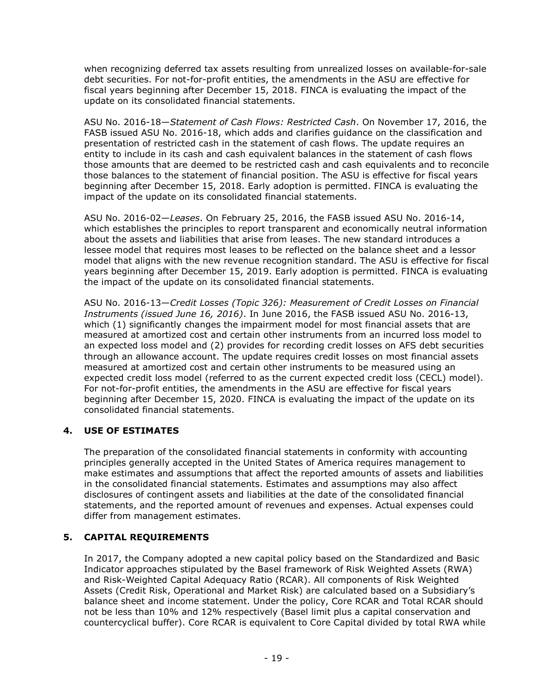when recognizing deferred tax assets resulting from unrealized losses on available-for-sale debt securities. For not-for-profit entities, the amendments in the ASU are effective for fiscal years beginning after December 15, 2018. FINCA is evaluating the impact of the update on its consolidated financial statements.

ASU No. 2016-18—Statement of Cash Flows: Restricted Cash. On November 17, 2016, the FASB issued ASU No. 2016-18, which adds and clarifies guidance on the classification and presentation of restricted cash in the statement of cash flows. The update requires an entity to include in its cash and cash equivalent balances in the statement of cash flows those amounts that are deemed to be restricted cash and cash equivalents and to reconcile those balances to the statement of financial position. The ASU is effective for fiscal years beginning after December 15, 2018. Early adoption is permitted. FINCA is evaluating the impact of the update on its consolidated financial statements.

ASU No. 2016-02—Leases. On February 25, 2016, the FASB issued ASU No. 2016-14, which establishes the principles to report transparent and economically neutral information about the assets and liabilities that arise from leases. The new standard introduces a lessee model that requires most leases to be reflected on the balance sheet and a lessor model that aligns with the new revenue recognition standard. The ASU is effective for fiscal years beginning after December 15, 2019. Early adoption is permitted. FINCA is evaluating the impact of the update on its consolidated financial statements.

ASU No. 2016-13—Credit Losses (Topic 326): Measurement of Credit Losses on Financial Instruments (issued June 16, 2016). In June 2016, the FASB issued ASU No. 2016-13, which (1) significantly changes the impairment model for most financial assets that are measured at amortized cost and certain other instruments from an incurred loss model to an expected loss model and (2) provides for recording credit losses on AFS debt securities through an allowance account. The update requires credit losses on most financial assets measured at amortized cost and certain other instruments to be measured using an expected credit loss model (referred to as the current expected credit loss (CECL) model). For not-for-profit entities, the amendments in the ASU are effective for fiscal years beginning after December 15, 2020. FINCA is evaluating the impact of the update on its consolidated financial statements.

## 4. USE OF ESTIMATES

The preparation of the consolidated financial statements in conformity with accounting principles generally accepted in the United States of America requires management to make estimates and assumptions that affect the reported amounts of assets and liabilities in the consolidated financial statements. Estimates and assumptions may also affect disclosures of contingent assets and liabilities at the date of the consolidated financial statements, and the reported amount of revenues and expenses. Actual expenses could differ from management estimates.

# 5. CAPITAL REQUIREMENTS

In 2017, the Company adopted a new capital policy based on the Standardized and Basic Indicator approaches stipulated by the Basel framework of Risk Weighted Assets (RWA) and Risk-Weighted Capital Adequacy Ratio (RCAR). All components of Risk Weighted Assets (Credit Risk, Operational and Market Risk) are calculated based on a Subsidiary's balance sheet and income statement. Under the policy, Core RCAR and Total RCAR should not be less than 10% and 12% respectively (Basel limit plus a capital conservation and countercyclical buffer). Core RCAR is equivalent to Core Capital divided by total RWA while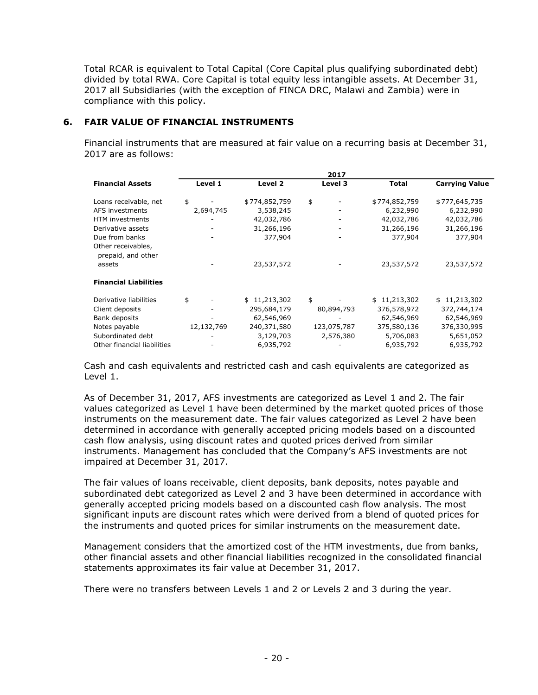#### 6. FAIR VALUE OF FINANCIAL INSTRUMENTS

| otal RCAR is equivalent to Total Capital (Core Capital plus qualifying subordinated debt)<br>ivided by total RWA. Core Capital is total equity less intangible assets. At December 31,<br>017 all Subsidiaries (with the exception of FINCA DRC, Malawi and Zambia) were in |            |                         |              |                         |                         |
|-----------------------------------------------------------------------------------------------------------------------------------------------------------------------------------------------------------------------------------------------------------------------------|------------|-------------------------|--------------|-------------------------|-------------------------|
|                                                                                                                                                                                                                                                                             |            |                         |              |                         |                         |
|                                                                                                                                                                                                                                                                             |            |                         |              |                         |                         |
|                                                                                                                                                                                                                                                                             |            |                         |              |                         |                         |
|                                                                                                                                                                                                                                                                             |            |                         |              |                         |                         |
|                                                                                                                                                                                                                                                                             |            |                         |              |                         |                         |
| ompliance with this policy.                                                                                                                                                                                                                                                 |            |                         |              |                         |                         |
|                                                                                                                                                                                                                                                                             |            |                         |              |                         |                         |
| AIR VALUE OF FINANCIAL INSTRUMENTS                                                                                                                                                                                                                                          |            |                         |              |                         |                         |
|                                                                                                                                                                                                                                                                             |            |                         |              |                         |                         |
|                                                                                                                                                                                                                                                                             |            |                         |              |                         |                         |
| inancial instruments that are measured at fair value on a recurring basis at December 31,                                                                                                                                                                                   |            |                         |              |                         |                         |
| 017 are as follows:                                                                                                                                                                                                                                                         |            |                         |              |                         |                         |
|                                                                                                                                                                                                                                                                             |            |                         |              |                         |                         |
|                                                                                                                                                                                                                                                                             |            |                         | 2017         |                         |                         |
| <b>Financial Assets</b>                                                                                                                                                                                                                                                     | Level 1    | Level 2                 | Level 3      | Total                   | <b>Carrying Value</b>   |
|                                                                                                                                                                                                                                                                             |            | \$774,852,759           | \$           | \$774,852,759           | \$777,645,735           |
|                                                                                                                                                                                                                                                                             | \$         |                         |              |                         |                         |
| Loans receivable, net<br>AFS investments                                                                                                                                                                                                                                    | 2,694,745  |                         |              |                         |                         |
| HTM investments                                                                                                                                                                                                                                                             |            | 3,538,245<br>42,032,786 |              | 6,232,990<br>42,032,786 | 6,232,990<br>42,032,786 |
| Derivative assets                                                                                                                                                                                                                                                           |            | 31,266,196              |              | 31,266,196              | 31,266,196              |
| Due from banks                                                                                                                                                                                                                                                              |            | 377,904                 |              | 377,904                 | 377,904                 |
| Other receivables,                                                                                                                                                                                                                                                          |            |                         |              |                         |                         |
| prepaid, and other                                                                                                                                                                                                                                                          |            |                         |              |                         |                         |
| assets                                                                                                                                                                                                                                                                      |            | 23,537,572              |              | 23,537,572              | 23,537,572              |
| <b>Financial Liabilities</b>                                                                                                                                                                                                                                                |            |                         |              |                         |                         |
|                                                                                                                                                                                                                                                                             |            |                         |              |                         |                         |
| Derivative liabilities                                                                                                                                                                                                                                                      | \$         | \$11,213,302            | \$<br>$\sim$ | \$11,213,302            | \$11,213,302            |
| Client deposits                                                                                                                                                                                                                                                             |            | 295,684,179             | 80,894,793   | 376,578,972             | 372,744,174             |
| Bank deposits                                                                                                                                                                                                                                                               |            | 62,546,969              |              | 62,546,969              | 62,546,969              |
| Notes payable                                                                                                                                                                                                                                                               | 12,132,769 | 240,371,580             | 123,075,787  | 375,580,136             | 376,330,995             |
| Subordinated debt<br>Other financial liabilities                                                                                                                                                                                                                            |            | 3,129,703<br>6,935,792  | 2,576,380    | 5,706,083<br>6,935,792  | 5,651,052<br>6,935,792  |

As of December 31, 2017, AFS investments are categorized as Level 1 and 2. The fair values categorized as Level 1 have been determined by the market quoted prices of those instruments on the measurement date. The fair values categorized as Level 2 have been determined in accordance with generally accepted pricing models based on a discounted cash flow analysis, using discount rates and quoted prices derived from similar instruments. Management has concluded that the Company's AFS investments are not impaired at December 31, 2017.

The fair values of loans receivable, client deposits, bank deposits, notes payable and subordinated debt categorized as Level 2 and 3 have been determined in accordance with generally accepted pricing models based on a discounted cash flow analysis. The most significant inputs are discount rates which were derived from a blend of quoted prices for the instruments and quoted prices for similar instruments on the measurement date.

Management considers that the amortized cost of the HTM investments, due from banks, other financial assets and other financial liabilities recognized in the consolidated financial statements approximates its fair value at December 31, 2017.

There were no transfers between Levels 1 and 2 or Levels 2 and 3 during the year.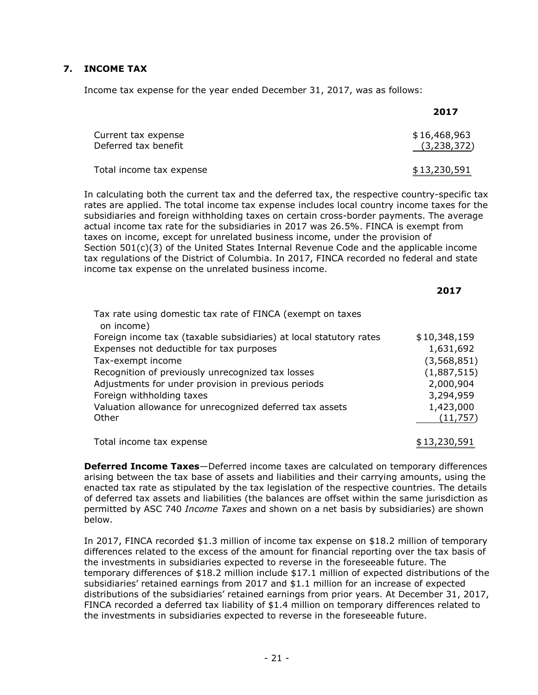#### 7. INCOME TAX

| <b>NCOME TAX</b>                                                        |                               |
|-------------------------------------------------------------------------|-------------------------------|
| icome tax expense for the year ended December 31, 2017, was as follows: |                               |
|                                                                         | 2017                          |
| Current tax expense<br>Deferred tax benefit                             | \$16,468,963<br>(3, 238, 372) |
|                                                                         |                               |
| Total income tax expense                                                | \$13,230,591                  |

In calculating both the current tax and the deferred tax, the respective country-specific tax rates are applied. The total income tax expense includes local country income taxes for the subsidiaries and foreign withholding taxes on certain cross-border payments. The average actual income tax rate for the subsidiaries in 2017 was 26.5%. FINCA is exempt from taxes on income, except for unrelated business income, under the provision of Section 501(c)(3) of the United States Internal Revenue Code and the applicable income tax regulations of the District of Columbia. In 2017, FINCA recorded no federal and state income tax expense on the unrelated business income. **2017**<br> **Example 12017**<br> **Example 12018**<br> **Example 12018**<br> **Example 12018**<br> **Example 12018**<br> **Example 31.3.230.591**<br> **Contained income tax expense includes local country-specific tax<br>
besidiaries and foreign withholding t** 

| Current tax expense<br>Deferred tax benefit                                                                                                                                                                                                                                                                                                                                                                                                                                                                                                                                                                                                                                                          | \$16,468,963<br>(3, 238, 372) |
|------------------------------------------------------------------------------------------------------------------------------------------------------------------------------------------------------------------------------------------------------------------------------------------------------------------------------------------------------------------------------------------------------------------------------------------------------------------------------------------------------------------------------------------------------------------------------------------------------------------------------------------------------------------------------------------------------|-------------------------------|
| Total income tax expense                                                                                                                                                                                                                                                                                                                                                                                                                                                                                                                                                                                                                                                                             | \$13,230,591                  |
| calculating both the current tax and the deferred tax, the respective country-specific tax<br>ites are applied. The total income tax expense includes local country income taxes for the<br>ubsidiaries and foreign withholding taxes on certain cross-border payments. The average<br>ctual income tax rate for the subsidiaries in 2017 was 26.5%. FINCA is exempt from<br>ixes on income, except for unrelated business income, under the provision of<br>ection 501(c)(3) of the United States Internal Revenue Code and the applicable income<br>ix regulations of the District of Columbia. In 2017, FINCA recorded no federal and state<br>come tax expense on the unrelated business income. |                               |
|                                                                                                                                                                                                                                                                                                                                                                                                                                                                                                                                                                                                                                                                                                      | 2017                          |
| Tax rate using domestic tax rate of FINCA (exempt on taxes<br>on income)                                                                                                                                                                                                                                                                                                                                                                                                                                                                                                                                                                                                                             |                               |
| Foreign income tax (taxable subsidiaries) at local statutory rates                                                                                                                                                                                                                                                                                                                                                                                                                                                                                                                                                                                                                                   | \$10,348,159                  |
| Expenses not deductible for tax purposes                                                                                                                                                                                                                                                                                                                                                                                                                                                                                                                                                                                                                                                             | 1,631,692                     |
| Tax-exempt income                                                                                                                                                                                                                                                                                                                                                                                                                                                                                                                                                                                                                                                                                    | (3,568,851)                   |
| Recognition of previously unrecognized tax losses                                                                                                                                                                                                                                                                                                                                                                                                                                                                                                                                                                                                                                                    | (1,887,515)                   |
| Adjustments for under provision in previous periods                                                                                                                                                                                                                                                                                                                                                                                                                                                                                                                                                                                                                                                  | 2,000,904                     |
| Foreign withholding taxes                                                                                                                                                                                                                                                                                                                                                                                                                                                                                                                                                                                                                                                                            | 3,294,959                     |
| Valuation allowance for unrecognized deferred tax assets<br>Other                                                                                                                                                                                                                                                                                                                                                                                                                                                                                                                                                                                                                                    | 1,423,000<br>(11, 757)        |
| Total income tax expense                                                                                                                                                                                                                                                                                                                                                                                                                                                                                                                                                                                                                                                                             | \$13,230,591                  |
|                                                                                                                                                                                                                                                                                                                                                                                                                                                                                                                                                                                                                                                                                                      |                               |

**Deferred Income Taxes**—Deferred income taxes are calculated on temporary differences arising between the tax base of assets and liabilities and their carrying amounts, using the enacted tax rate as stipulated by the tax legislation of the respective countries. The details of deferred tax assets and liabilities (the balances are offset within the same jurisdiction as permitted by ASC 740 Income Taxes and shown on a net basis by subsidiaries) are shown below.

In 2017, FINCA recorded \$1.3 million of income tax expense on \$18.2 million of temporary differences related to the excess of the amount for financial reporting over the tax basis of the investments in subsidiaries expected to reverse in the foreseeable future. The temporary differences of \$18.2 million include \$17.1 million of expected distributions of the subsidiaries' retained earnings from 2017 and \$1.1 million for an increase of expected distributions of the subsidiaries' retained earnings from prior years. At December 31, 2017, FINCA recorded a deferred tax liability of \$1.4 million on temporary differences related to the investments in subsidiaries expected to reverse in the foreseeable future.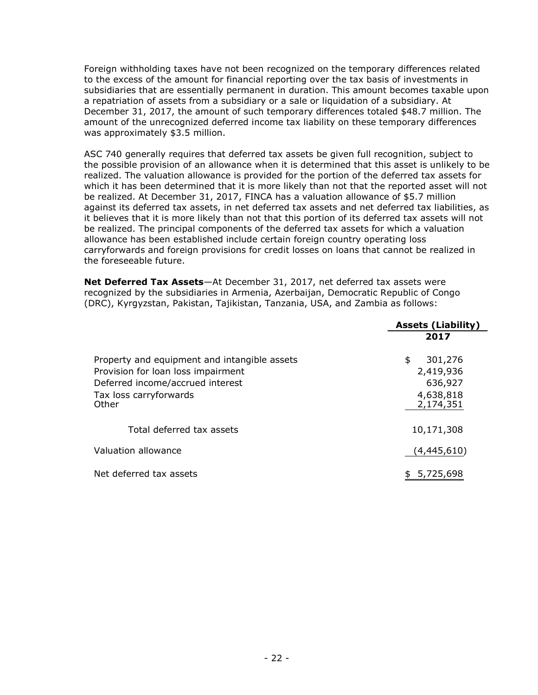Foreign withholding taxes have not been recognized on the temporary differences related to the excess of the amount for financial reporting over the tax basis of investments in subsidiaries that are essentially permanent in duration. This amount becomes taxable upon a repatriation of assets from a subsidiary or a sale or liquidation of a subsidiary. At December 31, 2017, the amount of such temporary differences totaled \$48.7 million. The amount of the unrecognized deferred income tax liability on these temporary differences was approximately \$3.5 million.

| SC 740 generally requires that deferred tax assets be given full recognition, subject to<br>ne possible provision of an allowance when it is determined that this asset is unlikely to be<br>ealized. The valuation allowance is provided for the portion of the deferred tax assets for<br>hich it has been determined that it is more likely than not that the reported asset will not<br>e realized. At December 31, 2017, FINCA has a valuation allowance of \$5.7 million<br>gainst its deferred tax assets, in net deferred tax assets and net deferred tax liabilities, as<br>believes that it is more likely than not that this portion of its deferred tax assets will not<br>e realized. The principal components of the deferred tax assets for which a valuation<br>llowance has been established include certain foreign country operating loss<br>arryforwards and foreign provisions for credit losses on loans that cannot be realized in<br>ne foreseeable future. |                                                                 |
|-------------------------------------------------------------------------------------------------------------------------------------------------------------------------------------------------------------------------------------------------------------------------------------------------------------------------------------------------------------------------------------------------------------------------------------------------------------------------------------------------------------------------------------------------------------------------------------------------------------------------------------------------------------------------------------------------------------------------------------------------------------------------------------------------------------------------------------------------------------------------------------------------------------------------------------------------------------------------------------|-----------------------------------------------------------------|
| let Deferred Tax Assets—At December 31, 2017, net deferred tax assets were<br>ecognized by the subsidiaries in Armenia, Azerbaijan, Democratic Republic of Congo<br>DRC), Kyrgyzstan, Pakistan, Tajikistan, Tanzania, USA, and Zambia as follows:                                                                                                                                                                                                                                                                                                                                                                                                                                                                                                                                                                                                                                                                                                                                   | <b>Assets (Liability)</b><br>2017                               |
| Property and equipment and intangible assets<br>Provision for loan loss impairment<br>Deferred income/accrued interest<br>Tax loss carryforwards<br>Other                                                                                                                                                                                                                                                                                                                                                                                                                                                                                                                                                                                                                                                                                                                                                                                                                           | \$<br>301,276<br>2,419,936<br>636,927<br>4,638,818<br>2,174,351 |
| Total deferred tax assets                                                                                                                                                                                                                                                                                                                                                                                                                                                                                                                                                                                                                                                                                                                                                                                                                                                                                                                                                           | 10,171,308                                                      |
| Valuation allowance                                                                                                                                                                                                                                                                                                                                                                                                                                                                                                                                                                                                                                                                                                                                                                                                                                                                                                                                                                 | (4,445,610)                                                     |
| Net deferred tax assets                                                                                                                                                                                                                                                                                                                                                                                                                                                                                                                                                                                                                                                                                                                                                                                                                                                                                                                                                             | \$5,725,698                                                     |
|                                                                                                                                                                                                                                                                                                                                                                                                                                                                                                                                                                                                                                                                                                                                                                                                                                                                                                                                                                                     |                                                                 |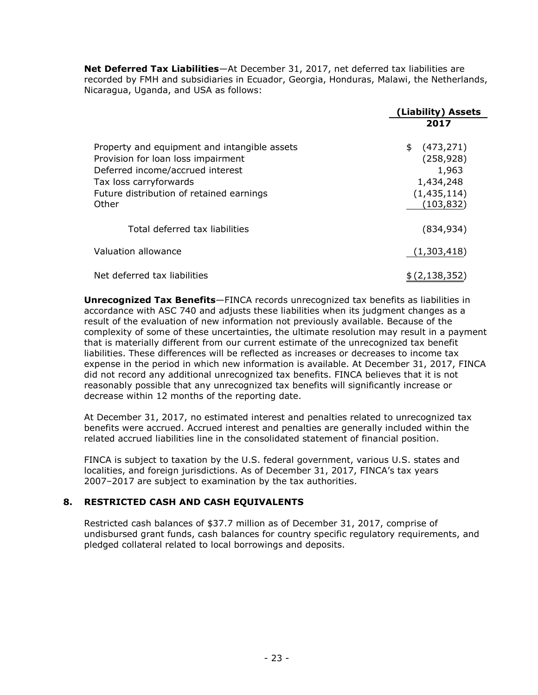| et Deferred Tax Liabilities-At December 31, 2017, net deferred tax liabilities are<br>corded by FMH and subsidiaries in Ecuador, Georgia, Honduras, Malawi, the Netherlands,<br>icaragua, Uganda, and USA as follows: |                            |
|-----------------------------------------------------------------------------------------------------------------------------------------------------------------------------------------------------------------------|----------------------------|
|                                                                                                                                                                                                                       |                            |
|                                                                                                                                                                                                                       | (Liability) Assets<br>2017 |
|                                                                                                                                                                                                                       |                            |
|                                                                                                                                                                                                                       |                            |
| Property and equipment and intangible assets                                                                                                                                                                          | (473, 271)<br>\$           |
| Provision for loan loss impairment                                                                                                                                                                                    | (258, 928)                 |
| Deferred income/accrued interest                                                                                                                                                                                      | 1,963                      |
| Future distribution of retained earnings                                                                                                                                                                              | 1,434,248<br>(1, 435, 114) |
| Tax loss carryforwards<br>Other                                                                                                                                                                                       | (103, 832)                 |
| Total deferred tax liabilities                                                                                                                                                                                        | (834, 934)                 |
| Valuation allowance                                                                                                                                                                                                   | (1,303,418)                |

Unrecognized Tax Benefits-FINCA records unrecognized tax benefits as liabilities in accordance with ASC 740 and adjusts these liabilities when its judgment changes as a result of the evaluation of new information not previously available. Because of the complexity of some of these uncertainties, the ultimate resolution may result in a payment that is materially different from our current estimate of the unrecognized tax benefit liabilities. These differences will be reflected as increases or decreases to income tax expense in the period in which new information is available. At December 31, 2017, FINCA did not record any additional unrecognized tax benefits. FINCA believes that it is not reasonably possible that any unrecognized tax benefits will significantly increase or decrease within 12 months of the reporting date.

At December 31, 2017, no estimated interest and penalties related to unrecognized tax benefits were accrued. Accrued interest and penalties are generally included within the related accrued liabilities line in the consolidated statement of financial position.

FINCA is subject to taxation by the U.S. federal government, various U.S. states and localities, and foreign jurisdictions. As of December 31, 2017, FINCA's tax years 2007–2017 are subject to examination by the tax authorities.

## 8. RESTRICTED CASH AND CASH EQUIVALENTS

Restricted cash balances of \$37.7 million as of December 31, 2017, comprise of undisbursed grant funds, cash balances for country specific regulatory requirements, and pledged collateral related to local borrowings and deposits.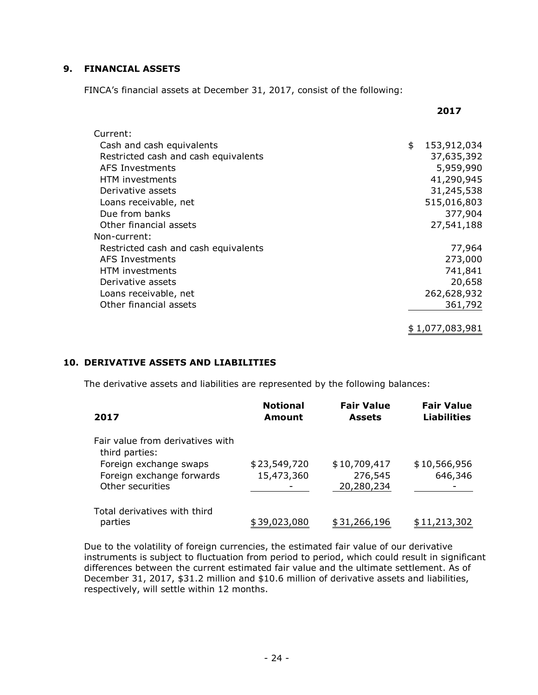## 9. FINANCIAL ASSETS

FINCA's financial assets at December 31, 2017, consist of the following:

|                                                                                 |                                  |                                    | 2017                                    |
|---------------------------------------------------------------------------------|----------------------------------|------------------------------------|-----------------------------------------|
| Current:                                                                        |                                  |                                    |                                         |
| Cash and cash equivalents                                                       |                                  |                                    | 153,912,034<br>\$                       |
| Restricted cash and cash equivalents                                            |                                  |                                    | 37,635,392                              |
| <b>AFS Investments</b>                                                          |                                  |                                    | 5,959,990                               |
| HTM investments                                                                 |                                  |                                    | 41,290,945                              |
| Derivative assets                                                               |                                  |                                    | 31,245,538                              |
| Loans receivable, net                                                           |                                  |                                    | 515,016,803                             |
| Due from banks                                                                  |                                  |                                    | 377,904                                 |
| Other financial assets                                                          |                                  |                                    | 27,541,188                              |
| Non-current:                                                                    |                                  |                                    |                                         |
| Restricted cash and cash equivalents                                            |                                  |                                    | 77,964                                  |
| <b>AFS Investments</b>                                                          |                                  |                                    | 273,000                                 |
| HTM investments                                                                 |                                  |                                    | 741,841                                 |
| Derivative assets                                                               |                                  |                                    | 20,658                                  |
| Loans receivable, net<br>Other financial assets                                 |                                  |                                    | 262,628,932                             |
|                                                                                 |                                  |                                    | 361,792                                 |
|                                                                                 |                                  |                                    | \$1,077,083,981                         |
| <b>ERIVATIVE ASSETS AND LIABILITIES</b>                                         |                                  |                                    |                                         |
| he derivative assets and liabilities are represented by the following balances: |                                  |                                    |                                         |
| 2017                                                                            | <b>Notional</b><br><b>Amount</b> | <b>Fair Value</b><br><b>Assets</b> | <b>Fair Value</b><br><b>Liabilities</b> |
|                                                                                 |                                  |                                    |                                         |
| Fair value from derivatives with<br>third parties:                              |                                  |                                    |                                         |
| Foreign exchange swaps                                                          | \$23,549,720                     | \$10,709,417                       | \$10,566,956                            |

# 10. DERIVATIVE ASSETS AND LIABILITIES

| Non-current:                                                                    |                 |                   |                    |  |
|---------------------------------------------------------------------------------|-----------------|-------------------|--------------------|--|
| Restricted cash and cash equivalents                                            |                 |                   | 77,964             |  |
| AFS Investments                                                                 |                 |                   | 273,000            |  |
| HTM investments                                                                 |                 |                   | 741,841            |  |
| Derivative assets                                                               |                 |                   | 20,658             |  |
| Loans receivable, net                                                           |                 |                   | 262,628,932        |  |
| Other financial assets                                                          |                 |                   | 361,792            |  |
|                                                                                 |                 |                   | \$1,077,083,981    |  |
|                                                                                 |                 |                   |                    |  |
| <b>ERIVATIVE ASSETS AND LIABILITIES</b>                                         |                 |                   |                    |  |
| ie derivative assets and liabilities are represented by the following balances: |                 |                   |                    |  |
|                                                                                 | <b>Notional</b> | <b>Fair Value</b> | <b>Fair Value</b>  |  |
| 2017                                                                            | <b>Amount</b>   | <b>Assets</b>     | <b>Liabilities</b> |  |
| Fair value from derivatives with                                                |                 |                   |                    |  |
| third parties:                                                                  |                 |                   |                    |  |
| Foreign exchange swaps                                                          | \$23,549,720    | \$10,709,417      | \$10,566,956       |  |
| Foreign exchange forwards                                                       | 15,473,360      | 276,545           | 646,346            |  |
| Other securities                                                                |                 | 20,280,234        |                    |  |
|                                                                                 |                 |                   |                    |  |
| Total derivatives with third                                                    |                 |                   |                    |  |
| parties                                                                         | \$39,023,080    | \$31,266,196      | \$11,213,302       |  |
|                                                                                 |                 |                   |                    |  |

Due to the volatility of foreign currencies, the estimated fair value of our derivative instruments is subject to fluctuation from period to period, which could result in significant differences between the current estimated fair value and the ultimate settlement. As of December 31, 2017, \$31.2 million and \$10.6 million of derivative assets and liabilities, respectively, will settle within 12 months.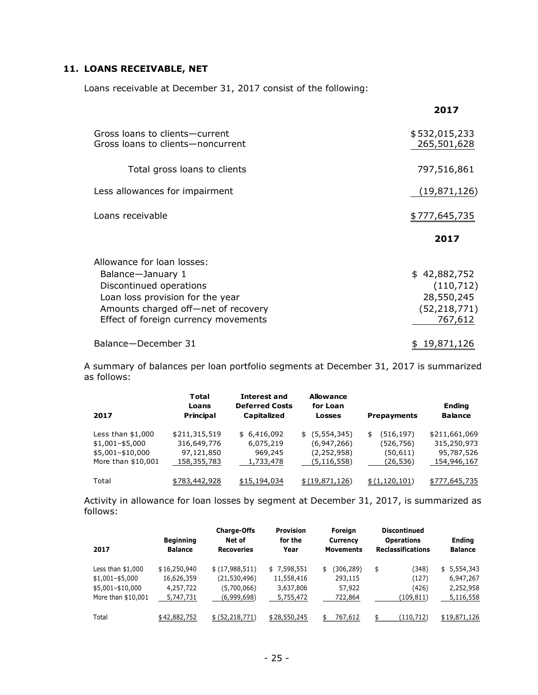# 11. LOANS RECEIVABLE, NET

| <b>DANS RECEIVABLE, NET</b>                                                                      |                                                           |                                                             |                                                                 |                                                       |                                                           |
|--------------------------------------------------------------------------------------------------|-----------------------------------------------------------|-------------------------------------------------------------|-----------------------------------------------------------------|-------------------------------------------------------|-----------------------------------------------------------|
| bans receivable at December 31, 2017 consist of the following:                                   |                                                           |                                                             |                                                                 |                                                       |                                                           |
|                                                                                                  |                                                           |                                                             |                                                                 |                                                       | 2017                                                      |
| Gross loans to clients-current<br>Gross loans to clients-noncurrent                              |                                                           |                                                             |                                                                 |                                                       | \$532,015,233<br>265,501,628                              |
|                                                                                                  | Total gross loans to clients                              |                                                             |                                                                 |                                                       | 797,516,861                                               |
| Less allowances for impairment                                                                   |                                                           |                                                             |                                                                 |                                                       | (19,871,126)                                              |
| Loans receivable                                                                                 |                                                           |                                                             |                                                                 |                                                       | \$777,645,735                                             |
|                                                                                                  |                                                           |                                                             |                                                                 |                                                       | 2017                                                      |
| Allowance for loan losses:                                                                       |                                                           |                                                             |                                                                 |                                                       |                                                           |
| Balance-January 1<br>Discontinued operations                                                     |                                                           |                                                             |                                                                 |                                                       | \$42,882,752<br>(110, 712)                                |
| Loan loss provision for the year                                                                 |                                                           |                                                             |                                                                 |                                                       | 28,550,245                                                |
| Amounts charged off-net of recovery<br>Effect of foreign currency movements                      |                                                           |                                                             |                                                                 |                                                       | (52, 218, 771)<br>767,612                                 |
| Balance-December 31                                                                              |                                                           |                                                             |                                                                 |                                                       | \$19,871,126                                              |
| summary of balances per loan portfolio segments at December 31, 2017 is summarized<br>s follows: |                                                           |                                                             |                                                                 |                                                       |                                                           |
| 2017                                                                                             | <b>Total</b><br>Loans<br>Principal                        | <b>Interest and</b><br><b>Deferred Costs</b><br>Capitalized | <b>Allowance</b><br>for Loan<br><b>Losses</b>                   | Prepayments                                           | <b>Ending</b><br><b>Balance</b>                           |
| Less than $$1,000$<br>\$1,001-\$5,000<br>\$5,001-\$10,000<br>More than \$10,001                  | \$211,315,519<br>316,649,776<br>97,121,850<br>158,355,783 | \$6,416,092<br>6,075,219<br>969,245<br>1,733,478            | \$ (5,554,345)<br>(6,947,266)<br>(2, 252, 958)<br>(5, 116, 558) | \$ (516, 197)<br>(526, 756)<br>(50, 611)<br>(26, 536) | \$211,661,069<br>315,250,973<br>95,787,526<br>154,946,167 |
| Total                                                                                            | \$783,442,928                                             | \$15,194,034                                                | \$(19,871,126)                                                  | \$(1,120,101)                                         | \$777,645,735                                             |
| ctivity in allowance for loan losses by segment at December 31, 2017, is summarized as<br>llows: |                                                           |                                                             |                                                                 |                                                       |                                                           |
|                                                                                                  | <b>Charge-Offs</b>                                        | Provision                                                   |                                                                 |                                                       |                                                           |

| Loan loss provision for the year                                                                  |                                            | Amounts charged off-net of recovery<br>Effect of foreign currency movements |                                                             |                                                |                                                                      | 28,550,245<br>(52, 218, 771)<br>767,612    |
|---------------------------------------------------------------------------------------------------|--------------------------------------------|-----------------------------------------------------------------------------|-------------------------------------------------------------|------------------------------------------------|----------------------------------------------------------------------|--------------------------------------------|
| Balance-December 31                                                                               |                                            |                                                                             |                                                             |                                                |                                                                      | \$19,871,126                               |
| summary of balances per loan portfolio segments at December 31, 2017 is summarized<br>s follows:  |                                            |                                                                             |                                                             |                                                |                                                                      |                                            |
| 2017                                                                                              | Total<br>Loans<br>Principal                |                                                                             | <b>Interest and</b><br><b>Deferred Costs</b><br>Capitalized | <b>Allowance</b><br>for Loan<br><b>Losses</b>  | <b>Prepayments</b>                                                   | <b>Ending</b><br><b>Balance</b>            |
| Less than $$1,000$<br>$$1,001 - $5,000$<br>\$5,001-\$10,000                                       | \$211,315,519<br>316,649,776<br>97,121,850 |                                                                             | \$6,416,092<br>6,075,219<br>969,245                         | \$ (5,554,345)<br>(6,947,266)<br>(2, 252, 958) | \$ (516, 197)<br>(526, 756)<br>(50, 611)                             | \$211,661,069<br>315,250,973<br>95,787,526 |
| More than \$10,001<br>Total                                                                       | 158,355,783<br>\$783,442,928               |                                                                             | <u>1,733,478</u><br>\$15,194,034                            | (5, 116, 558)<br>\$(19,871,126)                | (26, 536)<br>\$(1,120,101)                                           | <u>154,946,167</u><br>\$777,645,735        |
| ctivity in allowance for loan losses by segment at December 31, 2017, is summarized as<br>:bllows |                                            |                                                                             |                                                             |                                                |                                                                      |                                            |
| 2017                                                                                              | <b>Beginning</b><br><b>Balance</b>         | <b>Charge-Offs</b><br>Net of<br><b>Recoveries</b>                           | <b>Provision</b><br>for the<br>Year                         | Foreign<br>Currency<br><b>Movements</b>        | <b>Discontinued</b><br><b>Operations</b><br><b>Reclassifications</b> | <b>Ending</b><br><b>Balance</b>            |
| Less than $$1,000$<br>\$1,001-\$5,000                                                             | \$16,250,940<br>16,626,359                 | \$(17,988,511)<br>(21, 530, 496)                                            | \$7,598,551<br>11,558,416                                   | \$ (306, 289)<br>293,115                       | \$<br>(348)<br>(127)                                                 | \$5,554,343<br>6,947,267                   |
| \$5,001-\$10,000<br>More than \$10,001                                                            | 4,257,722<br>5,747,731                     | (5,700,066)<br>(6,999,698)                                                  | 3,637,806<br>5,755,472                                      | 57,922<br>722,864                              | (426)<br>(109, 811)                                                  | 2,252,958<br>5,116,558                     |
| Total                                                                                             | \$42,882,752                               | \$ (52, 218, 771)                                                           | \$28,550,245                                                | 767,612<br>\$                                  | (110, 712)                                                           | \$19,871,126                               |

| 2017               | Total<br>Loans<br>Principal        |                                                   | <b>Interest and</b><br><b>Deferred Costs</b><br>Capitalized | <b>Allowance</b><br>for Loan<br><b>Losses</b>                                                                                            | <b>Prepayments</b>                                                   | <b>Ending</b><br><b>Balance</b> |
|--------------------|------------------------------------|---------------------------------------------------|-------------------------------------------------------------|------------------------------------------------------------------------------------------------------------------------------------------|----------------------------------------------------------------------|---------------------------------|
| Less than $$1,000$ | \$211,315,519                      |                                                   | \$6,416,092                                                 | \$ (5,554,345)                                                                                                                           | \$ (516, 197)                                                        | \$211,661,069                   |
| $$1,001 - $5,000$  | 316,649,776                        |                                                   | 6,075,219                                                   | (6,947,266)                                                                                                                              | (526, 756)                                                           | 315,250,973                     |
| \$5,001-\$10,000   | 97,121,850                         |                                                   | 969,245                                                     | (2, 252, 958)                                                                                                                            | (50, 611)                                                            | 95,787,526                      |
| More than \$10,001 | 158,355,783                        |                                                   | 1,733,478                                                   | (5, 116, 558)                                                                                                                            | (26, 536)                                                            | 154,946,167                     |
| Total              | \$783,442,928                      |                                                   |                                                             |                                                                                                                                          |                                                                      |                                 |
|                    |                                    |                                                   | \$15,194,034                                                | \$(19,871,126)                                                                                                                           | \$(1,120,101)                                                        | \$777,645,735                   |
| :bllows<br>2017    | <b>Beginning</b><br><b>Balance</b> | <b>Charge-Offs</b><br>Net of<br><b>Recoveries</b> | <b>Provision</b><br>for the<br>Year                         | ctivity in allowance for loan losses by segment at December 31, 2017, is summarized as<br>Foreign<br><b>Currency</b><br><b>Movements</b> | <b>Discontinued</b><br><b>Operations</b><br><b>Reclassifications</b> | <b>Ending</b><br><b>Balance</b> |
| Less than $$1,000$ | \$16,250,940                       | \$(17,988,511)                                    | \$7,598,551                                                 | \$ (306, 289)                                                                                                                            | \$<br>(348)                                                          | \$5,554,343                     |
| $$1,001 - $5,000$  | 16,626,359                         | (21, 530, 496)                                    | 11,558,416                                                  | 293,115                                                                                                                                  | (127)                                                                | 6,947,267                       |
| \$5,001-\$10,000   | 4,257,722                          | (5,700,066)                                       | 3,637,806                                                   | 57,922                                                                                                                                   | (426)                                                                | 2,252,958                       |
| More than \$10,001 | 5,747,731                          | (6,999,698)                                       | 5,755,472                                                   | 722,864                                                                                                                                  | (109, 811)                                                           | 5,116,558                       |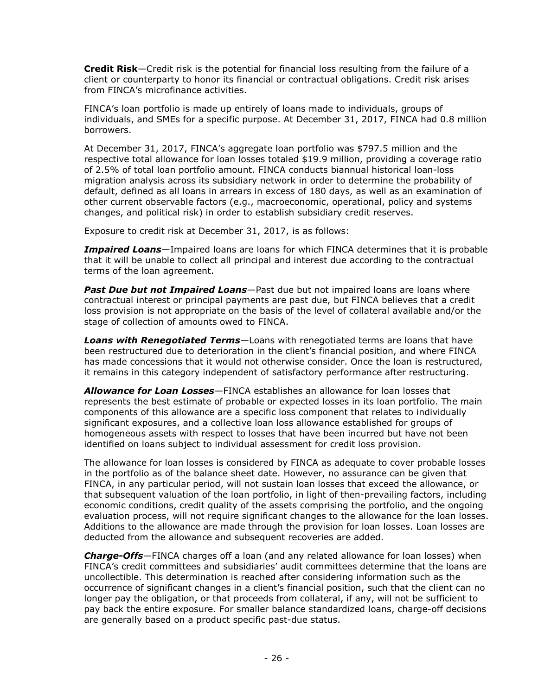Credit Risk—Credit risk is the potential for financial loss resulting from the failure of a client or counterparty to honor its financial or contractual obligations. Credit risk arises from FINCA's microfinance activities.

FINCA's loan portfolio is made up entirely of loans made to individuals, groups of individuals, and SMEs for a specific purpose. At December 31, 2017, FINCA had 0.8 million borrowers.

At December 31, 2017, FINCA's aggregate loan portfolio was \$797.5 million and the respective total allowance for loan losses totaled \$19.9 million, providing a coverage ratio of 2.5% of total loan portfolio amount. FINCA conducts biannual historical loan-loss migration analysis across its subsidiary network in order to determine the probability of default, defined as all loans in arrears in excess of 180 days, as well as an examination of other current observable factors (e.g., macroeconomic, operational, policy and systems changes, and political risk) in order to establish subsidiary credit reserves.

Exposure to credit risk at December 31, 2017, is as follows:

Impaired Loans—Impaired loans are loans for which FINCA determines that it is probable that it will be unable to collect all principal and interest due according to the contractual terms of the loan agreement.

Past Due but not Impaired Loans-Past due but not impaired loans are loans where contractual interest or principal payments are past due, but FINCA believes that a credit loss provision is not appropriate on the basis of the level of collateral available and/or the stage of collection of amounts owed to FINCA.

**Loans with Renegotiated Terms**—Loans with renegotiated terms are loans that have been restructured due to deterioration in the client's financial position, and where FINCA has made concessions that it would not otherwise consider. Once the loan is restructured, it remains in this category independent of satisfactory performance after restructuring.

Allowance for Loan Losses-FINCA establishes an allowance for loan losses that represents the best estimate of probable or expected losses in its loan portfolio. The main components of this allowance are a specific loss component that relates to individually significant exposures, and a collective loan loss allowance established for groups of homogeneous assets with respect to losses that have been incurred but have not been identified on loans subject to individual assessment for credit loss provision.

The allowance for loan losses is considered by FINCA as adequate to cover probable losses in the portfolio as of the balance sheet date. However, no assurance can be given that FINCA, in any particular period, will not sustain loan losses that exceed the allowance, or that subsequent valuation of the loan portfolio, in light of then-prevailing factors, including economic conditions, credit quality of the assets comprising the portfolio, and the ongoing evaluation process, will not require significant changes to the allowance for the loan losses. Additions to the allowance are made through the provision for loan losses. Loan losses are deducted from the allowance and subsequent recoveries are added.

**Charge-Offs**—FINCA charges off a loan (and any related allowance for loan losses) when FINCA's credit committees and subsidiaries' audit committees determine that the loans are uncollectible. This determination is reached after considering information such as the occurrence of significant changes in a client's financial position, such that the client can no longer pay the obligation, or that proceeds from collateral, if any, will not be sufficient to pay back the entire exposure. For smaller balance standardized loans, charge-off decisions are generally based on a product specific past-due status.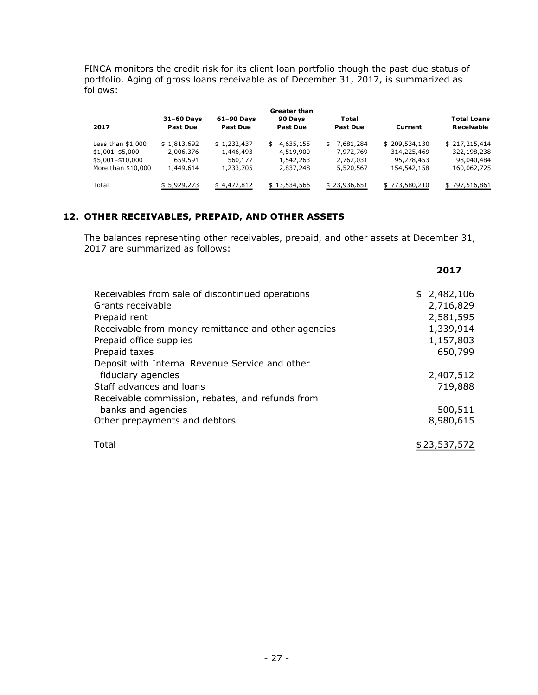| INCA monitors the credit risk for its client loan portfolio though the past-due status of<br>ortfolio. Aging of gross loans receivable as of December 31, 2017, is summarized as<br>:awollc |                                                  |                                                  |                                                    |                                                    |                                                           |                                                           |
|---------------------------------------------------------------------------------------------------------------------------------------------------------------------------------------------|--------------------------------------------------|--------------------------------------------------|----------------------------------------------------|----------------------------------------------------|-----------------------------------------------------------|-----------------------------------------------------------|
| 2017                                                                                                                                                                                        | 31-60 Days<br><b>Past Due</b>                    | 61-90 Days<br><b>Past Due</b>                    | <b>Greater than</b><br>90 Days<br>Past Due         | Total<br><b>Past Due</b>                           | Current                                                   | <b>Total Loans</b><br><b>Receivable</b>                   |
| Less than $$1,000$<br>\$1,001-\$5,000<br>\$5,001-\$10,000<br>More than \$10,000                                                                                                             | \$1,813,692<br>2,006,376<br>659,591<br>1,449,614 | \$1,232,437<br>1,446,493<br>560,177<br>1,233,705 | \$4,635,155<br>4,519,900<br>1,542,263<br>2,837,248 | \$7,681,284<br>7,972,769<br>2,762,031<br>5,520,567 | \$209,534,130<br>314,225,469<br>95,278,453<br>154,542,158 | \$217,215,414<br>322,198,238<br>98,040,484<br>160,062,725 |
| Total                                                                                                                                                                                       | \$5,929,273                                      | \$4,472,812                                      | \$13,534,566                                       | \$23,936,651                                       | \$773,580,210                                             | \$797,516,861                                             |
| <b>THER RECEIVABLES, PREPAID, AND OTHER ASSETS</b><br>he balances representing other receivables, prepaid, and other assets at December 31,<br>017 are summarized as follows:               |                                                  |                                                  |                                                    |                                                    |                                                           | 2017                                                      |
| Receivables from sale of discontinued operations                                                                                                                                            |                                                  |                                                  |                                                    |                                                    |                                                           | \$2,482,106                                               |
| Grants receivable                                                                                                                                                                           |                                                  |                                                  |                                                    |                                                    |                                                           | 2,716,829                                                 |
| Prepaid rent                                                                                                                                                                                |                                                  |                                                  |                                                    |                                                    |                                                           | 2,581,595                                                 |
| Receivable from money remittance and other agencies<br>Prepaid office supplies                                                                                                              |                                                  |                                                  |                                                    |                                                    |                                                           | 1,339,914<br>1,157,803                                    |

#### 12. OTHER RECEIVABLES, PREPAID, AND OTHER ASSETS

| 2017                                                                              | 31-60 Days<br><b>Past Due</b>                    | 61-90 Days<br><b>Past Due</b>                    | <b>Greater than</b><br>90 Days<br><b>Past Due</b>  | <b>Total</b><br><b>Past Due</b>                    | <b>Current</b>                                            | <b>Total Loans</b><br><b>Receivable</b>                   |  |
|-----------------------------------------------------------------------------------|--------------------------------------------------|--------------------------------------------------|----------------------------------------------------|----------------------------------------------------|-----------------------------------------------------------|-----------------------------------------------------------|--|
| Less than $$1,000$<br>$$1,001 - $5,000$<br>\$5,001-\$10,000<br>More than \$10,000 | \$1,813,692<br>2,006,376<br>659,591<br>1,449,614 | \$1,232,437<br>1,446,493<br>560,177<br>1,233,705 | \$4,635,155<br>4,519,900<br>1,542,263<br>2,837,248 | \$7,681,284<br>7,972,769<br>2,762,031<br>5,520,567 | \$209,534,130<br>314,225,469<br>95,278,453<br>154,542,158 | \$217,215,414<br>322,198,238<br>98,040,484<br>160,062,725 |  |
| Total                                                                             | \$5,929,273                                      | \$4,472,812                                      | \$13,534,566                                       | \$23,936,651                                       | \$773,580,210                                             | \$797,516,861                                             |  |
|                                                                                   |                                                  |                                                  |                                                    |                                                    |                                                           | 2017                                                      |  |
| Receivables from sale of discontinued operations<br>Grants receivable             |                                                  |                                                  |                                                    |                                                    |                                                           | \$2,482,106                                               |  |
| Prepaid rent                                                                      |                                                  |                                                  |                                                    |                                                    | 2,716,829<br>2,581,595                                    |                                                           |  |
| Receivable from money remittance and other agencies                               |                                                  |                                                  |                                                    |                                                    | 1,339,914                                                 |                                                           |  |
| Prepaid office supplies                                                           |                                                  |                                                  |                                                    |                                                    |                                                           | 1,157,803                                                 |  |
| Prepaid taxes                                                                     |                                                  |                                                  |                                                    |                                                    |                                                           | 650,799                                                   |  |
| Deposit with Internal Revenue Service and other                                   |                                                  |                                                  |                                                    |                                                    |                                                           |                                                           |  |
| fiduciary agencies<br>Staff advances and loans                                    |                                                  |                                                  |                                                    |                                                    |                                                           | 2,407,512<br>719,888                                      |  |
| Receivable commission, rebates, and refunds from                                  |                                                  |                                                  |                                                    |                                                    |                                                           |                                                           |  |
| banks and agencies                                                                |                                                  |                                                  |                                                    |                                                    |                                                           | 500,511                                                   |  |
| Other prepayments and debtors                                                     |                                                  |                                                  |                                                    |                                                    |                                                           | 8,980,615                                                 |  |
| Total                                                                             |                                                  |                                                  |                                                    |                                                    |                                                           | \$23,537,572                                              |  |
|                                                                                   |                                                  |                                                  |                                                    |                                                    |                                                           |                                                           |  |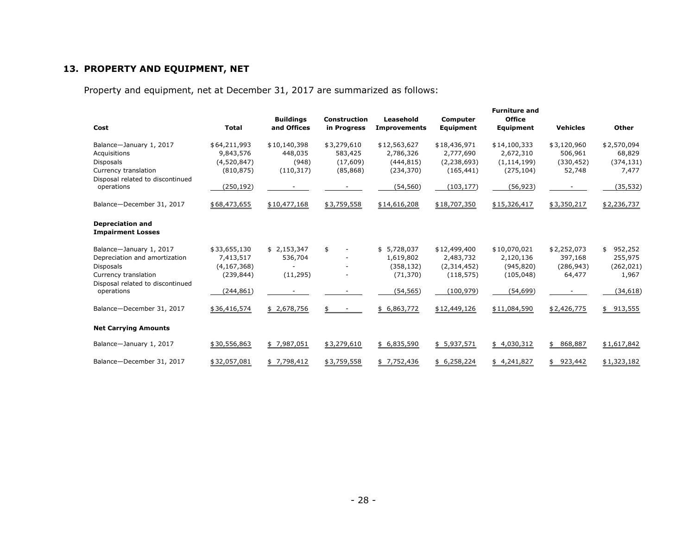# 13. PROPERTY AND EQUIPMENT, NET

| <b>ROPERTY AND EQUIPMENT, NET</b>                                          |                           |                         |                                |                           |                           |                                       |                        |                       |
|----------------------------------------------------------------------------|---------------------------|-------------------------|--------------------------------|---------------------------|---------------------------|---------------------------------------|------------------------|-----------------------|
|                                                                            |                           |                         |                                |                           |                           |                                       |                        |                       |
| roperty and equipment, net at December 31, 2017 are summarized as follows: |                           |                         |                                |                           |                           |                                       |                        |                       |
|                                                                            |                           |                         |                                |                           |                           |                                       |                        |                       |
|                                                                            |                           | <b>Buildings</b>        | <b>Construction</b>            | Leasehold                 |                           | <b>Furniture and</b><br><b>Office</b> |                        |                       |
| Cost                                                                       | <b>Total</b>              | and Offices             | in Progress                    | <b>Improvements</b>       | Computer<br>Equipment     | Equipment                             | <b>Vehicles</b>        | Other                 |
|                                                                            |                           |                         |                                |                           |                           |                                       |                        |                       |
| Balance-January 1, 2017<br>Acquisitions                                    | \$64,211,993<br>9,843,576 | \$10,140,398<br>448,035 | \$3,279,610<br>583,425         | \$12,563,627<br>2,786,326 | \$18,436,971<br>2,777,690 | \$14,100,333<br>2,672,310             | \$3,120,960<br>506,961 | \$2,570,094<br>68,829 |
| Disposals                                                                  | (4,520,847)               | (948)                   | (17, 609)                      | (444, 815)                | (2, 238, 693)             | (1, 114, 199)                         | (330, 452)             | (374, 131)            |
| Currency translation                                                       | (810, 875)                | (110, 317)              | (85, 868)                      | (234, 370)                | (165, 441)                | (275, 104)                            | 52,748                 | 7,477                 |
| Disposal related to discontinued                                           |                           |                         |                                |                           |                           |                                       |                        |                       |
| operations                                                                 | (250, 192)                | $\sim$                  | $\sim$                         | (54, 560)                 | (103, 177)                | (56, 923)                             | $\sim$                 | (35, 532)             |
| Balance-December 31, 2017                                                  | \$68,473,655              | \$10,477,168            | \$3,759,558                    | \$14,616,208              | \$18,707,350              | \$15,326,417                          | \$3,350,217            | \$2,236,737           |
|                                                                            |                           |                         |                                |                           |                           |                                       |                        |                       |
| <b>Depreciation and</b>                                                    |                           |                         |                                |                           |                           |                                       |                        |                       |
| <b>Impairment Losses</b>                                                   |                           |                         |                                |                           |                           |                                       |                        |                       |
| Balance-January 1, 2017                                                    | \$33,655,130              | \$2,153,347             | \$<br>$\overline{\phantom{a}}$ | \$5,728,037               | \$12,499,400              | \$10,070,021                          | \$2,252,073            | \$952,252             |
| Depreciation and amortization                                              | 7,413,517                 | 536,704                 | $\overline{\phantom{a}}$       | 1,619,802                 | 2,483,732                 | 2,120,136                             | 397,168                | 255,975               |
| Disposals                                                                  | (4, 167, 368)             | $\sim$                  |                                | (358, 132)                | (2,314,452)               | (945, 820)                            | (286, 943)             | (262, 021)            |
| Currency translation                                                       | (239, 844)                | (11, 295)               |                                | (71, 370)                 | (118, 575)                | (105, 048)                            | 64,477                 | 1,967                 |
| Disposal related to discontinued                                           |                           |                         |                                |                           |                           |                                       |                        |                       |
| operations                                                                 | (244, 861)                |                         |                                | (54, 565)                 | (100, 979)                | (54, 699)                             | $\sim$                 | (34, 618)             |
| Balance-December 31, 2017                                                  | \$36,416,574              | \$2,678,756             | \$<br><b>Contract</b>          | \$6,863,772               | \$12,449,126              | \$11,084,590                          | \$2,426,775            | \$913,555             |
|                                                                            |                           |                         |                                |                           |                           |                                       |                        |                       |
|                                                                            |                           |                         |                                |                           |                           |                                       |                        |                       |
| <b>Net Carrying Amounts</b>                                                |                           | \$7,987,051             | \$3,279,610                    | \$6,835,590               | \$5,937,571               | \$4,030,312                           | \$868,887              | \$1,617,842           |
| Balance-January 1, 2017                                                    | \$30,556,863              |                         |                                |                           |                           |                                       |                        |                       |
| Balance-December 31, 2017                                                  | \$32,057,081              | \$7,798,412             | \$3,759,558                    | \$7,752,436               | \$6,258,224               | \$4,241,827                           | \$923,442              | \$1,323,182           |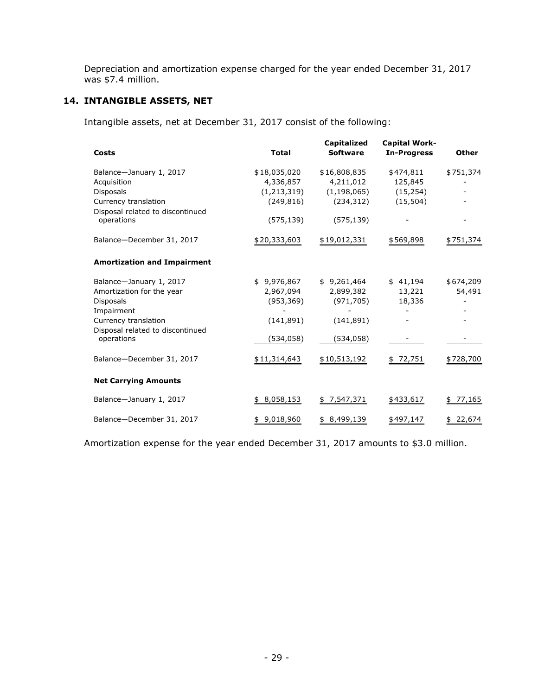# 14. INTANGIBLE ASSETS, NET

| epreciation and amortization expense charged for the year ended December 31, 2017 |                           |                           |                      |           |
|-----------------------------------------------------------------------------------|---------------------------|---------------------------|----------------------|-----------|
| as \$7.4 million.                                                                 |                           |                           |                      |           |
| <b>NTANGIBLE ASSETS, NET</b>                                                      |                           |                           |                      |           |
|                                                                                   |                           |                           |                      |           |
| itangible assets, net at December 31, 2017 consist of the following:              |                           |                           |                      |           |
|                                                                                   |                           | Capitalized               | <b>Capital Work-</b> |           |
| Costs                                                                             | Total                     | <b>Software</b>           | <b>In-Progress</b>   | Other     |
|                                                                                   |                           |                           |                      |           |
| Balance-January 1, 2017<br>Acquisition                                            | \$18,035,020<br>4,336,857 | \$16,808,835<br>4,211,012 | \$474,811<br>125,845 | \$751,374 |
| Disposals                                                                         | (1, 213, 319)             | (1, 198, 065)             | (15, 254)            |           |
| Currency translation                                                              | (249, 816)                | (234, 312)                | (15, 504)            |           |
| Disposal related to discontinued                                                  |                           |                           |                      |           |
| operations                                                                        | (575, 139)                | (575, 139)                | $\sim$               |           |
| Balance-December 31, 2017                                                         | \$20,333,603              | \$19,012,331              | \$569,898            | \$751,374 |
|                                                                                   |                           |                           |                      |           |
| <b>Amortization and Impairment</b>                                                |                           |                           |                      |           |
| Balance-January 1, 2017                                                           | \$9,976,867               | \$9,261,464               | \$41,194             | \$674,209 |
| Amortization for the year                                                         | 2,967,094                 | 2,899,382                 | 13,221               | 54,491    |
| Disposals                                                                         | (953, 369)                | (971, 705)                | 18,336               |           |
| Impairment                                                                        |                           |                           |                      |           |
| Currency translation                                                              | (141, 891)                | (141, 891)                |                      |           |
| Disposal related to discontinued<br>operations                                    | (534, 058)                | (534, 058)                |                      |           |
|                                                                                   |                           |                           |                      |           |
| Balance-December 31, 2017                                                         | \$11,314,643              | \$10,513,192              | \$72,751             | \$728,700 |
| <b>Net Carrying Amounts</b>                                                       |                           |                           |                      |           |
| Balance-January 1, 2017                                                           | \$8,058,153               | \$7,547,371               | \$433,617            | \$77,165  |
| Balance-December 31, 2017                                                         | \$9,018,960               | \$8,499,139               | \$497,147            | \$22,674  |
|                                                                                   |                           |                           |                      |           |

Amortization expense for the year ended December 31, 2017 amounts to \$3.0 million.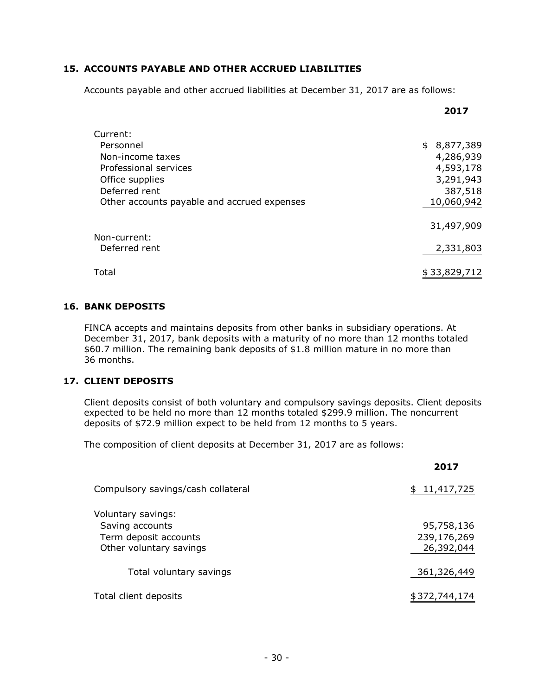#### 15. ACCOUNTS PAYABLE AND OTHER ACCRUED LIABILITIES

Accounts payable and other accrued liabilities at December 31, 2017 are as follows:

|                                             | 2017         |
|---------------------------------------------|--------------|
| Current:                                    |              |
| Personnel                                   | \$8,877,389  |
| Non-income taxes                            | 4,286,939    |
| Professional services                       | 4,593,178    |
| Office supplies                             | 3,291,943    |
| Deferred rent                               | 387,518      |
| Other accounts payable and accrued expenses | 10,060,942   |
|                                             | 31,497,909   |
| Non-current:<br>Deferred rent               | 2,331,803    |
| Total                                       | \$33,829,712 |

#### 16. BANK DEPOSITS

## 17. CLIENT DEPOSITS

| <b>ANK DEPOSITS</b>                                                                                                                                                                                                                                                     |                                         |
|-------------------------------------------------------------------------------------------------------------------------------------------------------------------------------------------------------------------------------------------------------------------------|-----------------------------------------|
| NCA accepts and maintains deposits from other banks in subsidiary operations. At<br>ecember 31, 2017, bank deposits with a maturity of no more than 12 months totaled<br>50.7 million. The remaining bank deposits of \$1.8 million mature in no more than<br>5 months. |                                         |
| <b>LIENT DEPOSITS</b>                                                                                                                                                                                                                                                   |                                         |
| ient deposits consist of both voluntary and compulsory savings deposits. Client deposits<br>(pected to be held no more than 12 months totaled \$299.9 million. The noncurrent<br>eposits of \$72.9 million expect to be held from 12 months to 5 years.                 |                                         |
| ne composition of client deposits at December 31, 2017 are as follows:                                                                                                                                                                                                  |                                         |
|                                                                                                                                                                                                                                                                         | 2017                                    |
| Compulsory savings/cash collateral                                                                                                                                                                                                                                      | \$11,417,725                            |
| Voluntary savings:<br>Saving accounts<br>Term deposit accounts<br>Other voluntary savings                                                                                                                                                                               | 95,758,136<br>239,176,269<br>26,392,044 |
| Total voluntary savings                                                                                                                                                                                                                                                 | 361,326,449                             |
| Total client deposits                                                                                                                                                                                                                                                   | \$372,744,174                           |
|                                                                                                                                                                                                                                                                         |                                         |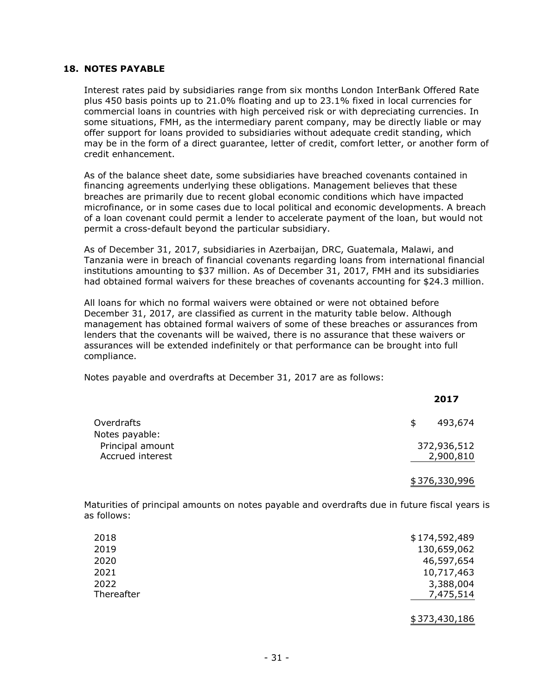#### 18. NOTES PAYABLE

Interest rates paid by subsidiaries range from six months London InterBank Offered Rate plus 450 basis points up to 21.0% floating and up to 23.1% fixed in local currencies for commercial loans in countries with high perceived risk or with depreciating currencies. In some situations, FMH, as the intermediary parent company, may be directly liable or may offer support for loans provided to subsidiaries without adequate credit standing, which may be in the form of a direct guarantee, letter of credit, comfort letter, or another form of credit enhancement.

As of the balance sheet date, some subsidiaries have breached covenants contained in financing agreements underlying these obligations. Management believes that these breaches are primarily due to recent global economic conditions which have impacted microfinance, or in some cases due to local political and economic developments. A breach of a loan covenant could permit a lender to accelerate payment of the loan, but would not permit a cross-default beyond the particular subsidiary.

| eaches are primarily due to recent global economic conditions which have impacted<br>icrofinance, or in some cases due to local political and economic developments. A breach<br>a loan covenant could permit a lender to accelerate payment of the loan, but would not<br>ermit a cross-default beyond the particular subsidiary.                                                                                                                    |                                           |
|-------------------------------------------------------------------------------------------------------------------------------------------------------------------------------------------------------------------------------------------------------------------------------------------------------------------------------------------------------------------------------------------------------------------------------------------------------|-------------------------------------------|
| s of December 31, 2017, subsidiaries in Azerbaijan, DRC, Guatemala, Malawi, and<br>anzania were in breach of financial covenants regarding loans from international financial<br>stitutions amounting to \$37 million. As of December 31, 2017, FMH and its subsidiaries<br>ad obtained formal waivers for these breaches of covenants accounting for \$24.3 million.                                                                                 |                                           |
| I loans for which no formal waivers were obtained or were not obtained before<br>ecember 31, 2017, are classified as current in the maturity table below. Although<br>anagement has obtained formal waivers of some of these breaches or assurances from<br>nders that the covenants will be waived, there is no assurance that these waivers or<br>isurances will be extended indefinitely or that performance can be brought into full<br>mpliance. |                                           |
| otes payable and overdrafts at December 31, 2017 are as follows:                                                                                                                                                                                                                                                                                                                                                                                      |                                           |
|                                                                                                                                                                                                                                                                                                                                                                                                                                                       | 2017                                      |
| Overdrafts<br>Notes payable:<br>Principal amount<br>Accrued interest                                                                                                                                                                                                                                                                                                                                                                                  | \$<br>493,674<br>372,936,512<br>2,900,810 |
|                                                                                                                                                                                                                                                                                                                                                                                                                                                       | \$376,330,996                             |
| aturities of principal amounts on notes payable and overdrafts due in future fiscal years is<br>follows:                                                                                                                                                                                                                                                                                                                                              |                                           |
| 2018                                                                                                                                                                                                                                                                                                                                                                                                                                                  | \$174,592,489                             |
| 2019                                                                                                                                                                                                                                                                                                                                                                                                                                                  | 130,659,062                               |
| 2020                                                                                                                                                                                                                                                                                                                                                                                                                                                  | 46,597,654                                |
| 2021<br>2022                                                                                                                                                                                                                                                                                                                                                                                                                                          | 10,717,463<br>3,388,004                   |
| Thereafter                                                                                                                                                                                                                                                                                                                                                                                                                                            | 7,475,514                                 |
|                                                                                                                                                                                                                                                                                                                                                                                                                                                       | \$373,430,186                             |
|                                                                                                                                                                                                                                                                                                                                                                                                                                                       |                                           |

| 2018       | \$174,592,489 |
|------------|---------------|
| 2019       | 130,659,062   |
| 2020       | 46,597,654    |
| 2021       | 10,717,463    |
| 2022       | 3,388,004     |
| Thereafter | 7,475,514     |
|            |               |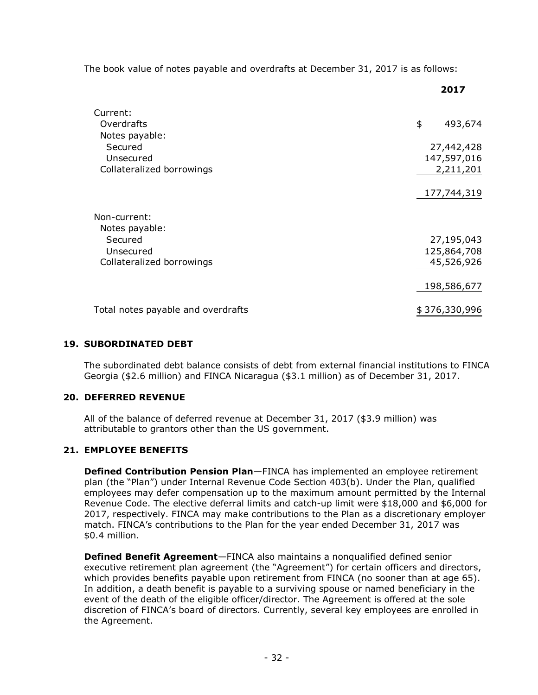The book value of notes payable and overdrafts at December 31, 2017 is as follows:

|                                    | 2017          |
|------------------------------------|---------------|
| Current:                           |               |
| Overdrafts                         | \$<br>493,674 |
| Notes payable:                     |               |
| Secured                            | 27,442,428    |
| Unsecured                          | 147,597,016   |
| Collateralized borrowings          | 2,211,201     |
|                                    |               |
|                                    | 177,744,319   |
|                                    |               |
| Non-current:                       |               |
| Notes payable:                     |               |
| Secured                            | 27,195,043    |
| Unsecured                          | 125,864,708   |
| Collateralized borrowings          | 45,526,926    |
|                                    |               |
|                                    | 198,586,677   |
|                                    |               |
| Total notes payable and overdrafts | \$376,330,996 |

#### 19. SUBORDINATED DEBT

The subordinated debt balance consists of debt from external financial institutions to FINCA Georgia (\$2.6 million) and FINCA Nicaragua (\$3.1 million) as of December 31, 2017.

#### 20. DEFERRED REVENUE

All of the balance of deferred revenue at December 31, 2017 (\$3.9 million) was attributable to grantors other than the US government.

## 21. EMPLOYEE BENEFITS

**Defined Contribution Pension Plan**—FINCA has implemented an employee retirement plan (the "Plan") under Internal Revenue Code Section 403(b). Under the Plan, qualified employees may defer compensation up to the maximum amount permitted by the Internal Revenue Code. The elective deferral limits and catch-up limit were \$18,000 and \$6,000 for 2017, respectively. FINCA may make contributions to the Plan as a discretionary employer match. FINCA's contributions to the Plan for the year ended December 31, 2017 was \$0.4 million.

**Defined Benefit Agreement**—FINCA also maintains a nonqualified defined senior executive retirement plan agreement (the "Agreement") for certain officers and directors, which provides benefits payable upon retirement from FINCA (no sooner than at age 65). In addition, a death benefit is payable to a surviving spouse or named beneficiary in the event of the death of the eligible officer/director. The Agreement is offered at the sole discretion of FINCA's board of directors. Currently, several key employees are enrolled in the Agreement.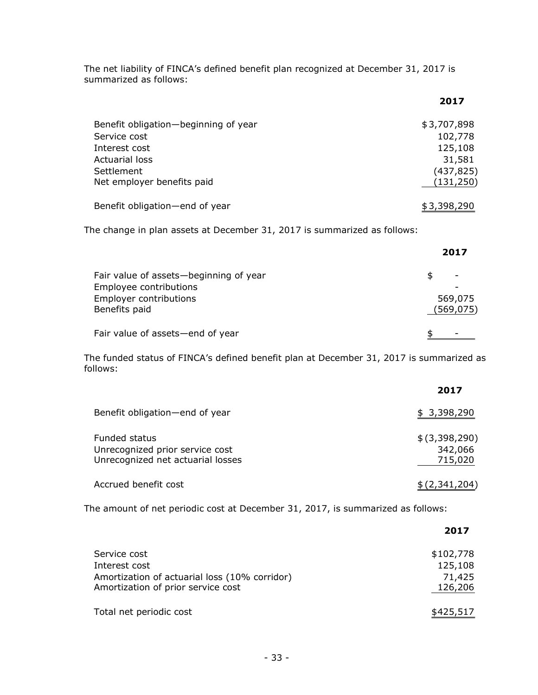| ne net liability of FINCA's defined benefit plan recognized at December 31, 2017 is |                                                   |
|-------------------------------------------------------------------------------------|---------------------------------------------------|
| ummarized as follows:                                                               |                                                   |
|                                                                                     | 2017                                              |
| Benefit obligation-beginning of year                                                | \$3,707,898                                       |
| Service cost<br>Interest cost                                                       | 102,778<br>125,108                                |
| <b>Actuarial loss</b>                                                               | 31,581                                            |
| Settlement<br>Net employer benefits paid                                            | (437, 825)<br>(131, 250)                          |
| Benefit obligation-end of year                                                      | \$3,398,290                                       |
| ne change in plan assets at December 31, 2017 is summarized as follows:             |                                                   |
|                                                                                     | 2017                                              |
| Fair value of assets-beginning of year                                              | \$                                                |
| Employee contributions<br>Employer contributions<br>Benefits paid                   | $\overline{\phantom{a}}$<br>569,075<br>(569, 075) |
| Fair value of assets-end of year                                                    |                                                   |
|                                                                                     |                                                   |

|                                        | 2017       |
|----------------------------------------|------------|
| Fair value of assets-beginning of year | -          |
| Employee contributions                 |            |
| Employer contributions                 | 569,075    |
| Benefits paid                          | (569, 075) |
| Fair value of assets-end of year       | -          |

| Benefit obligation—end of year                                                                   | \$3,398,290     |
|--------------------------------------------------------------------------------------------------|-----------------|
| ne change in plan assets at December 31, 2017 is summarized as follows:                          |                 |
|                                                                                                  | 2017            |
| Fair value of assets-beginning of year                                                           | \$              |
| Employee contributions                                                                           |                 |
| <b>Employer contributions</b>                                                                    | 569,075         |
| Benefits paid                                                                                    | (569, 075)      |
| Fair value of assets-end of year                                                                 |                 |
| ne funded status of FINCA's defined benefit plan at December 31, 2017 is summarized as<br>llows: |                 |
|                                                                                                  | 2017            |
| Benefit obligation-end of year                                                                   | \$3,398,290     |
| Funded status                                                                                    | $$$ (3,398,290) |
| Unrecognized prior service cost                                                                  | 342,066         |
| Unrecognized net actuarial losses                                                                | 715,020         |
| Accrued benefit cost                                                                             | \$(2,341,204)   |
| ne amount of net periodic cost at December 31, 2017, is summarized as follows:                   |                 |
|                                                                                                  | 2017            |
| Service cost                                                                                     | \$102,778       |
| Interest cost                                                                                    | 125,108         |
| Amortization of actuarial loss (10% corridor)                                                    | 71,425          |
| Amortization of prior service cost                                                               | 126,206         |
| Total net periodic cost                                                                          | \$425,517       |
|                                                                                                  |                 |

|                                               | 2017      |  |
|-----------------------------------------------|-----------|--|
| Service cost                                  | \$102,778 |  |
| Interest cost                                 | 125,108   |  |
| Amortization of actuarial loss (10% corridor) | 71,425    |  |
| Amortization of prior service cost            | 126,206   |  |
|                                               |           |  |
| Total net periodic cost                       | \$425,517 |  |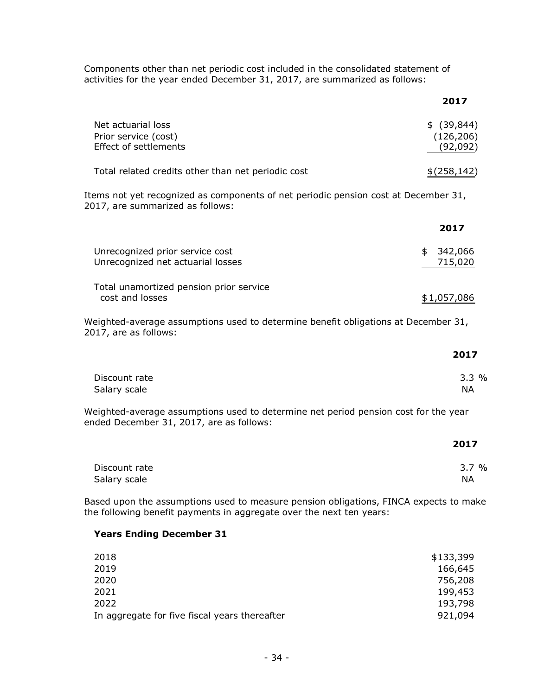| Components other than net periodic cost included in the consolidated statement of<br>activities for the year ended December 31, 2017, are summarized as follows: |                          |
|------------------------------------------------------------------------------------------------------------------------------------------------------------------|--------------------------|
|                                                                                                                                                                  | 2017                     |
| Net actuarial loss                                                                                                                                               | \$ (39,844)              |
| Prior service (cost)<br>Effect of settlements                                                                                                                    | (126, 206)<br>(92,092)   |
| Total related credits other than net periodic cost                                                                                                               | $$$ (258,142)            |
| Items not yet recognized as components of net periodic pension cost at December 31,<br>2017, are summarized as follows:                                          |                          |
|                                                                                                                                                                  | 2017                     |
| Unrecognized prior service cost<br>Unrecognized net actuarial losses                                                                                             | 342,066<br>\$<br>715,020 |
| Total unamortized pension prior service<br>cost and losses                                                                                                       | \$1,057,086              |
| Weighted-average assumptions used to determine benefit obligations at December 31,<br>2017, are as follows:                                                      |                          |
|                                                                                                                                                                  | 2017                     |
| Discount rate<br>Salary scale                                                                                                                                    | 3.3 %<br><b>NA</b>       |
| Weighted-average assumptions used to determine net period pension cost for the year<br>ended December 31, 2017, are as follows:                                  |                          |
|                                                                                                                                                                  | 2017                     |
| Discount rate<br>Salary scale                                                                                                                                    | 3.7%<br><b>NA</b>        |
| Based upon the assumptions used to measure pension obligations, FINCA expects to make                                                                            |                          |
| the following benefit payments in aggregate over the next ten years:<br><b>Years Ending December 31</b>                                                          |                          |
|                                                                                                                                                                  |                          |
| 2018                                                                                                                                                             | \$133,399<br>166,645     |
|                                                                                                                                                                  | 756,208                  |
| 2019<br>2020                                                                                                                                                     |                          |
| 2021                                                                                                                                                             | 199,453                  |
| 2022                                                                                                                                                             | 193,798                  |
| In aggregate for five fiscal years thereafter                                                                                                                    | 921,094                  |

| Discount rate | 3.7% |
|---------------|------|
| Salary scale  | ΝA   |

# Years Ending December 31

| 2018                                          | \$133,399 |
|-----------------------------------------------|-----------|
| 2019                                          | 166,645   |
| 2020                                          | 756,208   |
| 2021                                          | 199,453   |
| 2022                                          | 193,798   |
| In aggregate for five fiscal years thereafter | 921,094   |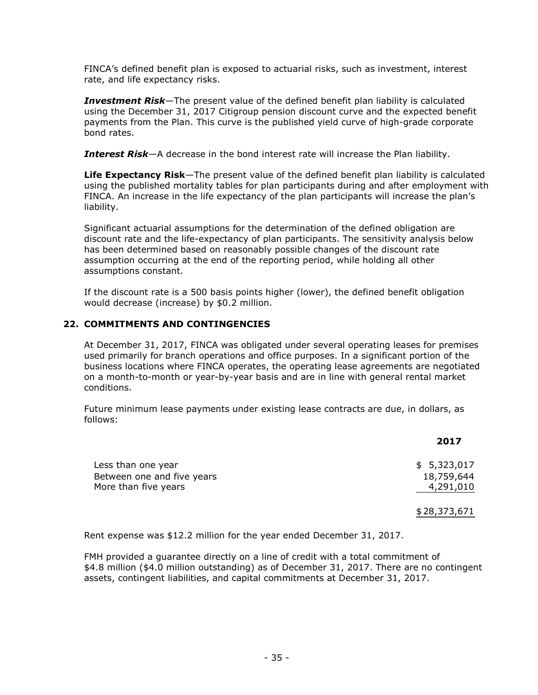FINCA's defined benefit plan is exposed to actuarial risks, such as investment, interest rate, and life expectancy risks.

Investment Risk-The present value of the defined benefit plan liability is calculated using the December 31, 2017 Citigroup pension discount curve and the expected benefit payments from the Plan. This curve is the published yield curve of high-grade corporate bond rates.

Interest Risk-A decrease in the bond interest rate will increase the Plan liability.

Life Expectancy Risk—The present value of the defined benefit plan liability is calculated using the published mortality tables for plan participants during and after employment with FINCA. An increase in the life expectancy of the plan participants will increase the plan's liability.

Significant actuarial assumptions for the determination of the defined obligation are discount rate and the life-expectancy of plan participants. The sensitivity analysis below has been determined based on reasonably possible changes of the discount rate assumption occurring at the end of the reporting period, while holding all other assumptions constant.

## 22. COMMITMENTS AND CONTINGENCIES

| ngimneant actaanar abbannptions for the actemmnation or the achinea obligation<br>iscount rate and the life-expectancy of plan participants. The sensitivity analysis below<br>as been determined based on reasonably possible changes of the discount rate<br>ssumption occurring at the end of the reporting period, while holding all other<br>ssumptions constant.         |                                        |
|--------------------------------------------------------------------------------------------------------------------------------------------------------------------------------------------------------------------------------------------------------------------------------------------------------------------------------------------------------------------------------|----------------------------------------|
| the discount rate is a 500 basis points higher (lower), the defined benefit obligation<br>ould decrease (increase) by \$0.2 million.                                                                                                                                                                                                                                           |                                        |
| <b>OMMITMENTS AND CONTINGENCIES</b>                                                                                                                                                                                                                                                                                                                                            |                                        |
| t December 31, 2017, FINCA was obligated under several operating leases for premises<br>sed primarily for branch operations and office purposes. In a significant portion of the<br>usiness locations where FINCA operates, the operating lease agreements are negotiated<br>n a month-to-month or year-by-year basis and are in line with general rental market<br>onditions. |                                        |
| uture minimum lease payments under existing lease contracts are due, in dollars, as<br>:bllows                                                                                                                                                                                                                                                                                 |                                        |
|                                                                                                                                                                                                                                                                                                                                                                                | 2017                                   |
| Less than one year<br>Between one and five years<br>More than five years                                                                                                                                                                                                                                                                                                       | \$5,323,017<br>18,759,644<br>4,291,010 |
|                                                                                                                                                                                                                                                                                                                                                                                | \$28,373,671                           |
|                                                                                                                                                                                                                                                                                                                                                                                |                                        |

Rent expense was \$12.2 million for the year ended December 31, 2017.

FMH provided a guarantee directly on a line of credit with a total commitment of \$4.8 million (\$4.0 million outstanding) as of December 31, 2017. There are no contingent assets, contingent liabilities, and capital commitments at December 31, 2017.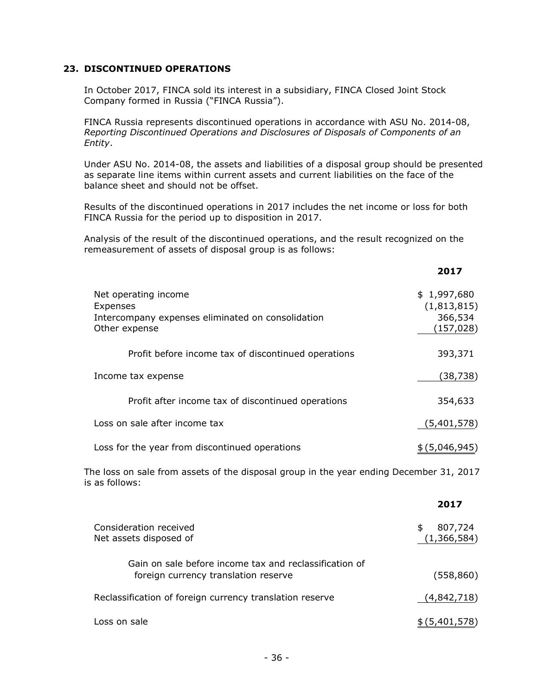#### 23. DISCONTINUED OPERATIONS

| <b>DISCONTINUED OPERATIONS</b>                                                                                                                                                                                                                                                                                                                                                                                                            |                                                                                                                        |
|-------------------------------------------------------------------------------------------------------------------------------------------------------------------------------------------------------------------------------------------------------------------------------------------------------------------------------------------------------------------------------------------------------------------------------------------|------------------------------------------------------------------------------------------------------------------------|
| In October 2017, FINCA sold its interest in a subsidiary, FINCA Closed Joint Stock<br>Company formed in Russia ("FINCA Russia").                                                                                                                                                                                                                                                                                                          |                                                                                                                        |
| FINCA Russia represents discontinued operations in accordance with ASU No. 2014-08,<br>Reporting Discontinued Operations and Disclosures of Disposals of Components of an<br>Entity.                                                                                                                                                                                                                                                      |                                                                                                                        |
| Under ASU No. 2014-08, the assets and liabilities of a disposal group should be presented<br>as separate line items within current assets and current liabilities on the face of the<br>balance sheet and should not be offset.                                                                                                                                                                                                           |                                                                                                                        |
| Results of the discontinued operations in 2017 includes the net income or loss for both<br>FINCA Russia for the period up to disposition in 2017.                                                                                                                                                                                                                                                                                         |                                                                                                                        |
| Analysis of the result of the discontinued operations, and the result recognized on the<br>remeasurement of assets of disposal group is as follows:                                                                                                                                                                                                                                                                                       |                                                                                                                        |
|                                                                                                                                                                                                                                                                                                                                                                                                                                           | 2017                                                                                                                   |
| Net operating income<br>Expenses<br>Intercompany expenses eliminated on consolidation<br>Other expense<br>Profit before income tax of discontinued operations<br>Income tax expense<br>Profit after income tax of discontinued operations<br>Loss on sale after income tax<br>Loss for the year from discontinued operations<br>The loss on sale from assets of the disposal group in the year ending December 31, 2017<br>is as follows: | \$1,997,680<br>(1,813,815)<br>366,534<br>(157, 028)<br>393,371<br>(38, 738)<br>354,633<br>(5,401,578)<br>\$(5,046,945) |
|                                                                                                                                                                                                                                                                                                                                                                                                                                           | 2017                                                                                                                   |
| Consideration received<br>Net assets disposed of                                                                                                                                                                                                                                                                                                                                                                                          | 807,724<br>\$<br>(1, 366, 584)                                                                                         |
| Gain on sale before income tax and reclassification of<br>foreign currency translation reserve                                                                                                                                                                                                                                                                                                                                            | (558, 860)                                                                                                             |
| Reclassification of foreign currency translation reserve                                                                                                                                                                                                                                                                                                                                                                                  | (4,842,718)                                                                                                            |
| Loss on sale                                                                                                                                                                                                                                                                                                                                                                                                                              | \$ (5,401,578)                                                                                                         |

| Reciassification of foreign currency translation reserve | (4,842,718)   |
|----------------------------------------------------------|---------------|
| Loss on sale                                             | \$(5,401,578) |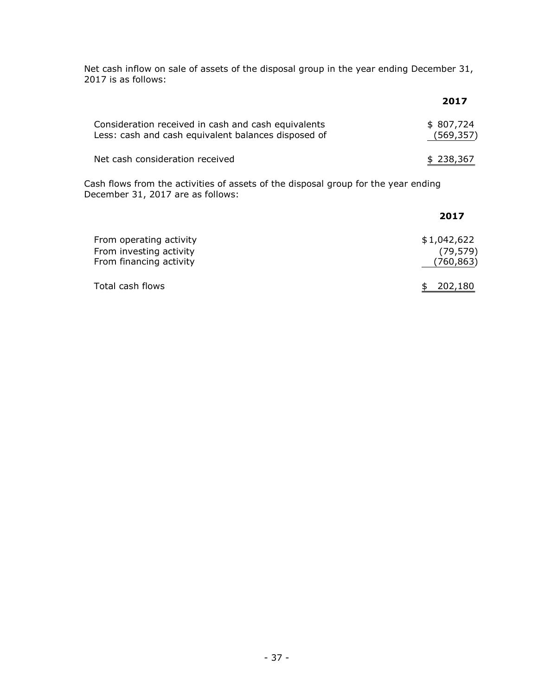| Net cash inflow on sale of assets of the disposal group in the year ending December 31,<br>2017 is as follows: |                         |
|----------------------------------------------------------------------------------------------------------------|-------------------------|
|                                                                                                                | 2017                    |
| Consideration received in cash and cash equivalents<br>Less: cash and cash equivalent balances disposed of     | \$807,724<br>(569, 357) |
| Net cash consideration received                                                                                | \$238,367               |
|                                                                                                                |                         |

| Net cash inflow on sale of assets of the disposal group in the year ending December 31,                                 |                         |
|-------------------------------------------------------------------------------------------------------------------------|-------------------------|
| 2017 is as follows:                                                                                                     |                         |
|                                                                                                                         | 2017                    |
| Consideration received in cash and cash equivalents<br>Less: cash and cash equivalent balances disposed of              | \$807,724<br>(569, 357) |
| Net cash consideration received                                                                                         | \$238,367               |
| Cash flows from the activities of assets of the disposal group for the year ending<br>December 31, 2017 are as follows: |                         |
|                                                                                                                         | 2017                    |
| From operating activity                                                                                                 | \$1,042,622             |
| From investing activity<br>From financing activity                                                                      | (79, 579)<br>(760,863)  |
| Total cash flows                                                                                                        | 202,180<br>\$.          |
|                                                                                                                         |                         |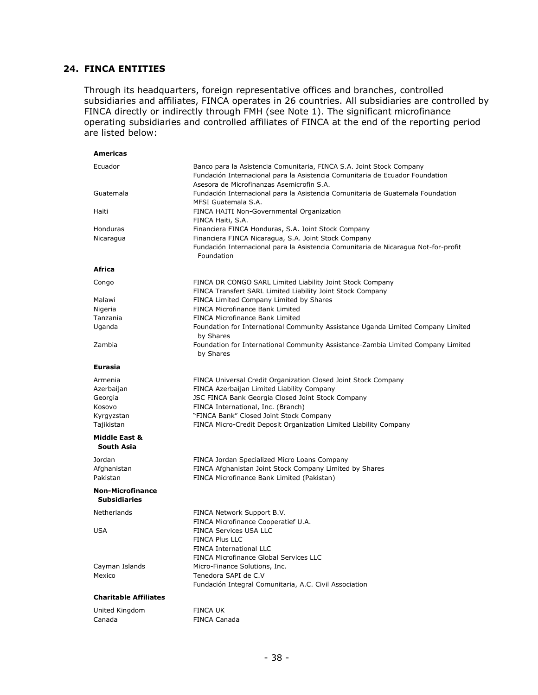#### 24. FINCA ENTITIES

| <b>INCA ENTITIES</b><br>irough its headquarters, foreign representative offices and branches, controlled<br>ibsidiaries and affiliates, FINCA operates in 26 countries. All subsidiaries are controlled by<br>NCA directly or indirectly through FMH (see Note 1). The significant microfinance<br>berating subsidiaries and controlled affiliates of FINCA at the end of the reporting period<br>e listed below:<br><b>Americas</b><br>Ecuador<br>Banco para la Asistencia Comunitaria, FINCA S.A. Joint Stock Company<br>Fundación Internacional para la Asistencia Comunitaria de Ecuador Foundation<br>Asesora de Microfinanzas Asemicrofin S.A.<br>Guatemala<br>Fundación Internacional para la Asistencia Comunitaria de Guatemala Foundation<br>MFSI Guatemala S.A.<br>FINCA HAITI Non-Governmental Organization<br>Haiti<br>FINCA Haiti, S.A.<br>Honduras<br>Financiera FINCA Honduras, S.A. Joint Stock Company<br>Financiera FINCA Nicaragua, S.A. Joint Stock Company<br>Nicaragua<br>Fundación Internacional para la Asistencia Comunitaria de Nicaragua Not-for-profit<br>Foundation<br>Africa<br>FINCA DR CONGO SARL Limited Liability Joint Stock Company<br>Congo<br>FINCA Transfert SARL Limited Liability Joint Stock Company<br>FINCA Limited Company Limited by Shares<br>Malawi<br>FINCA Microfinance Bank Limited<br>Nigeria<br>FINCA Microfinance Bank Limited<br>Tanzania<br>Foundation for International Community Assistance Uganda Limited Company Limited<br>Uganda<br>by Shares<br>Zambia<br>Foundation for International Community Assistance-Zambia Limited Company Limited<br>by Shares<br>Eurasia<br>FINCA Universal Credit Organization Closed Joint Stock Company<br>Armenia<br>FINCA Azerbaijan Limited Liability Company<br>Azerbaijan<br>JSC FINCA Bank Georgia Closed Joint Stock Company<br>Georgia<br>FINCA International, Inc. (Branch)<br>Kosovo<br>"FINCA Bank" Closed Joint Stock Company<br>Kyrgyzstan<br>FINCA Micro-Credit Deposit Organization Limited Liability Company<br>Tajikistan<br>Middle East &<br>South Asia<br>Jordan<br>FINCA Jordan Specialized Micro Loans Company<br>Afghanistan<br>FINCA Afghanistan Joint Stock Company Limited by Shares<br>Pakistan<br>FINCA Microfinance Bank Limited (Pakistan)<br><b>Non-Microfinance</b><br><b>Subsidiaries</b><br>FINCA Network Support B.V.<br>Netherlands<br>FINCA Microfinance Cooperatief U.A.<br>USA<br><b>FINCA Services USA LLC</b><br>FINCA Plus LLC<br>FINCA International LLC<br>FINCA Microfinance Global Services LLC<br>Cayman Islands<br>Micro-Finance Solutions, Inc.<br>Tenedora SAPI de C.V<br>Mexico<br>Fundación Integral Comunitaria, A.C. Civil Association<br><b>Charitable Affiliates</b><br>United Kingdom<br><b>FINCA UK</b><br>FINCA Canada<br>Canada |  |
|-----------------------------------------------------------------------------------------------------------------------------------------------------------------------------------------------------------------------------------------------------------------------------------------------------------------------------------------------------------------------------------------------------------------------------------------------------------------------------------------------------------------------------------------------------------------------------------------------------------------------------------------------------------------------------------------------------------------------------------------------------------------------------------------------------------------------------------------------------------------------------------------------------------------------------------------------------------------------------------------------------------------------------------------------------------------------------------------------------------------------------------------------------------------------------------------------------------------------------------------------------------------------------------------------------------------------------------------------------------------------------------------------------------------------------------------------------------------------------------------------------------------------------------------------------------------------------------------------------------------------------------------------------------------------------------------------------------------------------------------------------------------------------------------------------------------------------------------------------------------------------------------------------------------------------------------------------------------------------------------------------------------------------------------------------------------------------------------------------------------------------------------------------------------------------------------------------------------------------------------------------------------------------------------------------------------------------------------------------------------------------------------------------------------------------------------------------------------------------------------------------------------------------------------------------------------------------------------------------------------------------------------------------------------------------------------------------------------------------------------------------------------------------------------|--|
|                                                                                                                                                                                                                                                                                                                                                                                                                                                                                                                                                                                                                                                                                                                                                                                                                                                                                                                                                                                                                                                                                                                                                                                                                                                                                                                                                                                                                                                                                                                                                                                                                                                                                                                                                                                                                                                                                                                                                                                                                                                                                                                                                                                                                                                                                                                                                                                                                                                                                                                                                                                                                                                                                                                                                                                         |  |
|                                                                                                                                                                                                                                                                                                                                                                                                                                                                                                                                                                                                                                                                                                                                                                                                                                                                                                                                                                                                                                                                                                                                                                                                                                                                                                                                                                                                                                                                                                                                                                                                                                                                                                                                                                                                                                                                                                                                                                                                                                                                                                                                                                                                                                                                                                                                                                                                                                                                                                                                                                                                                                                                                                                                                                                         |  |
|                                                                                                                                                                                                                                                                                                                                                                                                                                                                                                                                                                                                                                                                                                                                                                                                                                                                                                                                                                                                                                                                                                                                                                                                                                                                                                                                                                                                                                                                                                                                                                                                                                                                                                                                                                                                                                                                                                                                                                                                                                                                                                                                                                                                                                                                                                                                                                                                                                                                                                                                                                                                                                                                                                                                                                                         |  |
|                                                                                                                                                                                                                                                                                                                                                                                                                                                                                                                                                                                                                                                                                                                                                                                                                                                                                                                                                                                                                                                                                                                                                                                                                                                                                                                                                                                                                                                                                                                                                                                                                                                                                                                                                                                                                                                                                                                                                                                                                                                                                                                                                                                                                                                                                                                                                                                                                                                                                                                                                                                                                                                                                                                                                                                         |  |
|                                                                                                                                                                                                                                                                                                                                                                                                                                                                                                                                                                                                                                                                                                                                                                                                                                                                                                                                                                                                                                                                                                                                                                                                                                                                                                                                                                                                                                                                                                                                                                                                                                                                                                                                                                                                                                                                                                                                                                                                                                                                                                                                                                                                                                                                                                                                                                                                                                                                                                                                                                                                                                                                                                                                                                                         |  |
|                                                                                                                                                                                                                                                                                                                                                                                                                                                                                                                                                                                                                                                                                                                                                                                                                                                                                                                                                                                                                                                                                                                                                                                                                                                                                                                                                                                                                                                                                                                                                                                                                                                                                                                                                                                                                                                                                                                                                                                                                                                                                                                                                                                                                                                                                                                                                                                                                                                                                                                                                                                                                                                                                                                                                                                         |  |
|                                                                                                                                                                                                                                                                                                                                                                                                                                                                                                                                                                                                                                                                                                                                                                                                                                                                                                                                                                                                                                                                                                                                                                                                                                                                                                                                                                                                                                                                                                                                                                                                                                                                                                                                                                                                                                                                                                                                                                                                                                                                                                                                                                                                                                                                                                                                                                                                                                                                                                                                                                                                                                                                                                                                                                                         |  |
|                                                                                                                                                                                                                                                                                                                                                                                                                                                                                                                                                                                                                                                                                                                                                                                                                                                                                                                                                                                                                                                                                                                                                                                                                                                                                                                                                                                                                                                                                                                                                                                                                                                                                                                                                                                                                                                                                                                                                                                                                                                                                                                                                                                                                                                                                                                                                                                                                                                                                                                                                                                                                                                                                                                                                                                         |  |
|                                                                                                                                                                                                                                                                                                                                                                                                                                                                                                                                                                                                                                                                                                                                                                                                                                                                                                                                                                                                                                                                                                                                                                                                                                                                                                                                                                                                                                                                                                                                                                                                                                                                                                                                                                                                                                                                                                                                                                                                                                                                                                                                                                                                                                                                                                                                                                                                                                                                                                                                                                                                                                                                                                                                                                                         |  |
|                                                                                                                                                                                                                                                                                                                                                                                                                                                                                                                                                                                                                                                                                                                                                                                                                                                                                                                                                                                                                                                                                                                                                                                                                                                                                                                                                                                                                                                                                                                                                                                                                                                                                                                                                                                                                                                                                                                                                                                                                                                                                                                                                                                                                                                                                                                                                                                                                                                                                                                                                                                                                                                                                                                                                                                         |  |
|                                                                                                                                                                                                                                                                                                                                                                                                                                                                                                                                                                                                                                                                                                                                                                                                                                                                                                                                                                                                                                                                                                                                                                                                                                                                                                                                                                                                                                                                                                                                                                                                                                                                                                                                                                                                                                                                                                                                                                                                                                                                                                                                                                                                                                                                                                                                                                                                                                                                                                                                                                                                                                                                                                                                                                                         |  |
|                                                                                                                                                                                                                                                                                                                                                                                                                                                                                                                                                                                                                                                                                                                                                                                                                                                                                                                                                                                                                                                                                                                                                                                                                                                                                                                                                                                                                                                                                                                                                                                                                                                                                                                                                                                                                                                                                                                                                                                                                                                                                                                                                                                                                                                                                                                                                                                                                                                                                                                                                                                                                                                                                                                                                                                         |  |
|                                                                                                                                                                                                                                                                                                                                                                                                                                                                                                                                                                                                                                                                                                                                                                                                                                                                                                                                                                                                                                                                                                                                                                                                                                                                                                                                                                                                                                                                                                                                                                                                                                                                                                                                                                                                                                                                                                                                                                                                                                                                                                                                                                                                                                                                                                                                                                                                                                                                                                                                                                                                                                                                                                                                                                                         |  |
|                                                                                                                                                                                                                                                                                                                                                                                                                                                                                                                                                                                                                                                                                                                                                                                                                                                                                                                                                                                                                                                                                                                                                                                                                                                                                                                                                                                                                                                                                                                                                                                                                                                                                                                                                                                                                                                                                                                                                                                                                                                                                                                                                                                                                                                                                                                                                                                                                                                                                                                                                                                                                                                                                                                                                                                         |  |
|                                                                                                                                                                                                                                                                                                                                                                                                                                                                                                                                                                                                                                                                                                                                                                                                                                                                                                                                                                                                                                                                                                                                                                                                                                                                                                                                                                                                                                                                                                                                                                                                                                                                                                                                                                                                                                                                                                                                                                                                                                                                                                                                                                                                                                                                                                                                                                                                                                                                                                                                                                                                                                                                                                                                                                                         |  |
|                                                                                                                                                                                                                                                                                                                                                                                                                                                                                                                                                                                                                                                                                                                                                                                                                                                                                                                                                                                                                                                                                                                                                                                                                                                                                                                                                                                                                                                                                                                                                                                                                                                                                                                                                                                                                                                                                                                                                                                                                                                                                                                                                                                                                                                                                                                                                                                                                                                                                                                                                                                                                                                                                                                                                                                         |  |
|                                                                                                                                                                                                                                                                                                                                                                                                                                                                                                                                                                                                                                                                                                                                                                                                                                                                                                                                                                                                                                                                                                                                                                                                                                                                                                                                                                                                                                                                                                                                                                                                                                                                                                                                                                                                                                                                                                                                                                                                                                                                                                                                                                                                                                                                                                                                                                                                                                                                                                                                                                                                                                                                                                                                                                                         |  |
|                                                                                                                                                                                                                                                                                                                                                                                                                                                                                                                                                                                                                                                                                                                                                                                                                                                                                                                                                                                                                                                                                                                                                                                                                                                                                                                                                                                                                                                                                                                                                                                                                                                                                                                                                                                                                                                                                                                                                                                                                                                                                                                                                                                                                                                                                                                                                                                                                                                                                                                                                                                                                                                                                                                                                                                         |  |
|                                                                                                                                                                                                                                                                                                                                                                                                                                                                                                                                                                                                                                                                                                                                                                                                                                                                                                                                                                                                                                                                                                                                                                                                                                                                                                                                                                                                                                                                                                                                                                                                                                                                                                                                                                                                                                                                                                                                                                                                                                                                                                                                                                                                                                                                                                                                                                                                                                                                                                                                                                                                                                                                                                                                                                                         |  |
|                                                                                                                                                                                                                                                                                                                                                                                                                                                                                                                                                                                                                                                                                                                                                                                                                                                                                                                                                                                                                                                                                                                                                                                                                                                                                                                                                                                                                                                                                                                                                                                                                                                                                                                                                                                                                                                                                                                                                                                                                                                                                                                                                                                                                                                                                                                                                                                                                                                                                                                                                                                                                                                                                                                                                                                         |  |
|                                                                                                                                                                                                                                                                                                                                                                                                                                                                                                                                                                                                                                                                                                                                                                                                                                                                                                                                                                                                                                                                                                                                                                                                                                                                                                                                                                                                                                                                                                                                                                                                                                                                                                                                                                                                                                                                                                                                                                                                                                                                                                                                                                                                                                                                                                                                                                                                                                                                                                                                                                                                                                                                                                                                                                                         |  |
|                                                                                                                                                                                                                                                                                                                                                                                                                                                                                                                                                                                                                                                                                                                                                                                                                                                                                                                                                                                                                                                                                                                                                                                                                                                                                                                                                                                                                                                                                                                                                                                                                                                                                                                                                                                                                                                                                                                                                                                                                                                                                                                                                                                                                                                                                                                                                                                                                                                                                                                                                                                                                                                                                                                                                                                         |  |
|                                                                                                                                                                                                                                                                                                                                                                                                                                                                                                                                                                                                                                                                                                                                                                                                                                                                                                                                                                                                                                                                                                                                                                                                                                                                                                                                                                                                                                                                                                                                                                                                                                                                                                                                                                                                                                                                                                                                                                                                                                                                                                                                                                                                                                                                                                                                                                                                                                                                                                                                                                                                                                                                                                                                                                                         |  |
|                                                                                                                                                                                                                                                                                                                                                                                                                                                                                                                                                                                                                                                                                                                                                                                                                                                                                                                                                                                                                                                                                                                                                                                                                                                                                                                                                                                                                                                                                                                                                                                                                                                                                                                                                                                                                                                                                                                                                                                                                                                                                                                                                                                                                                                                                                                                                                                                                                                                                                                                                                                                                                                                                                                                                                                         |  |
|                                                                                                                                                                                                                                                                                                                                                                                                                                                                                                                                                                                                                                                                                                                                                                                                                                                                                                                                                                                                                                                                                                                                                                                                                                                                                                                                                                                                                                                                                                                                                                                                                                                                                                                                                                                                                                                                                                                                                                                                                                                                                                                                                                                                                                                                                                                                                                                                                                                                                                                                                                                                                                                                                                                                                                                         |  |
|                                                                                                                                                                                                                                                                                                                                                                                                                                                                                                                                                                                                                                                                                                                                                                                                                                                                                                                                                                                                                                                                                                                                                                                                                                                                                                                                                                                                                                                                                                                                                                                                                                                                                                                                                                                                                                                                                                                                                                                                                                                                                                                                                                                                                                                                                                                                                                                                                                                                                                                                                                                                                                                                                                                                                                                         |  |
|                                                                                                                                                                                                                                                                                                                                                                                                                                                                                                                                                                                                                                                                                                                                                                                                                                                                                                                                                                                                                                                                                                                                                                                                                                                                                                                                                                                                                                                                                                                                                                                                                                                                                                                                                                                                                                                                                                                                                                                                                                                                                                                                                                                                                                                                                                                                                                                                                                                                                                                                                                                                                                                                                                                                                                                         |  |
|                                                                                                                                                                                                                                                                                                                                                                                                                                                                                                                                                                                                                                                                                                                                                                                                                                                                                                                                                                                                                                                                                                                                                                                                                                                                                                                                                                                                                                                                                                                                                                                                                                                                                                                                                                                                                                                                                                                                                                                                                                                                                                                                                                                                                                                                                                                                                                                                                                                                                                                                                                                                                                                                                                                                                                                         |  |
|                                                                                                                                                                                                                                                                                                                                                                                                                                                                                                                                                                                                                                                                                                                                                                                                                                                                                                                                                                                                                                                                                                                                                                                                                                                                                                                                                                                                                                                                                                                                                                                                                                                                                                                                                                                                                                                                                                                                                                                                                                                                                                                                                                                                                                                                                                                                                                                                                                                                                                                                                                                                                                                                                                                                                                                         |  |
|                                                                                                                                                                                                                                                                                                                                                                                                                                                                                                                                                                                                                                                                                                                                                                                                                                                                                                                                                                                                                                                                                                                                                                                                                                                                                                                                                                                                                                                                                                                                                                                                                                                                                                                                                                                                                                                                                                                                                                                                                                                                                                                                                                                                                                                                                                                                                                                                                                                                                                                                                                                                                                                                                                                                                                                         |  |
|                                                                                                                                                                                                                                                                                                                                                                                                                                                                                                                                                                                                                                                                                                                                                                                                                                                                                                                                                                                                                                                                                                                                                                                                                                                                                                                                                                                                                                                                                                                                                                                                                                                                                                                                                                                                                                                                                                                                                                                                                                                                                                                                                                                                                                                                                                                                                                                                                                                                                                                                                                                                                                                                                                                                                                                         |  |
|                                                                                                                                                                                                                                                                                                                                                                                                                                                                                                                                                                                                                                                                                                                                                                                                                                                                                                                                                                                                                                                                                                                                                                                                                                                                                                                                                                                                                                                                                                                                                                                                                                                                                                                                                                                                                                                                                                                                                                                                                                                                                                                                                                                                                                                                                                                                                                                                                                                                                                                                                                                                                                                                                                                                                                                         |  |
|                                                                                                                                                                                                                                                                                                                                                                                                                                                                                                                                                                                                                                                                                                                                                                                                                                                                                                                                                                                                                                                                                                                                                                                                                                                                                                                                                                                                                                                                                                                                                                                                                                                                                                                                                                                                                                                                                                                                                                                                                                                                                                                                                                                                                                                                                                                                                                                                                                                                                                                                                                                                                                                                                                                                                                                         |  |
|                                                                                                                                                                                                                                                                                                                                                                                                                                                                                                                                                                                                                                                                                                                                                                                                                                                                                                                                                                                                                                                                                                                                                                                                                                                                                                                                                                                                                                                                                                                                                                                                                                                                                                                                                                                                                                                                                                                                                                                                                                                                                                                                                                                                                                                                                                                                                                                                                                                                                                                                                                                                                                                                                                                                                                                         |  |
|                                                                                                                                                                                                                                                                                                                                                                                                                                                                                                                                                                                                                                                                                                                                                                                                                                                                                                                                                                                                                                                                                                                                                                                                                                                                                                                                                                                                                                                                                                                                                                                                                                                                                                                                                                                                                                                                                                                                                                                                                                                                                                                                                                                                                                                                                                                                                                                                                                                                                                                                                                                                                                                                                                                                                                                         |  |
|                                                                                                                                                                                                                                                                                                                                                                                                                                                                                                                                                                                                                                                                                                                                                                                                                                                                                                                                                                                                                                                                                                                                                                                                                                                                                                                                                                                                                                                                                                                                                                                                                                                                                                                                                                                                                                                                                                                                                                                                                                                                                                                                                                                                                                                                                                                                                                                                                                                                                                                                                                                                                                                                                                                                                                                         |  |
|                                                                                                                                                                                                                                                                                                                                                                                                                                                                                                                                                                                                                                                                                                                                                                                                                                                                                                                                                                                                                                                                                                                                                                                                                                                                                                                                                                                                                                                                                                                                                                                                                                                                                                                                                                                                                                                                                                                                                                                                                                                                                                                                                                                                                                                                                                                                                                                                                                                                                                                                                                                                                                                                                                                                                                                         |  |
|                                                                                                                                                                                                                                                                                                                                                                                                                                                                                                                                                                                                                                                                                                                                                                                                                                                                                                                                                                                                                                                                                                                                                                                                                                                                                                                                                                                                                                                                                                                                                                                                                                                                                                                                                                                                                                                                                                                                                                                                                                                                                                                                                                                                                                                                                                                                                                                                                                                                                                                                                                                                                                                                                                                                                                                         |  |
|                                                                                                                                                                                                                                                                                                                                                                                                                                                                                                                                                                                                                                                                                                                                                                                                                                                                                                                                                                                                                                                                                                                                                                                                                                                                                                                                                                                                                                                                                                                                                                                                                                                                                                                                                                                                                                                                                                                                                                                                                                                                                                                                                                                                                                                                                                                                                                                                                                                                                                                                                                                                                                                                                                                                                                                         |  |
|                                                                                                                                                                                                                                                                                                                                                                                                                                                                                                                                                                                                                                                                                                                                                                                                                                                                                                                                                                                                                                                                                                                                                                                                                                                                                                                                                                                                                                                                                                                                                                                                                                                                                                                                                                                                                                                                                                                                                                                                                                                                                                                                                                                                                                                                                                                                                                                                                                                                                                                                                                                                                                                                                                                                                                                         |  |
|                                                                                                                                                                                                                                                                                                                                                                                                                                                                                                                                                                                                                                                                                                                                                                                                                                                                                                                                                                                                                                                                                                                                                                                                                                                                                                                                                                                                                                                                                                                                                                                                                                                                                                                                                                                                                                                                                                                                                                                                                                                                                                                                                                                                                                                                                                                                                                                                                                                                                                                                                                                                                                                                                                                                                                                         |  |
|                                                                                                                                                                                                                                                                                                                                                                                                                                                                                                                                                                                                                                                                                                                                                                                                                                                                                                                                                                                                                                                                                                                                                                                                                                                                                                                                                                                                                                                                                                                                                                                                                                                                                                                                                                                                                                                                                                                                                                                                                                                                                                                                                                                                                                                                                                                                                                                                                                                                                                                                                                                                                                                                                                                                                                                         |  |
|                                                                                                                                                                                                                                                                                                                                                                                                                                                                                                                                                                                                                                                                                                                                                                                                                                                                                                                                                                                                                                                                                                                                                                                                                                                                                                                                                                                                                                                                                                                                                                                                                                                                                                                                                                                                                                                                                                                                                                                                                                                                                                                                                                                                                                                                                                                                                                                                                                                                                                                                                                                                                                                                                                                                                                                         |  |
|                                                                                                                                                                                                                                                                                                                                                                                                                                                                                                                                                                                                                                                                                                                                                                                                                                                                                                                                                                                                                                                                                                                                                                                                                                                                                                                                                                                                                                                                                                                                                                                                                                                                                                                                                                                                                                                                                                                                                                                                                                                                                                                                                                                                                                                                                                                                                                                                                                                                                                                                                                                                                                                                                                                                                                                         |  |
|                                                                                                                                                                                                                                                                                                                                                                                                                                                                                                                                                                                                                                                                                                                                                                                                                                                                                                                                                                                                                                                                                                                                                                                                                                                                                                                                                                                                                                                                                                                                                                                                                                                                                                                                                                                                                                                                                                                                                                                                                                                                                                                                                                                                                                                                                                                                                                                                                                                                                                                                                                                                                                                                                                                                                                                         |  |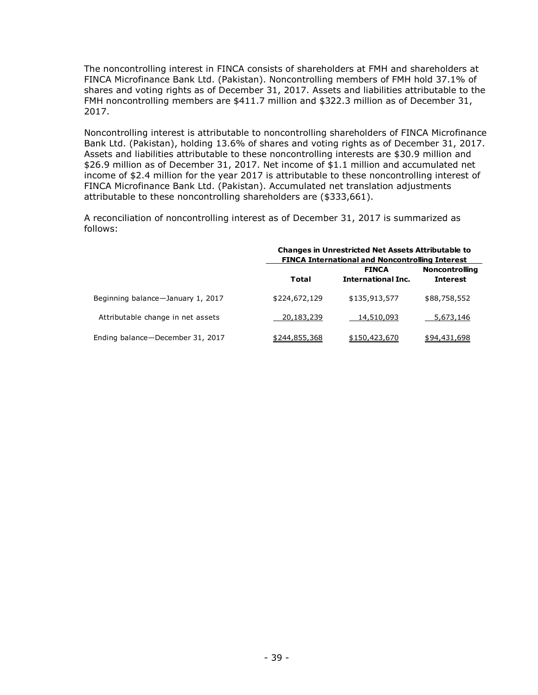Noncontrolling interest is attributable to noncontrolling shareholders of FINCA Microfinance Bank Ltd. (Pakistan), holding 13.6% of shares and voting rights as of December 31, 2017. Assets and liabilities attributable to these noncontrolling interests are \$30.9 million and \$26.9 million as of December 31, 2017. Net income of \$1.1 million and accumulated net income of \$2.4 million for the year 2017 is attributable to these noncontrolling interest of FINCA Microfinance Bank Ltd. (Pakistan). Accumulated net translation adjustments attributable to these noncontrolling shareholders are (\$333,661). EMH and shareholders at<br>
ers of FMH hold 37.1% of<br>
liabilities attributable to the<br>
llion as of December 31,<br>
lders of FINCA Microfinance<br>
s as of December 31, 2017.<br>
ts are \$30.9 million and<br>
end accumulated net<br>
enoncon

| INCA Microfinance Bank Ltd. (Pakistan). Noncontrolling members of FMH hold 37.1% of<br>nares and voting rights as of December 31, 2017. Assets and liabilities attributable to the<br>MH noncontrolling members are \$411.7 million and \$322.3 million as of December 31,<br>017.                                                                                                                                                                                                                                                                                                                                                                                                                                                      |                                                           | he noncontrolling interest in FINCA consists of shareholders at FMH and shareholders at |                                          |  |
|-----------------------------------------------------------------------------------------------------------------------------------------------------------------------------------------------------------------------------------------------------------------------------------------------------------------------------------------------------------------------------------------------------------------------------------------------------------------------------------------------------------------------------------------------------------------------------------------------------------------------------------------------------------------------------------------------------------------------------------------|-----------------------------------------------------------|-----------------------------------------------------------------------------------------|------------------------------------------|--|
| oncontrolling interest is attributable to noncontrolling shareholders of FINCA Microfinance<br>ank Ltd. (Pakistan), holding 13.6% of shares and voting rights as of December 31, 2017.<br>ssets and liabilities attributable to these noncontrolling interests are \$30.9 million and<br>26.9 million as of December 31, 2017. Net income of \$1.1 million and accumulated net<br>icome of \$2.4 million for the year 2017 is attributable to these noncontrolling interest of<br>INCA Microfinance Bank Ltd. (Pakistan). Accumulated net translation adjustments<br>ttributable to these noncontrolling shareholders are (\$333,661).<br>reconciliation of noncontrolling interest as of December 31, 2017 is summarized as<br>ollows: |                                                           |                                                                                         |                                          |  |
|                                                                                                                                                                                                                                                                                                                                                                                                                                                                                                                                                                                                                                                                                                                                         | <b>Changes in Unrestricted Net Assets Attributable to</b> |                                                                                         |                                          |  |
|                                                                                                                                                                                                                                                                                                                                                                                                                                                                                                                                                                                                                                                                                                                                         |                                                           |                                                                                         |                                          |  |
|                                                                                                                                                                                                                                                                                                                                                                                                                                                                                                                                                                                                                                                                                                                                         |                                                           | <b>FINCA International and Noncontrolling Interest</b><br><b>FINCA</b>                  |                                          |  |
|                                                                                                                                                                                                                                                                                                                                                                                                                                                                                                                                                                                                                                                                                                                                         | <b>Total</b>                                              | <b>International Inc.</b>                                                               | <b>Noncontrolling</b><br><b>Interest</b> |  |
| Beginning balance-January 1, 2017                                                                                                                                                                                                                                                                                                                                                                                                                                                                                                                                                                                                                                                                                                       | \$224,672,129                                             | \$135,913,577                                                                           | \$88,758,552                             |  |
| Attributable change in net assets                                                                                                                                                                                                                                                                                                                                                                                                                                                                                                                                                                                                                                                                                                       | 20,183,239                                                | 14,510,093                                                                              | 5,673,146                                |  |
| Ending balance-December 31, 2017                                                                                                                                                                                                                                                                                                                                                                                                                                                                                                                                                                                                                                                                                                        | \$244,855,368                                             | \$150,423,670                                                                           | \$94,431,698                             |  |
|                                                                                                                                                                                                                                                                                                                                                                                                                                                                                                                                                                                                                                                                                                                                         |                                                           |                                                                                         |                                          |  |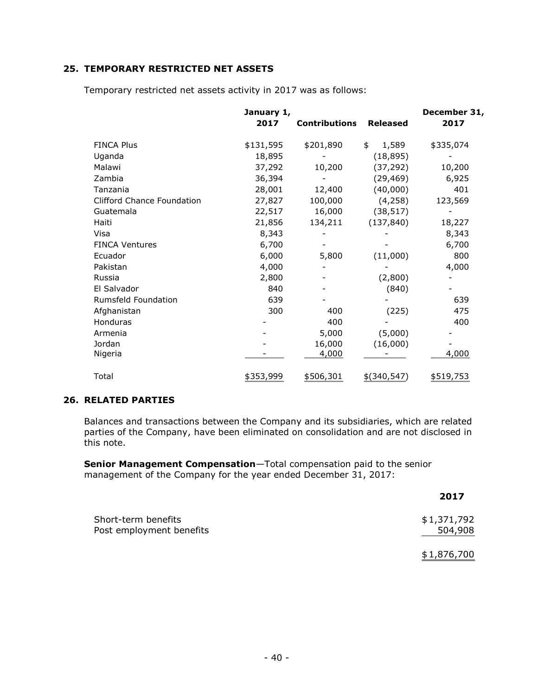## 25. TEMPORARY RESTRICTED NET ASSETS

| <b>EMPORARY RESTRICTED NET ASSETS</b><br>emporary restricted net assets activity in 2017 was as follows: |                    |                          |                          |                                   |
|----------------------------------------------------------------------------------------------------------|--------------------|--------------------------|--------------------------|-----------------------------------|
|                                                                                                          |                    |                          |                          |                                   |
|                                                                                                          |                    |                          |                          |                                   |
|                                                                                                          | January 1,<br>2017 | <b>Contributions</b>     | <b>Released</b>          | December 31,<br>2017              |
| <b>FINCA Plus</b>                                                                                        | \$131,595          | \$201,890                | 1,589<br>\$              | \$335,074                         |
| Uganda                                                                                                   | 18,895             |                          | (18, 895)                |                                   |
| Malawi                                                                                                   | 37,292             | 10,200                   | (37, 292)                | 10,200                            |
| Zambia                                                                                                   | 36,394             | $\qquad \qquad -$        | (29, 469)                | 6,925                             |
| Tanzania                                                                                                 | 28,001             | 12,400                   | (40,000)                 | 401                               |
| <b>Clifford Chance Foundation</b>                                                                        | 27,827             | 100,000                  | (4,258)                  | 123,569                           |
| Guatemala                                                                                                | 22,517             | 16,000                   | (38, 517)                | $\overline{\phantom{a}}$          |
| Haiti                                                                                                    | 21,856             | 134,211                  | (137, 840)               | 18,227                            |
| Visa                                                                                                     | 8,343              | $\overline{\phantom{a}}$ |                          | 8,343                             |
| <b>FINCA Ventures</b>                                                                                    | 6,700              | $\overline{\phantom{a}}$ | $\overline{\phantom{a}}$ | 6,700                             |
| Ecuador                                                                                                  | 6,000              | 5,800                    | (11,000)                 | 800                               |
| Pakistan                                                                                                 | 4,000              | $\overline{\phantom{a}}$ | $\overline{\phantom{a}}$ | 4,000                             |
| Russia                                                                                                   |                    |                          |                          |                                   |
|                                                                                                          | 2,800              |                          | (2,800)                  |                                   |
| El Salvador                                                                                              | 840                |                          | (840)                    |                                   |
| Rumsfeld Foundation                                                                                      | 639                |                          |                          | 639                               |
| Afghanistan                                                                                              | 300                | 400                      | (225)                    | 475                               |
| Honduras                                                                                                 |                    | 400                      |                          | 400                               |
| Armenia                                                                                                  |                    | 5,000                    | (5,000)                  |                                   |
| Jordan<br>Nigeria                                                                                        |                    | 16,000                   | (16,000)                 | $\overline{\phantom{a}}$<br>4,000 |
|                                                                                                          |                    | 4,000                    |                          |                                   |
| Total                                                                                                    | \$353,999          | \$506,301                | $$$ (340,547)            | \$519,753                         |
| <b>ELATED PARTIES</b>                                                                                    |                    |                          |                          |                                   |

#### 26. RELATED PARTIES

| Short-term benefits      | \$1,371,792 |
|--------------------------|-------------|
| Post employment benefits | 504,908     |
|                          |             |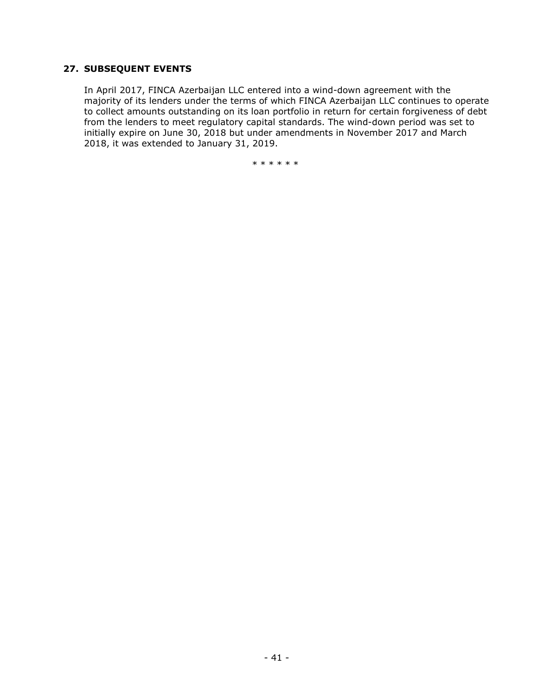#### 27. SUBSEQUENT EVENTS

In April 2017, FINCA Azerbaijan LLC entered into a wind-down agreement with the majority of its lenders under the terms of which FINCA Azerbaijan LLC continues to operate to collect amounts outstanding on its loan portfolio in return for certain forgiveness of debt from the lenders to meet regulatory capital standards. The wind-down period was set to initially expire on June 30, 2018 but under amendments in November 2017 and March 2018, it was extended to January 31, 2019.

\* \* \* \* \* \*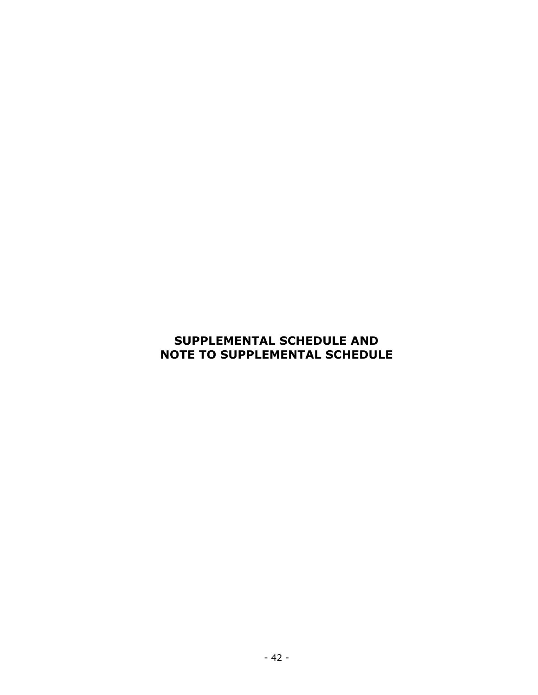# SUPPLEMENTAL SCHEDULE AND NOTE TO SUPPLEMENTAL SCHEDULE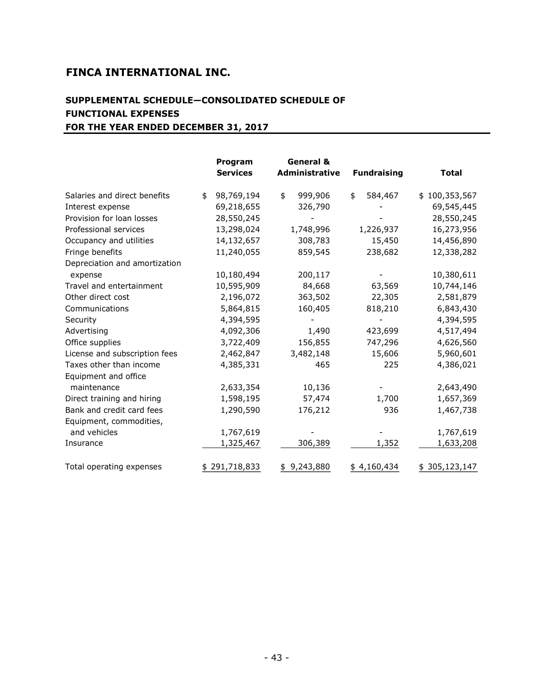# SUPPLEMENTAL SCHEDULE—CONSOLIDATED SCHEDULE OF FUNCTIONAL EXPENSES FOR THE YEAR ENDED DECEMBER 31, 2017

| FINCA INTERNATIONAL INC.<br>SUPPLEMENTAL SCHEDULE-CONSOLIDATED SCHEDULE OF<br><b>FUNCTIONAL EXPENSES</b> |                  |                          |                          |               |
|----------------------------------------------------------------------------------------------------------|------------------|--------------------------|--------------------------|---------------|
|                                                                                                          |                  |                          |                          |               |
|                                                                                                          |                  |                          |                          |               |
|                                                                                                          |                  |                          |                          |               |
|                                                                                                          |                  |                          |                          |               |
|                                                                                                          |                  |                          |                          |               |
|                                                                                                          |                  |                          |                          |               |
|                                                                                                          |                  |                          |                          |               |
|                                                                                                          |                  |                          |                          |               |
| FOR THE YEAR ENDED DECEMBER 31, 2017                                                                     |                  |                          |                          |               |
|                                                                                                          |                  |                          |                          |               |
|                                                                                                          | Program          | <b>General &amp;</b>     |                          |               |
|                                                                                                          | <b>Services</b>  | Administrative           | <b>Fundraising</b>       | <b>Total</b>  |
|                                                                                                          |                  |                          |                          |               |
| Salaries and direct benefits                                                                             | 98,769,194<br>\$ | \$<br>999,906            | 584,467<br>\$            | \$100,353,567 |
| Interest expense                                                                                         | 69,218,655       | 326,790                  |                          | 69,545,445    |
| Provision for loan losses                                                                                | 28,550,245       |                          |                          | 28,550,245    |
| Professional services                                                                                    | 13,298,024       | 1,748,996                | 1,226,937                | 16,273,956    |
| Occupancy and utilities                                                                                  | 14,132,657       | 308,783                  | 15,450                   | 14,456,890    |
| Fringe benefits                                                                                          | 11,240,055       | 859,545                  | 238,682                  | 12,338,282    |
| Depreciation and amortization                                                                            |                  |                          |                          |               |
| expense                                                                                                  | 10,180,494       | 200,117                  | $\overline{\phantom{a}}$ | 10,380,611    |
| Travel and entertainment                                                                                 | 10,595,909       | 84,668                   | 63,569                   | 10,744,146    |
| Other direct cost                                                                                        | 2,196,072        | 363,502                  | 22,305                   | 2,581,879     |
| Communications                                                                                           | 5,864,815        | 160,405                  | 818,210                  | 6,843,430     |
| Security                                                                                                 | 4,394,595        |                          | $\sim$                   | 4,394,595     |
| Advertising                                                                                              | 4,092,306        | 1,490                    | 423,699                  | 4,517,494     |
| Office supplies                                                                                          | 3,722,409        | 156,855                  | 747,296                  | 4,626,560     |
| License and subscription fees                                                                            | 2,462,847        | 3,482,148                | 15,606                   | 5,960,601     |
| Taxes other than income                                                                                  | 4,385,331        | 465                      | 225                      | 4,386,021     |
| Equipment and office                                                                                     |                  |                          |                          |               |
| maintenance                                                                                              | 2,633,354        | 10,136                   |                          | 2,643,490     |
| Direct training and hiring                                                                               | 1,598,195        | 57,474                   | 1,700                    | 1,657,369     |
| Bank and credit card fees                                                                                | 1,290,590        | 176,212                  | 936                      | 1,467,738     |
| Equipment, commodities,                                                                                  |                  |                          |                          |               |
| and vehicles                                                                                             | 1,767,619        | $\overline{\phantom{a}}$ |                          | 1,767,619     |
| Insurance                                                                                                | 1,325,467        | 306,389                  | 1,352                    | 1,633,208     |
| Total operating expenses                                                                                 |                  |                          |                          |               |
|                                                                                                          | \$291,718,833    | \$9,243,880              | \$4,160,434              | \$305,123,147 |